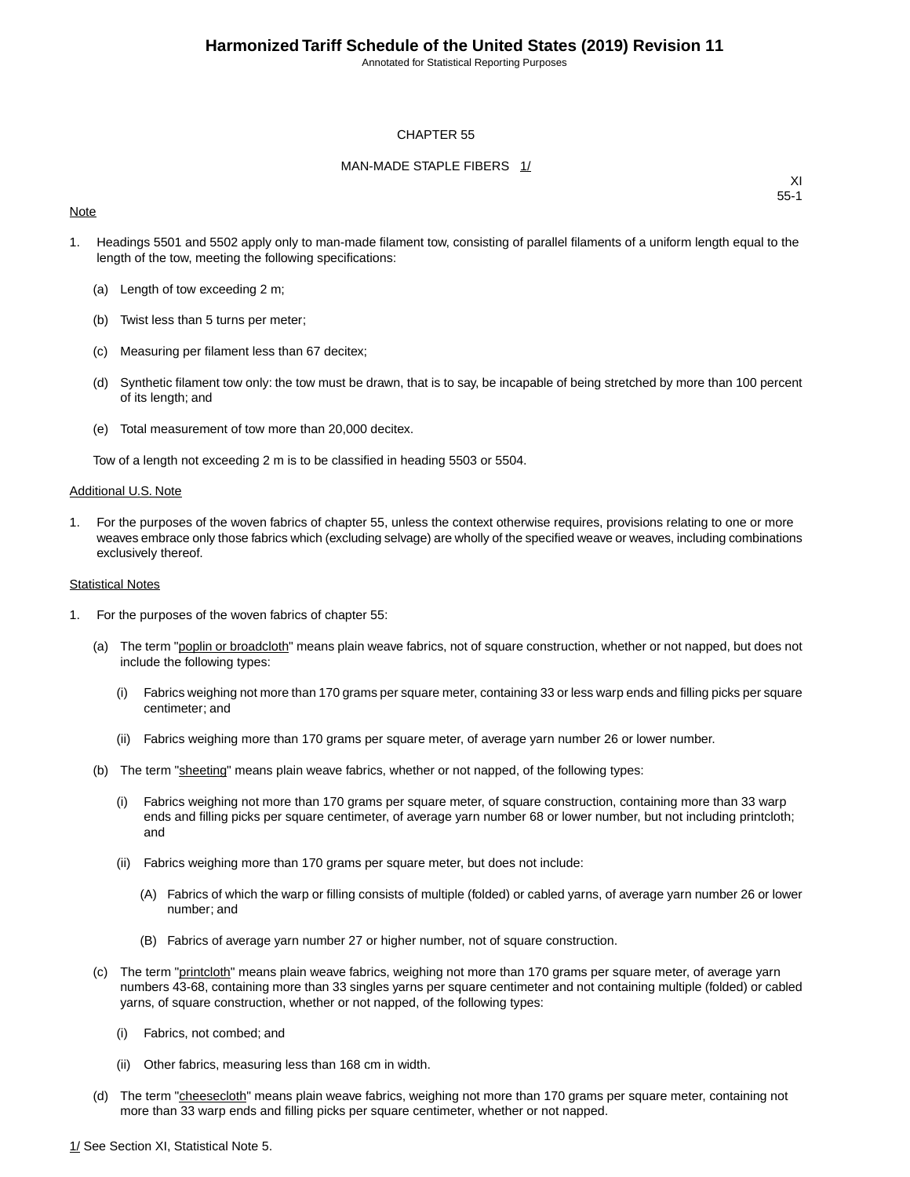Annotated for Statistical Reporting Purposes

#### CHAPTER 55

#### MAN-MADE STAPLE FIBERS 1/

#### **Note**

XI 55-1

- 1. Headings 5501 and 5502 apply only to man-made filament tow, consisting of parallel filaments of a uniform length equal to the length of the tow, meeting the following specifications:
	- (a) Length of tow exceeding 2 m;
	- (b) Twist less than 5 turns per meter;
	- (c) Measuring per filament less than 67 decitex;
	- (d) Synthetic filament tow only: the tow must be drawn, that is to say, be incapable of being stretched by more than 100 percent of its length; and
	- (e) Total measurement of tow more than 20,000 decitex.

Tow of a length not exceeding 2 m is to be classified in heading 5503 or 5504.

#### Additional U.S. Note

1. For the purposes of the woven fabrics of chapter 55, unless the context otherwise requires, provisions relating to one or more weaves embrace only those fabrics which (excluding selvage) are wholly of the specified weave or weaves, including combinations exclusively thereof.

#### Statistical Notes

- 1. For the purposes of the woven fabrics of chapter 55:
	- (a) The term "poplin or broadcloth" means plain weave fabrics, not of square construction, whether or not napped, but does not include the following types:
		- (i) Fabrics weighing not more than 170 grams per square meter, containing 33 or less warp ends and filling picks per square centimeter; and
		- (ii) Fabrics weighing more than 170 grams per square meter, of average yarn number 26 or lower number.
	- (b) The term "sheeting" means plain weave fabrics, whether or not napped, of the following types:
		- (i) Fabrics weighing not more than 170 grams per square meter, of square construction, containing more than 33 warp ends and filling picks per square centimeter, of average yarn number 68 or lower number, but not including printcloth; and
		- (ii) Fabrics weighing more than 170 grams per square meter, but does not include:
			- (A) Fabrics of which the warp or filling consists of multiple (folded) or cabled yarns, of average yarn number 26 or lower number; and
			- (B) Fabrics of average yarn number 27 or higher number, not of square construction.
	- (c) The term "printcloth" means plain weave fabrics, weighing not more than 170 grams per square meter, of average yarn numbers 43-68, containing more than 33 singles yarns per square centimeter and not containing multiple (folded) or cabled yarns, of square construction, whether or not napped, of the following types:
		- (i) Fabrics, not combed; and
		- (ii) Other fabrics, measuring less than 168 cm in width.
	- (d) The term "cheesecloth" means plain weave fabrics, weighing not more than 170 grams per square meter, containing not more than 33 warp ends and filling picks per square centimeter, whether or not napped.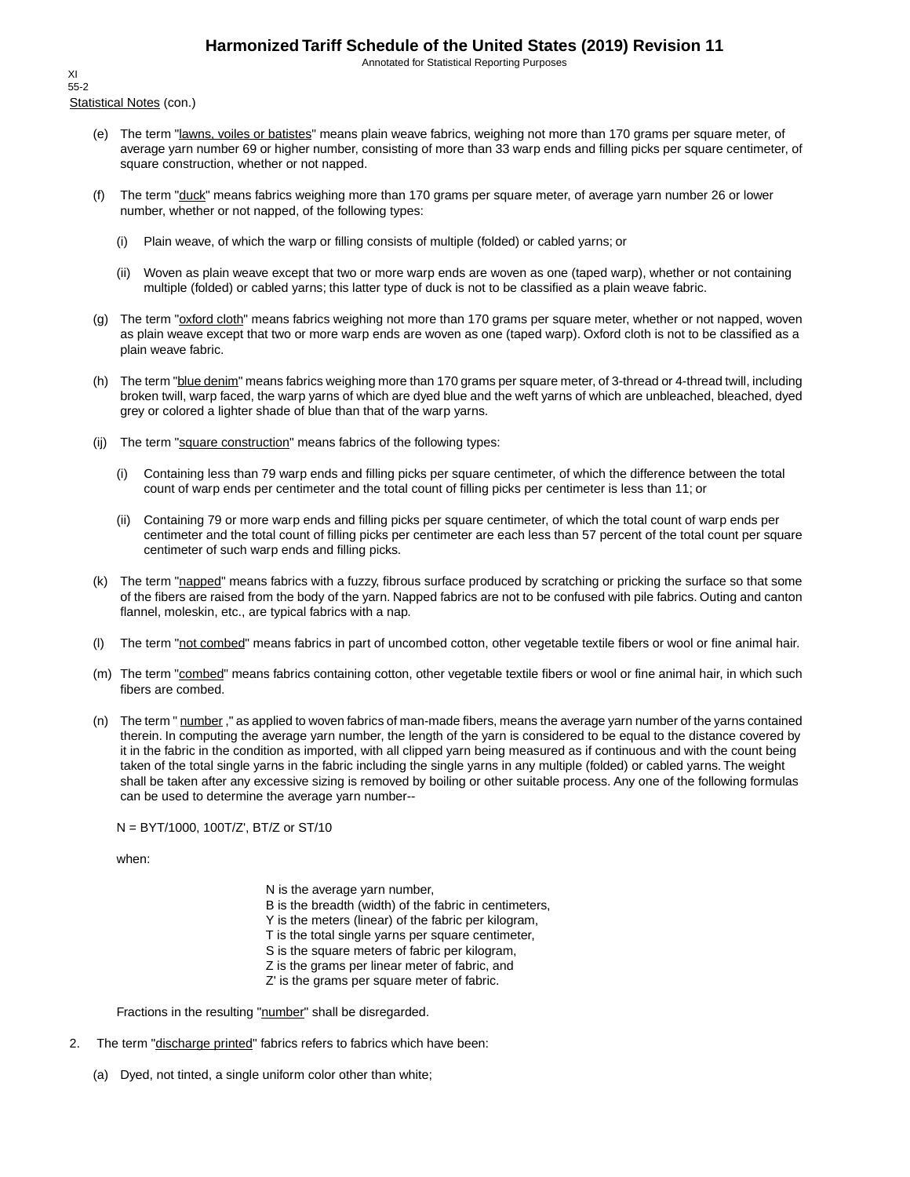Annotated for Statistical Reporting Purposes

Statistical Notes (con.) XI 55-2

- (e) The term "lawns, voiles or batistes" means plain weave fabrics, weighing not more than 170 grams per square meter, of average yarn number 69 or higher number, consisting of more than 33 warp ends and filling picks per square centimeter, of square construction, whether or not napped.
- (f) The term "duck" means fabrics weighing more than 170 grams per square meter, of average yarn number 26 or lower number, whether or not napped, of the following types:
	- (i) Plain weave, of which the warp or filling consists of multiple (folded) or cabled yarns; or
	- (ii) Woven as plain weave except that two or more warp ends are woven as one (taped warp), whether or not containing multiple (folded) or cabled yarns; this latter type of duck is not to be classified as a plain weave fabric.
- (g) The term "oxford cloth" means fabrics weighing not more than 170 grams per square meter, whether or not napped, woven as plain weave except that two or more warp ends are woven as one (taped warp). Oxford cloth is not to be classified as a plain weave fabric.
- (h) The term "blue denim" means fabrics weighing more than 170 grams per square meter, of 3-thread or 4-thread twill, including broken twill, warp faced, the warp yarns of which are dyed blue and the weft yarns of which are unbleached, bleached, dyed grey or colored a lighter shade of blue than that of the warp yarns.
- (ij) The term "square construction" means fabrics of the following types:
	- (i) Containing less than 79 warp ends and filling picks per square centimeter, of which the difference between the total count of warp ends per centimeter and the total count of filling picks per centimeter is less than 11; or
	- (ii) Containing 79 or more warp ends and filling picks per square centimeter, of which the total count of warp ends per centimeter and the total count of filling picks per centimeter are each less than 57 percent of the total count per square centimeter of such warp ends and filling picks.
- (k) The term "napped" means fabrics with a fuzzy, fibrous surface produced by scratching or pricking the surface so that some of the fibers are raised from the body of the yarn. Napped fabrics are not to be confused with pile fabrics. Outing and canton flannel, moleskin, etc., are typical fabrics with a nap.
- (l) The term "not combed" means fabrics in part of uncombed cotton, other vegetable textile fibers or wool or fine animal hair.
- (m) The term "combed" means fabrics containing cotton, other vegetable textile fibers or wool or fine animal hair, in which such fibers are combed.
- (n) The term " number," as applied to woven fabrics of man-made fibers, means the average yarn number of the yarns contained therein. In computing the average yarn number, the length of the yarn is considered to be equal to the distance covered by it in the fabric in the condition as imported, with all clipped yarn being measured as if continuous and with the count being taken of the total single yarns in the fabric including the single yarns in any multiple (folded) or cabled yarns. The weight shall be taken after any excessive sizing is removed by boiling or other suitable process. Any one of the following formulas can be used to determine the average yarn number--

N = BYT/1000, 100T/Z', BT/Z or ST/10

when:

N is the average yarn number, B is the breadth (width) of the fabric in centimeters, Y is the meters (linear) of the fabric per kilogram, T is the total single yarns per square centimeter, S is the square meters of fabric per kilogram, Z is the grams per linear meter of fabric, and Z' is the grams per square meter of fabric.

Fractions in the resulting "number" shall be disregarded.

- 2. The term "discharge printed" fabrics refers to fabrics which have been:
	- (a) Dyed, not tinted, a single uniform color other than white;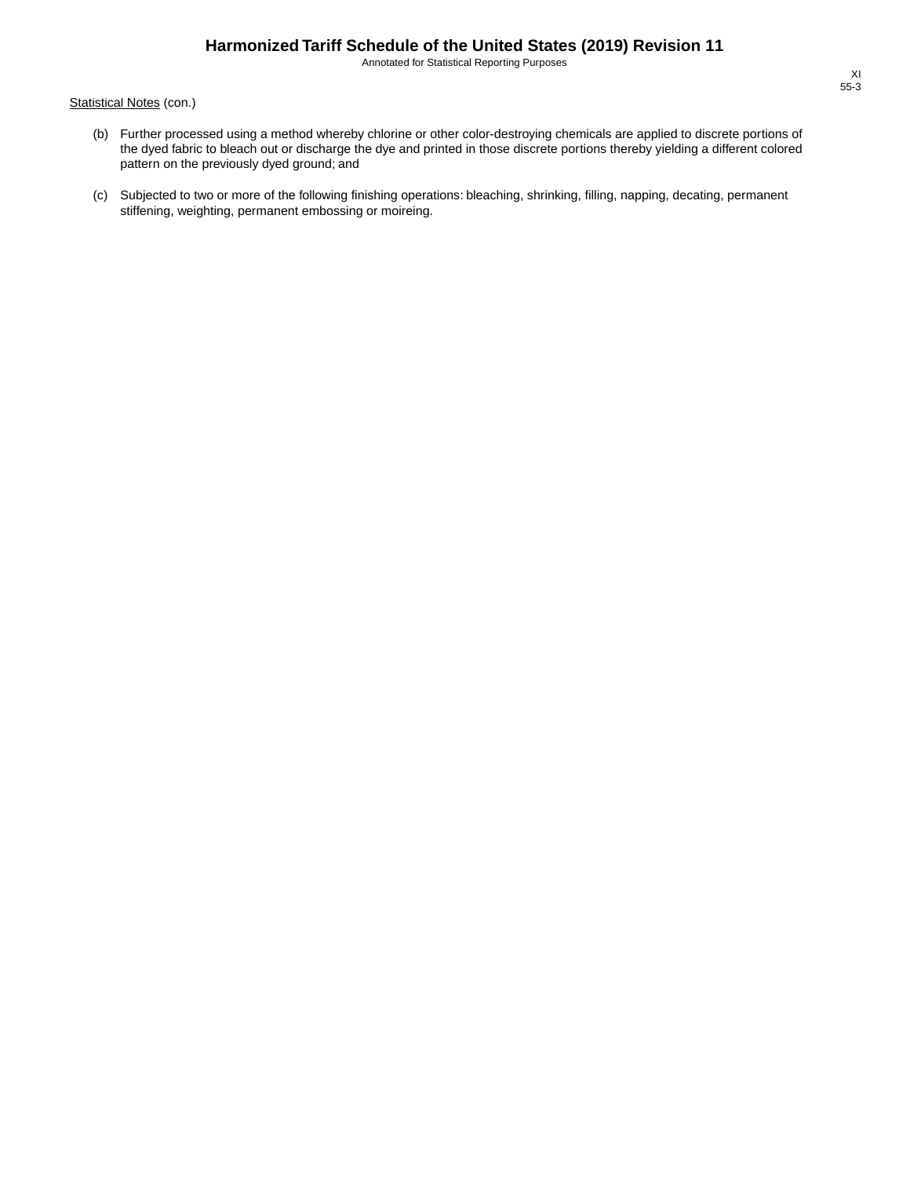Annotated for Statistical Reporting Purposes

Statistical Notes (con.)

- (b) Further processed using a method whereby chlorine or other color-destroying chemicals are applied to discrete portions of the dyed fabric to bleach out or discharge the dye and printed in those discrete portions thereby yielding a different colored pattern on the previously dyed ground; and
- (c) Subjected to two or more of the following finishing operations: bleaching, shrinking, filling, napping, decating, permanent stiffening, weighting, permanent embossing or moireing.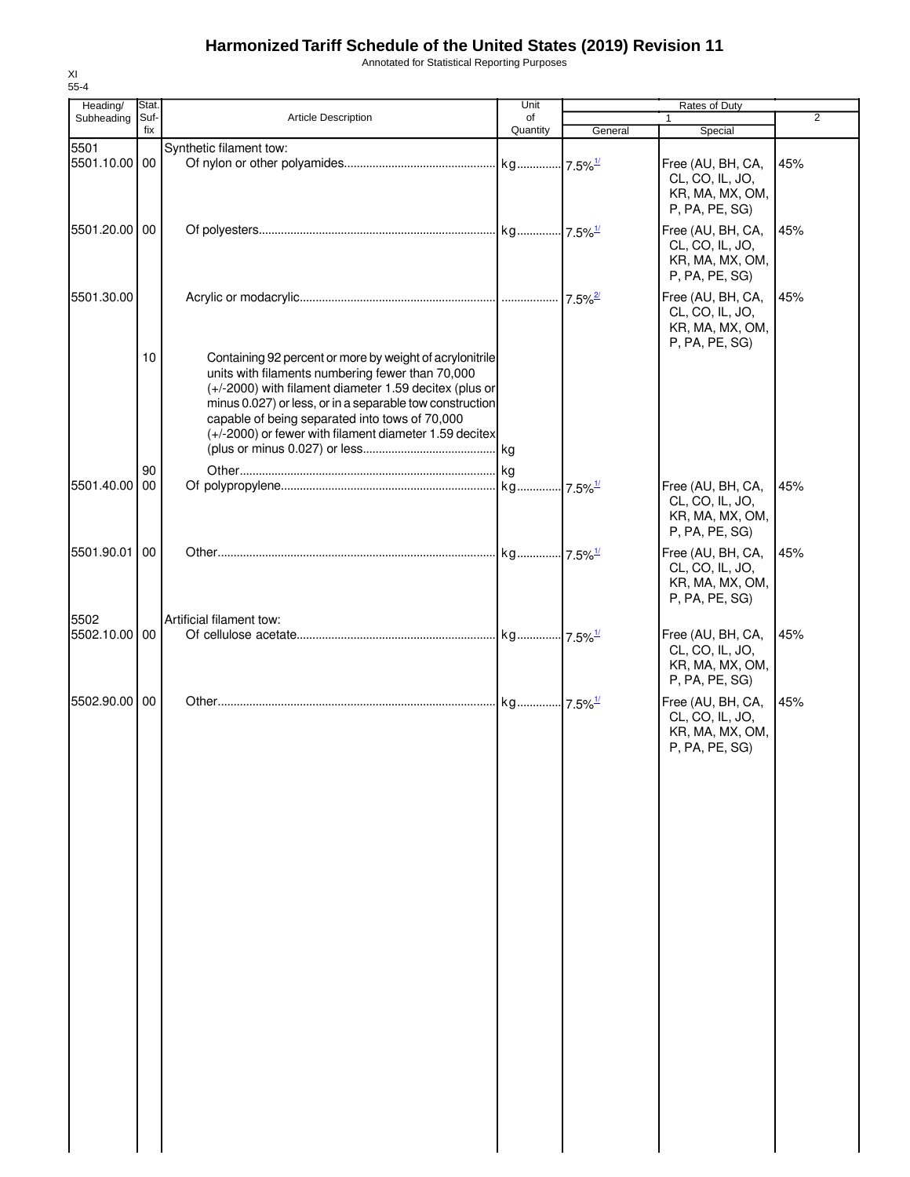Annotated for Statistical Reporting Purposes

| Heading/      | Stat.       |                                                                                                                                                                                                                                                                                                                                                | Unit           | Rates of Duty         |                                                                           |                |
|---------------|-------------|------------------------------------------------------------------------------------------------------------------------------------------------------------------------------------------------------------------------------------------------------------------------------------------------------------------------------------------------|----------------|-----------------------|---------------------------------------------------------------------------|----------------|
| Subheading    | Suf-<br>fix | <b>Article Description</b>                                                                                                                                                                                                                                                                                                                     | of<br>Quantity |                       | 1                                                                         | $\overline{2}$ |
|               |             |                                                                                                                                                                                                                                                                                                                                                |                | General               | Special                                                                   |                |
| 5501          |             | Synthetic filament tow:                                                                                                                                                                                                                                                                                                                        |                |                       |                                                                           |                |
| 5501.10.00 00 |             |                                                                                                                                                                                                                                                                                                                                                |                |                       | Free (AU, BH, CA,<br>CL, CO, IL, JO,<br>KR, MA, MX, OM,                   | 45%            |
| 5501.20.00 00 |             |                                                                                                                                                                                                                                                                                                                                                |                |                       | P, PA, PE, SG)<br>Free (AU, BH, CA,                                       | 45%            |
|               |             |                                                                                                                                                                                                                                                                                                                                                |                |                       | CL, CO, IL, JO,<br>KR, MA, MX, OM,<br>P, PA, PE, SG)                      |                |
| 5501.30.00    |             |                                                                                                                                                                                                                                                                                                                                                |                | $7.5\%$ <sup>2/</sup> | Free (AU, BH, CA,<br>CL, CO, IL, JO,<br>KR, MA, MX, OM,<br>P, PA, PE, SG) | 45%            |
|               | 10          | Containing 92 percent or more by weight of acrylonitrile<br>units with filaments numbering fewer than 70,000<br>(+/-2000) with filament diameter 1.59 decitex (plus or<br>minus 0.027) or less, or in a separable tow construction<br>capable of being separated into tows of 70,000<br>(+/-2000) or fewer with filament diameter 1.59 decitex |                |                       |                                                                           |                |
|               | 90          |                                                                                                                                                                                                                                                                                                                                                |                |                       |                                                                           |                |
| 5501.40.00    | 00          |                                                                                                                                                                                                                                                                                                                                                |                |                       | Free (AU, BH, CA,<br>CL, CO, IL, JO,<br>KR, MA, MX, OM,<br>P, PA, PE, SG) | 45%            |
| 5501.90.01    | 00          |                                                                                                                                                                                                                                                                                                                                                |                |                       | Free (AU, BH, CA,<br>CL, CO, IL, JO,<br>KR, MA, MX, OM,<br>P, PA, PE, SG) | 45%            |
| 5502          |             | Artificial filament tow:                                                                                                                                                                                                                                                                                                                       |                |                       |                                                                           |                |
| 5502.10.00 00 |             |                                                                                                                                                                                                                                                                                                                                                |                |                       | Free (AU, BH, CA,<br>CL, CO, IL, JO,<br>KR, MA, MX, OM,<br>P, PA, PE, SG) | 45%            |
| 5502.90.00 00 |             |                                                                                                                                                                                                                                                                                                                                                |                |                       | Free (AU, BH, CA,<br>CL, CO, IL, JO,<br>KR, MA, MX, OM,<br>P, PA, PE, SG) | 45%            |
|               |             |                                                                                                                                                                                                                                                                                                                                                |                |                       |                                                                           |                |
|               |             |                                                                                                                                                                                                                                                                                                                                                |                |                       |                                                                           |                |
|               |             |                                                                                                                                                                                                                                                                                                                                                |                |                       |                                                                           |                |
|               |             |                                                                                                                                                                                                                                                                                                                                                |                |                       |                                                                           |                |
|               |             |                                                                                                                                                                                                                                                                                                                                                |                |                       |                                                                           |                |
|               |             |                                                                                                                                                                                                                                                                                                                                                |                |                       |                                                                           |                |
|               |             |                                                                                                                                                                                                                                                                                                                                                |                |                       |                                                                           |                |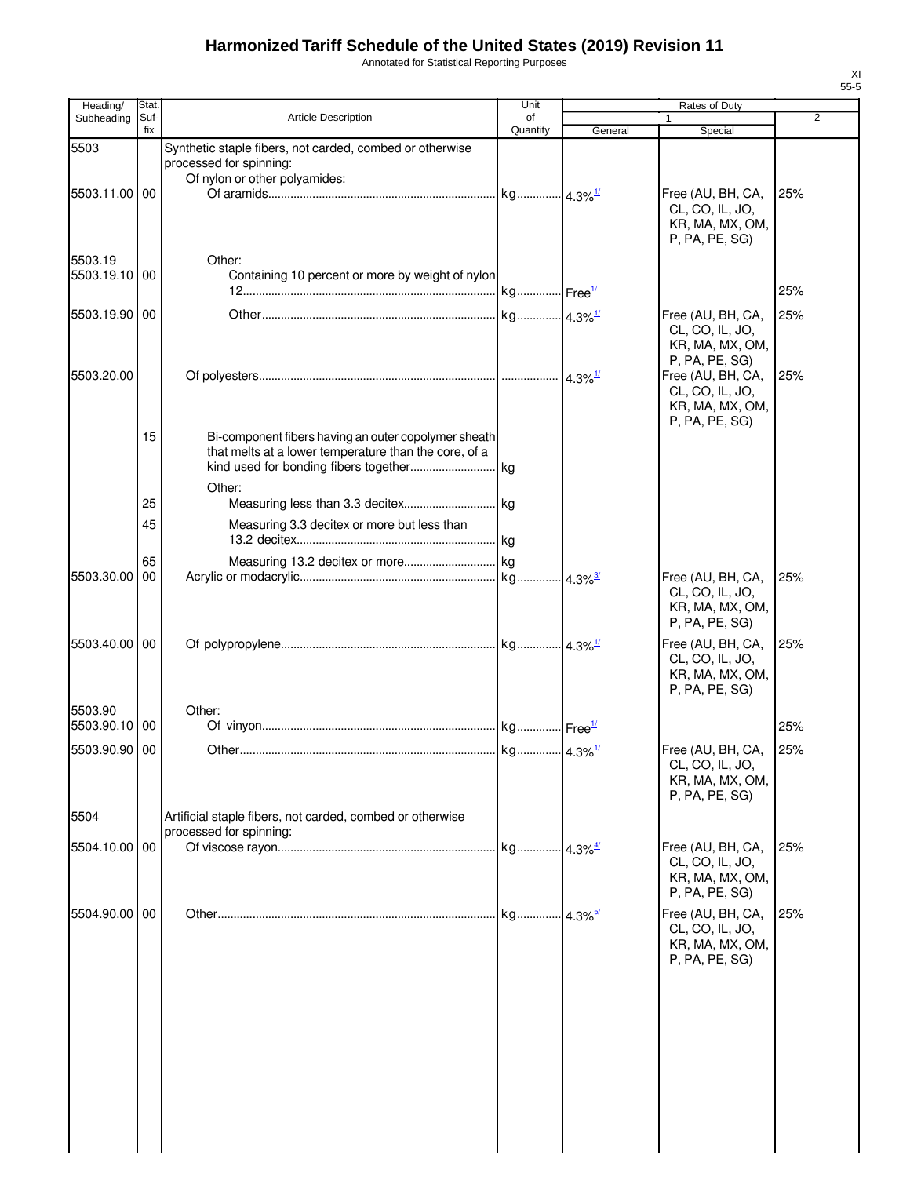Annotated for Statistical Reporting Purposes

| Heading/      | Stat.       |                                                                                      | Unit           |                       | Rates of Duty                        |     |
|---------------|-------------|--------------------------------------------------------------------------------------|----------------|-----------------------|--------------------------------------|-----|
| Subheading    | Suf-<br>fix | Article Description                                                                  | of<br>Quantity | General               | 1<br>Special                         | 2   |
| 5503          |             | Synthetic staple fibers, not carded, combed or otherwise                             |                |                       |                                      |     |
|               |             | processed for spinning:                                                              |                |                       |                                      |     |
| 5503.11.00 00 |             | Of nylon or other polyamides:                                                        |                |                       |                                      |     |
|               |             |                                                                                      |                |                       | Free (AU, BH, CA,<br>CL, CO, IL, JO, | 25% |
|               |             |                                                                                      |                |                       | KR, MA, MX, OM,                      |     |
|               |             |                                                                                      |                |                       | P, PA, PE, SG)                       |     |
| 5503.19       |             | Other:                                                                               |                |                       |                                      |     |
| 5503.19.10    | 00          | Containing 10 percent or more by weight of nylon                                     |                |                       |                                      |     |
|               |             |                                                                                      |                |                       |                                      | 25% |
| 5503.19.90 00 |             |                                                                                      |                |                       | Free (AU, BH, CA,                    | 25% |
|               |             |                                                                                      |                |                       | CL, CO, IL, JO,<br>KR, MA, MX, OM,   |     |
|               |             |                                                                                      |                |                       | P, PA, PE, SG)                       |     |
| 5503.20.00    |             |                                                                                      |                | $4.3\%$ <sup>1/</sup> | Free (AU, BH, CA,                    | 25% |
|               |             |                                                                                      |                |                       | CL, CO, IL, JO,<br>KR, MA, MX, OM,   |     |
|               |             |                                                                                      |                |                       | P, PA, PE, SG)                       |     |
|               | 15          | Bi-component fibers having an outer copolymer sheath                                 |                |                       |                                      |     |
|               |             | that melts at a lower temperature than the core, of a                                |                |                       |                                      |     |
|               |             |                                                                                      |                |                       |                                      |     |
|               | 25          | Other:                                                                               |                |                       |                                      |     |
|               |             |                                                                                      |                |                       |                                      |     |
|               | 45          | Measuring 3.3 decitex or more but less than                                          |                |                       |                                      |     |
|               | 65          |                                                                                      |                |                       |                                      |     |
| 5503.30.00    | 00          |                                                                                      |                |                       | Free (AU, BH, CA,                    | 25% |
|               |             |                                                                                      |                |                       | CL, CO, IL, JO,                      |     |
|               |             |                                                                                      |                |                       | KR, MA, MX, OM,                      |     |
|               |             |                                                                                      |                |                       | P, PA, PE, SG)                       |     |
| 5503.40.00 00 |             |                                                                                      |                |                       | Free (AU, BH, CA,                    | 25% |
|               |             |                                                                                      |                |                       | CL, CO, IL, JO,<br>KR, MA, MX, OM,   |     |
|               |             |                                                                                      |                |                       | P, PA, PE, SG)                       |     |
| 5503.90       |             | Other:                                                                               |                |                       |                                      |     |
| 5503.90.10 00 |             |                                                                                      |                |                       |                                      | 25% |
| 5503.90.90 00 |             |                                                                                      |                |                       | Free (AU, BH, CA,                    | 25% |
|               |             |                                                                                      |                |                       | CL, CO, IL, JO,                      |     |
|               |             |                                                                                      |                |                       | KR, MA, MX, OM,                      |     |
|               |             |                                                                                      |                |                       | P, PA, PE, SG)                       |     |
| 5504          |             | Artificial staple fibers, not carded, combed or otherwise<br>processed for spinning: |                |                       |                                      |     |
| 5504.10.00    | 00          |                                                                                      |                |                       | Free (AU, BH, CA,                    | 25% |
|               |             |                                                                                      |                |                       | CL, CO, IL, JO,                      |     |
|               |             |                                                                                      |                |                       | KR, MA, MX, OM,<br>P, PA, PE, SG)    |     |
|               |             |                                                                                      |                |                       |                                      |     |
| 5504.90.00 00 |             |                                                                                      |                |                       | Free (AU, BH, CA,<br>CL, CO, IL, JO, | 25% |
|               |             |                                                                                      |                |                       | KR, MA, MX, OM,                      |     |
|               |             |                                                                                      |                |                       | P, PA, PE, SG)                       |     |
|               |             |                                                                                      |                |                       |                                      |     |
|               |             |                                                                                      |                |                       |                                      |     |
|               |             |                                                                                      |                |                       |                                      |     |
|               |             |                                                                                      |                |                       |                                      |     |
|               |             |                                                                                      |                |                       |                                      |     |
|               |             |                                                                                      |                |                       |                                      |     |
|               |             |                                                                                      |                |                       |                                      |     |
|               |             |                                                                                      |                |                       |                                      |     |
|               |             |                                                                                      |                |                       |                                      |     |
|               |             |                                                                                      |                |                       |                                      |     |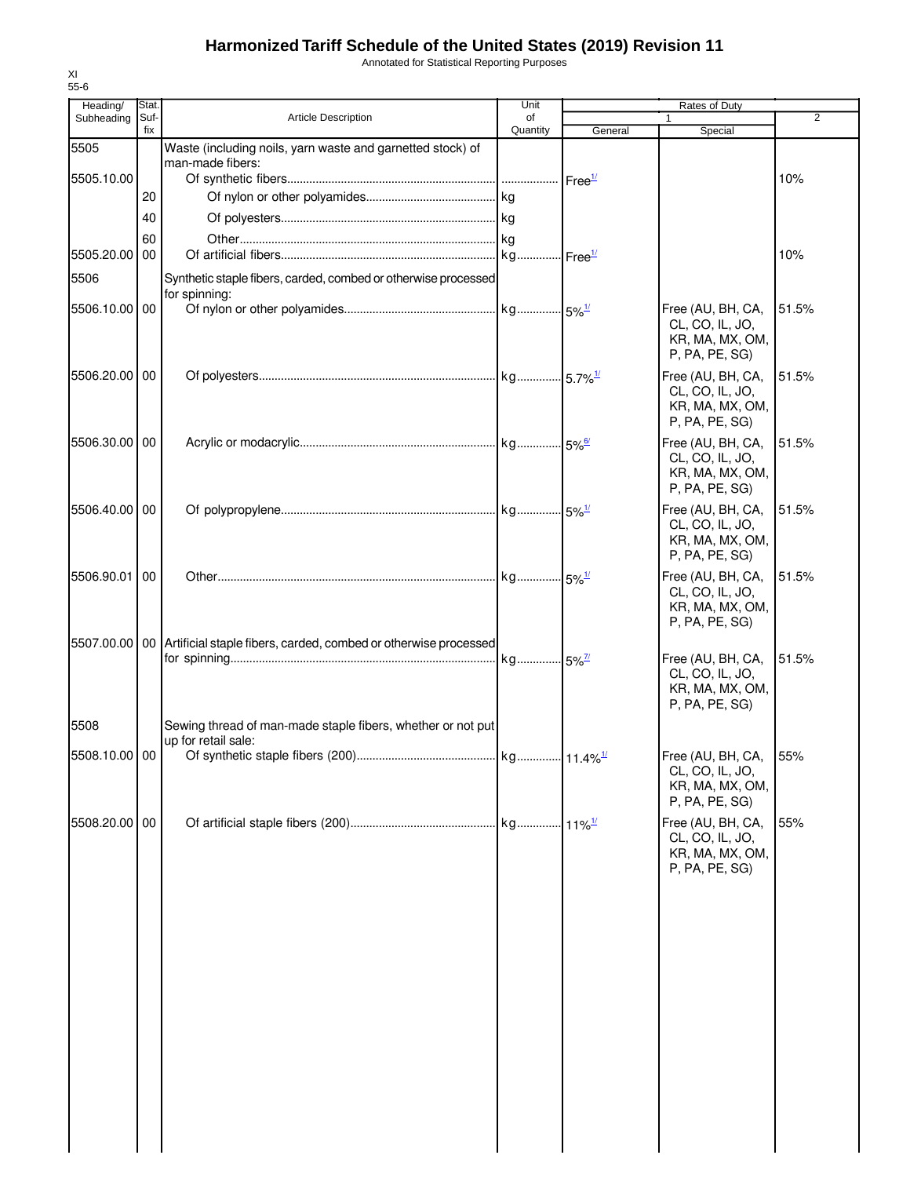Annotated for Statistical Reporting Purposes

| Heading/      | Stat.       |                                                                    | Unit           |         | Rates of Duty                                                                 |                |
|---------------|-------------|--------------------------------------------------------------------|----------------|---------|-------------------------------------------------------------------------------|----------------|
| Subheading    | Suf-<br>fix | Article Description                                                | of<br>Quantity | General | 1<br>Special                                                                  | $\overline{2}$ |
| 5505          |             | Waste (including noils, yarn waste and garnetted stock) of         |                |         |                                                                               |                |
| 5505.10.00    |             | man-made fibers:                                                   |                |         |                                                                               | 10%            |
|               | 20          |                                                                    |                |         |                                                                               |                |
|               | 40          |                                                                    |                |         |                                                                               |                |
|               | 60          |                                                                    |                |         |                                                                               |                |
| 5505.20.00    | 00          |                                                                    |                |         |                                                                               | 10%            |
| 5506          |             | Synthetic staple fibers, carded, combed or otherwise processed     |                |         |                                                                               |                |
| 5506.10.00    | 00          | for spinning:                                                      |                |         | Free (AU, BH, CA,                                                             | 51.5%          |
|               |             |                                                                    |                |         | CL, CO, IL, JO,<br>KR, MA, MX, OM,<br>P, PA, PE, SG)                          |                |
| 5506.20.00    | 00          |                                                                    |                |         | Free (AU, BH, CA,<br>CL, CO, IL, JO,<br>KR, MA, MX, OM,<br>P, PA, PE, SG)     | 51.5%          |
| 5506.30.00 00 |             |                                                                    |                |         | Free (AU, BH, CA,<br>CL, CO, IL, JO,<br>KR, MA, MX, OM,<br>P, PA, PE, SG)     | 51.5%          |
| 5506.40.00    | 00          |                                                                    |                |         | Free (AU, BH, CA,<br>CL, CO, IL, JO,<br>KR, MA, MX, OM,<br>P, PA, PE, SG)     | 51.5%          |
| 5506.90.01    | 00          |                                                                    |                |         | Free (AU, BH, CA,<br>CL, CO, IL, JO,<br>KR, MA, MX, OM,<br>P, PA, PE, SG)     | 51.5%          |
| 5507.00.00    |             | 00 Artificial staple fibers, carded, combed or otherwise processed |                |         | Free (AU, BH, CA,<br>CL, CO, IL, JO,<br>KR, MA, MX, OM,<br>P, PA, PE, SG)     | 51.5%          |
| 5508          |             | Sewing thread of man-made staple fibers, whether or not put        |                |         |                                                                               |                |
|               |             | up for retail sale:                                                |                |         |                                                                               |                |
| 5508.10.00 00 |             |                                                                    |                |         | Free (AU, BH, CA, 55%<br>CL, CO, IL, JO,<br>KR, MA, MX, OM,<br>P, PA, PE, SG) |                |
| 5508.20.00    | 00          |                                                                    |                |         | Free (AU, BH, CA,<br>CL, CO, IL, JO,<br>KR, MA, MX, OM,<br>P, PA, PE, SG)     | 55%            |
|               |             |                                                                    |                |         |                                                                               |                |
|               |             |                                                                    |                |         |                                                                               |                |
|               |             |                                                                    |                |         |                                                                               |                |
|               |             |                                                                    |                |         |                                                                               |                |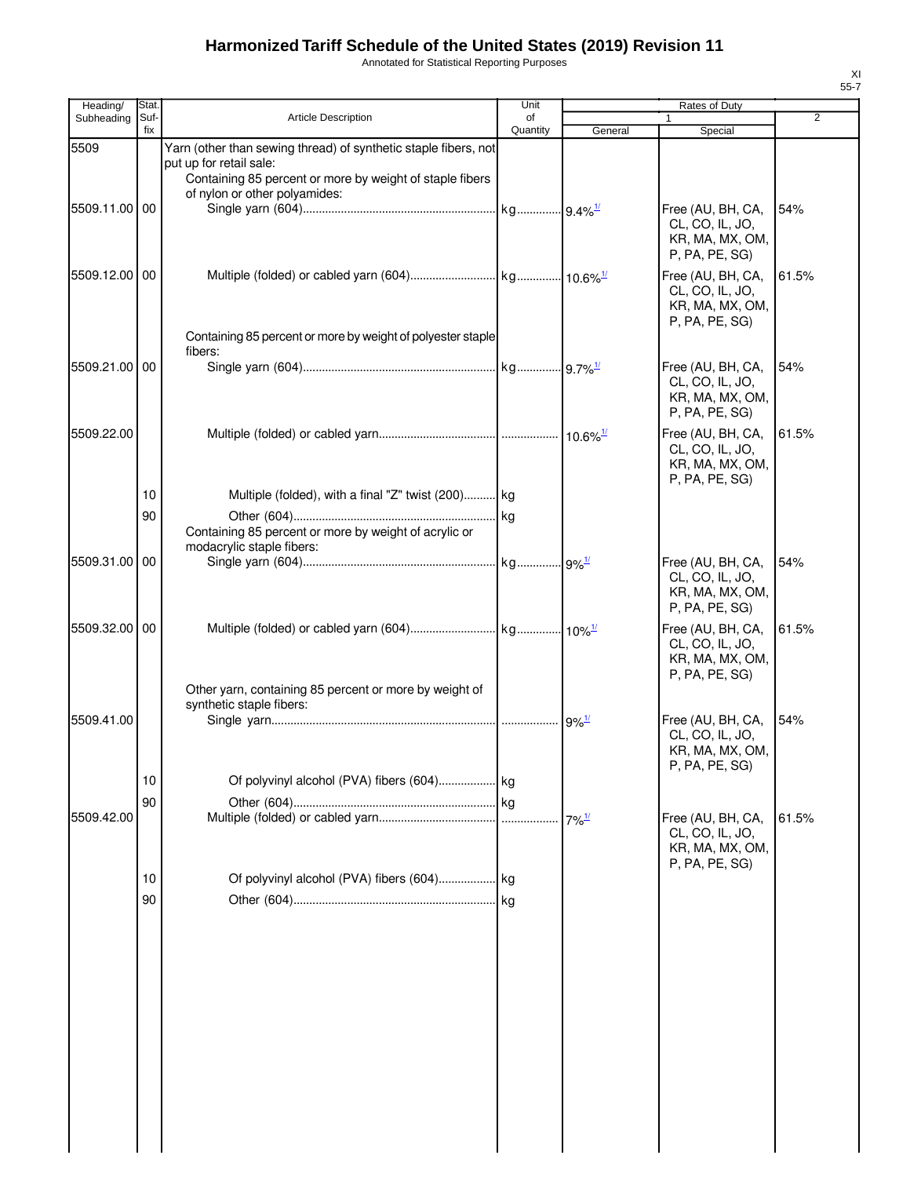Annotated for Statistical Reporting Purposes

| Heading/      | Stat.       |                                                                                           | Unit           |                      | Rates of Duty                        |                |
|---------------|-------------|-------------------------------------------------------------------------------------------|----------------|----------------------|--------------------------------------|----------------|
| Subheading    | Suf-<br>fix | <b>Article Description</b>                                                                | of<br>Quantity | General              | Special                              | $\overline{2}$ |
| 5509          |             | Yarn (other than sewing thread) of synthetic staple fibers, not                           |                |                      |                                      |                |
|               |             | put up for retail sale:                                                                   |                |                      |                                      |                |
|               |             | Containing 85 percent or more by weight of staple fibers<br>of nylon or other polyamides: |                |                      |                                      |                |
| 5509.11.00    | 00          |                                                                                           |                |                      | Free (AU, BH, CA,                    | 54%            |
|               |             |                                                                                           |                |                      | CL, CO, IL, JO,                      |                |
|               |             |                                                                                           |                |                      | KR, MA, MX, OM,                      |                |
|               |             |                                                                                           |                |                      | P, PA, PE, SG)                       |                |
| 5509.12.00 00 |             |                                                                                           |                |                      | Free (AU, BH, CA,<br>CL, CO, IL, JO, | 61.5%          |
|               |             |                                                                                           |                |                      | KR, MA, MX, OM,                      |                |
|               |             |                                                                                           |                |                      | P, PA, PE, SG)                       |                |
|               |             | Containing 85 percent or more by weight of polyester staple                               |                |                      |                                      |                |
| 5509.21.00 00 |             | fibers:                                                                                   |                |                      | Free (AU, BH, CA,                    | 54%            |
|               |             |                                                                                           |                |                      | CL, CO, IL, JO,                      |                |
|               |             |                                                                                           |                |                      | KR, MA, MX, OM,                      |                |
|               |             |                                                                                           |                |                      | P, PA, PE, SG)                       |                |
| 5509.22.00    |             |                                                                                           |                |                      | Free (AU, BH, CA,                    | 61.5%          |
|               |             |                                                                                           |                |                      | CL, CO, IL, JO,<br>KR, MA, MX, OM,   |                |
|               |             |                                                                                           |                |                      | P, PA, PE, SG)                       |                |
|               | 10          | Multiple (folded), with a final "Z" twist (200) kg                                        |                |                      |                                      |                |
|               | 90          |                                                                                           |                |                      |                                      |                |
|               |             | Containing 85 percent or more by weight of acrylic or<br>modacrylic staple fibers:        |                |                      |                                      |                |
| 5509.31.00    | 00          |                                                                                           |                |                      | Free (AU, BH, CA,                    | 54%            |
|               |             |                                                                                           |                |                      | CL, CO, IL, JO,                      |                |
|               |             |                                                                                           |                |                      | KR, MA, MX, OM,                      |                |
|               |             |                                                                                           |                |                      | P, PA, PE, SG)                       |                |
| 5509.32.00 00 |             |                                                                                           |                |                      | Free (AU, BH, CA,<br>CL, CO, IL, JO, | 61.5%          |
|               |             |                                                                                           |                |                      | KR, MA, MX, OM,                      |                |
|               |             |                                                                                           |                |                      | P, PA, PE, SG)                       |                |
|               |             | Other yarn, containing 85 percent or more by weight of<br>synthetic staple fibers:        |                |                      |                                      |                |
| 5509.41.00    |             |                                                                                           |                | $.9\%$ <sup>1/</sup> | Free (AU, BH, CA,                    | 54%            |
|               |             |                                                                                           |                |                      | CL, CO, IL, JO,                      |                |
|               |             |                                                                                           |                |                      | KR, MA, MX, OM,                      |                |
|               | 10          |                                                                                           |                |                      | P, PA, PE, SG)                       |                |
|               | 90          |                                                                                           |                |                      |                                      |                |
| 5509.42.00    |             |                                                                                           |                | $7\%$ <sup>1/</sup>  | Free (AU, BH, CA,                    | 61.5%          |
|               |             |                                                                                           |                |                      | CL, CO, IL, JO,                      |                |
|               |             |                                                                                           |                |                      | KR, MA, MX, OM,<br>P, PA, PE, SG)    |                |
|               | 10          |                                                                                           |                |                      |                                      |                |
|               | 90          |                                                                                           |                |                      |                                      |                |
|               |             |                                                                                           |                |                      |                                      |                |
|               |             |                                                                                           |                |                      |                                      |                |
|               |             |                                                                                           |                |                      |                                      |                |
|               |             |                                                                                           |                |                      |                                      |                |
|               |             |                                                                                           |                |                      |                                      |                |
|               |             |                                                                                           |                |                      |                                      |                |
|               |             |                                                                                           |                |                      |                                      |                |
|               |             |                                                                                           |                |                      |                                      |                |
|               |             |                                                                                           |                |                      |                                      |                |
|               |             |                                                                                           |                |                      |                                      |                |
|               |             |                                                                                           |                |                      |                                      |                |
|               |             |                                                                                           |                |                      |                                      |                |
|               |             |                                                                                           |                |                      |                                      |                |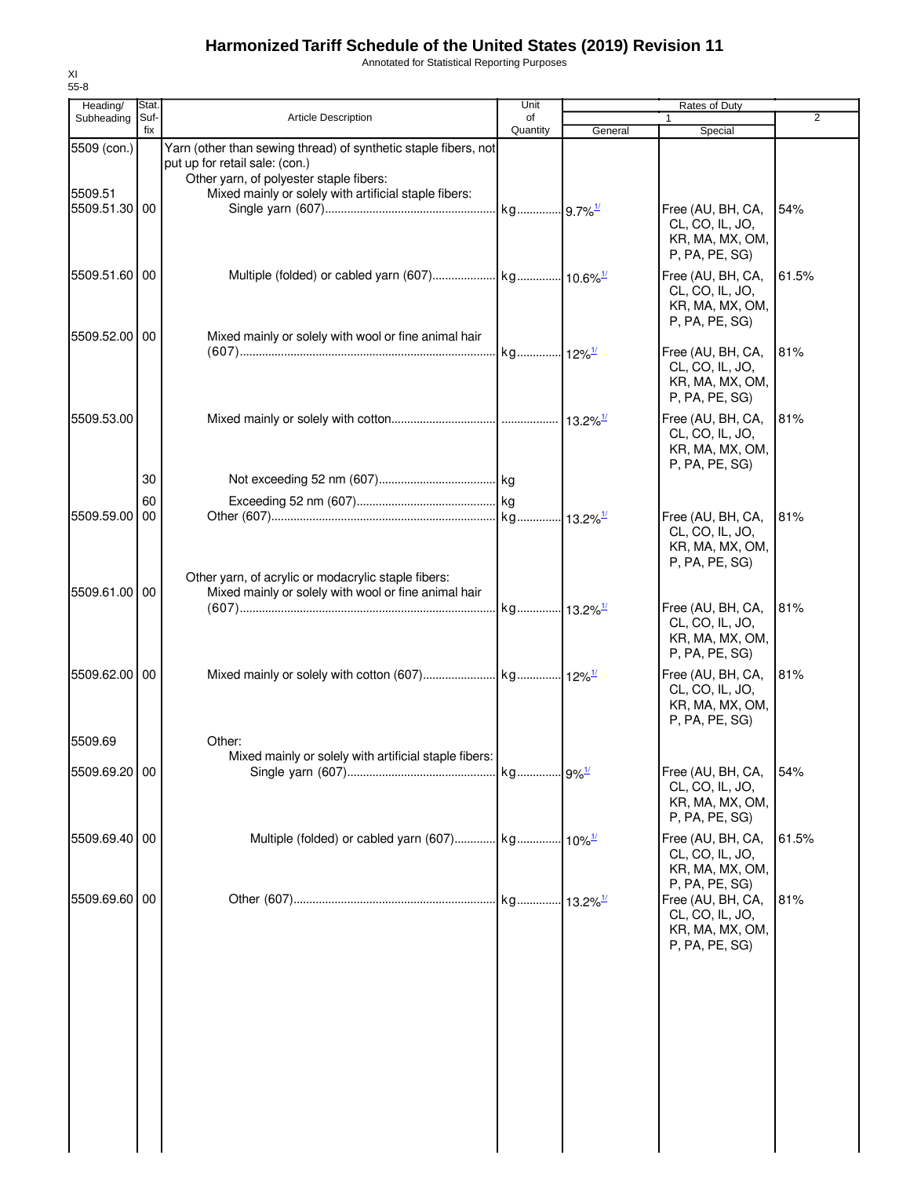Annotated for Statistical Reporting Purposes

| Heading/                                | Stat.       |                                                                                                                                                                                                       | Unit           |         | Rates of Duty                                                             |       |
|-----------------------------------------|-------------|-------------------------------------------------------------------------------------------------------------------------------------------------------------------------------------------------------|----------------|---------|---------------------------------------------------------------------------|-------|
| Subheading                              | Suf-<br>fix | <b>Article Description</b>                                                                                                                                                                            | of<br>Quantity | General | 1<br>Special                                                              | 2     |
| 5509 (con.)<br>5509.51<br>5509.51.30 00 |             | Yarn (other than sewing thread) of synthetic staple fibers, not<br>put up for retail sale: (con.)<br>Other yarn, of polyester staple fibers:<br>Mixed mainly or solely with artificial staple fibers: |                |         | Free (AU, BH, CA,                                                         | 54%   |
|                                         |             |                                                                                                                                                                                                       |                |         | CL, CO, IL, JO,<br>KR, MA, MX, OM,<br>P, PA, PE, SG)                      |       |
| 5509.51.60 00                           |             |                                                                                                                                                                                                       |                |         | Free (AU, BH, CA,<br>CL, CO, IL, JO,<br>KR, MA, MX, OM,<br>P, PA, PE, SG) | 61.5% |
| 5509.52.00 00                           |             | Mixed mainly or solely with wool or fine animal hair                                                                                                                                                  |                |         | Free (AU, BH, CA,<br>CL, CO, IL, JO,<br>KR, MA, MX, OM,<br>P, PA, PE, SG) | 81%   |
| 5509.53.00                              | 30          |                                                                                                                                                                                                       |                |         | Free (AU, BH, CA,<br>CL, CO, IL, JO,<br>KR, MA, MX, OM,<br>P, PA, PE, SG) | 81%   |
|                                         | 60          |                                                                                                                                                                                                       |                |         |                                                                           |       |
| 5509.59.00                              | 00          |                                                                                                                                                                                                       |                |         | Free (AU, BH, CA,<br>CL, CO, IL, JO,<br>KR, MA, MX, OM,<br>P, PA, PE, SG) | 81%   |
| 5509.61.00 00                           |             | Other yarn, of acrylic or modacrylic staple fibers:<br>Mixed mainly or solely with wool or fine animal hair                                                                                           |                |         | Free (AU, BH, CA,<br>CL, CO, IL, JO,<br>KR, MA, MX, OM,<br>P, PA, PE, SG) | 81%   |
| 5509.62.00 00                           |             |                                                                                                                                                                                                       |                |         | Free (AU, BH, CA,<br>CL, CO, IL, JO,<br>KR, MA, MX, OM,<br>P, PA, PE, SG) | 81%   |
| 5509.69                                 |             | Other:                                                                                                                                                                                                |                |         |                                                                           |       |
| 5509.69.20 00                           |             | Mixed mainly or solely with artificial staple fibers:                                                                                                                                                 |                |         | Free (AU, BH, CA,<br>CL, CO, IL, JO,<br>KR, MA, MX, OM,<br>P, PA, PE, SG) | 54%   |
| 5509.69.40 00                           |             |                                                                                                                                                                                                       |                |         | Free (AU, BH, CA,<br>CL, CO, IL, JO,<br>KR, MA, MX, OM,<br>P, PA, PE, SG) | 61.5% |
| 5509.69.60 00                           |             |                                                                                                                                                                                                       |                |         | Free (AU, BH, CA,<br>CL, CO, IL, JO,<br>KR, MA, MX, OM,<br>P, PA, PE, SG) | 81%   |
|                                         |             |                                                                                                                                                                                                       |                |         |                                                                           |       |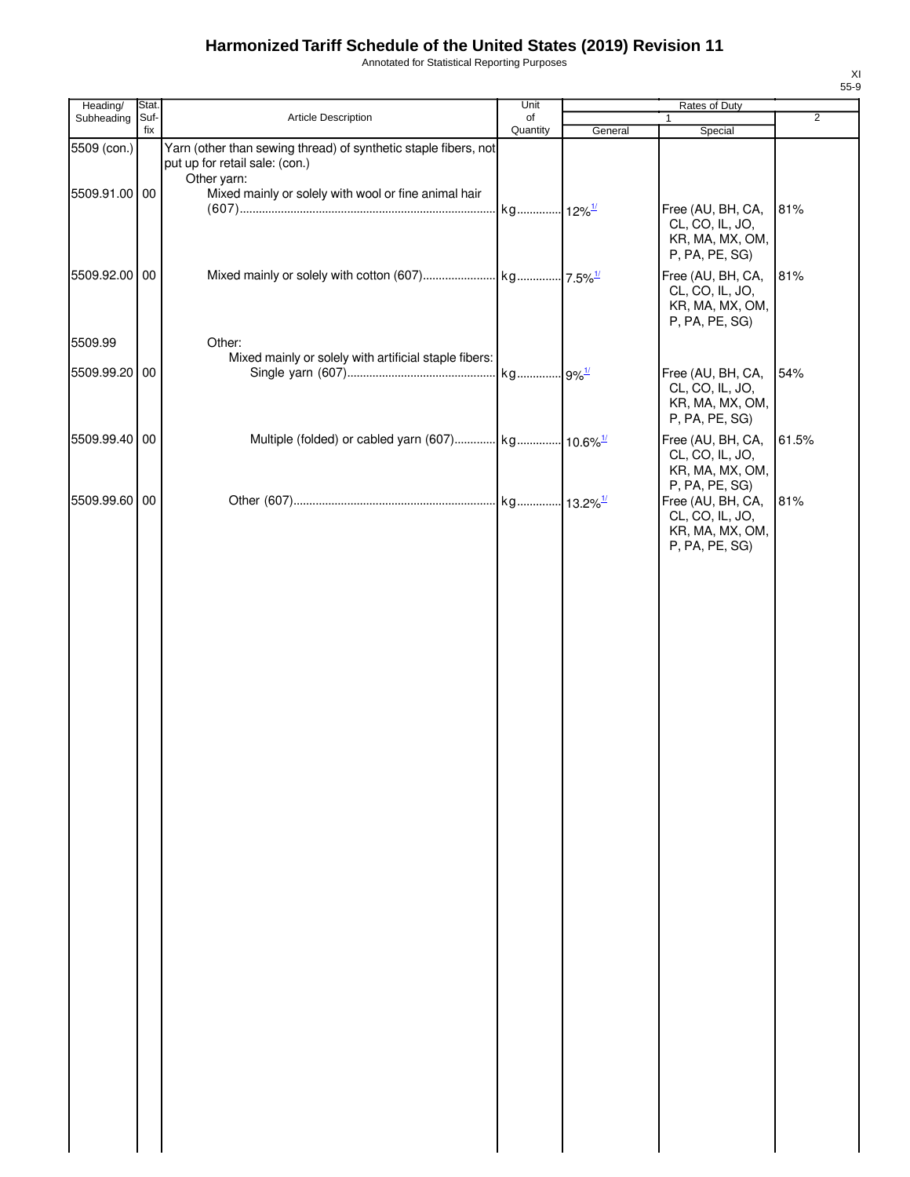Annotated for Statistical Reporting Purposes

| Heading/      | Stat.       |                                                                                                                  | Unit                 | Rates of Duty |                                                                                             |                |
|---------------|-------------|------------------------------------------------------------------------------------------------------------------|----------------------|---------------|---------------------------------------------------------------------------------------------|----------------|
| Subheading    | Suf-<br>fix | Article Description                                                                                              | of<br>Quantity       | General       | 1<br>Special                                                                                | $\overline{2}$ |
| 5509 (con.)   |             | Yarn (other than sewing thread) of synthetic staple fibers, not<br>put up for retail sale: (con.)<br>Other yarn: |                      |               |                                                                                             |                |
| 5509.91.00 00 |             | Mixed mainly or solely with wool or fine animal hair                                                             | kg 12% <sup>1/</sup> |               | Free (AU, BH, CA,<br>CL, CO, IL, JO,<br>KR, MA, MX, OM,                                     | 81%            |
| 5509.92.00 00 |             |                                                                                                                  |                      |               | P, PA, PE, SG)<br>Free (AU, BH, CA,<br>CL, CO, IL, JO,<br>KR, MA, MX, OM,<br>P, PA, PE, SG) | 81%            |
| 5509.99       |             | Other:<br>Mixed mainly or solely with artificial staple fibers:                                                  |                      |               |                                                                                             |                |
| 5509.99.20 00 |             |                                                                                                                  |                      |               | Free (AU, BH, CA,<br>CL, CO, IL, JO,<br>KR, MA, MX, OM,<br>P, PA, PE, SG)                   | 54%            |
| 5509.99.40 00 |             | Multiple (folded) or cabled yarn (607) kg 10.6% <sup>1/</sup>                                                    |                      |               | Free (AU, BH, CA,<br>CL, CO, IL, JO,<br>KR, MA, MX, OM,<br>P, PA, PE, SG)                   | 61.5%          |
| 5509.99.60 00 |             |                                                                                                                  |                      |               | Free (AU, BH, CA,<br>CL, CO, IL, JO,<br>KR, MA, MX, OM,<br>P, PA, PE, SG)                   | 81%            |
|               |             |                                                                                                                  |                      |               |                                                                                             |                |
|               |             |                                                                                                                  |                      |               |                                                                                             |                |
|               |             |                                                                                                                  |                      |               |                                                                                             |                |
|               |             |                                                                                                                  |                      |               |                                                                                             |                |
|               |             |                                                                                                                  |                      |               |                                                                                             |                |
|               |             |                                                                                                                  |                      |               |                                                                                             |                |
|               |             |                                                                                                                  |                      |               |                                                                                             |                |
|               |             |                                                                                                                  |                      |               |                                                                                             |                |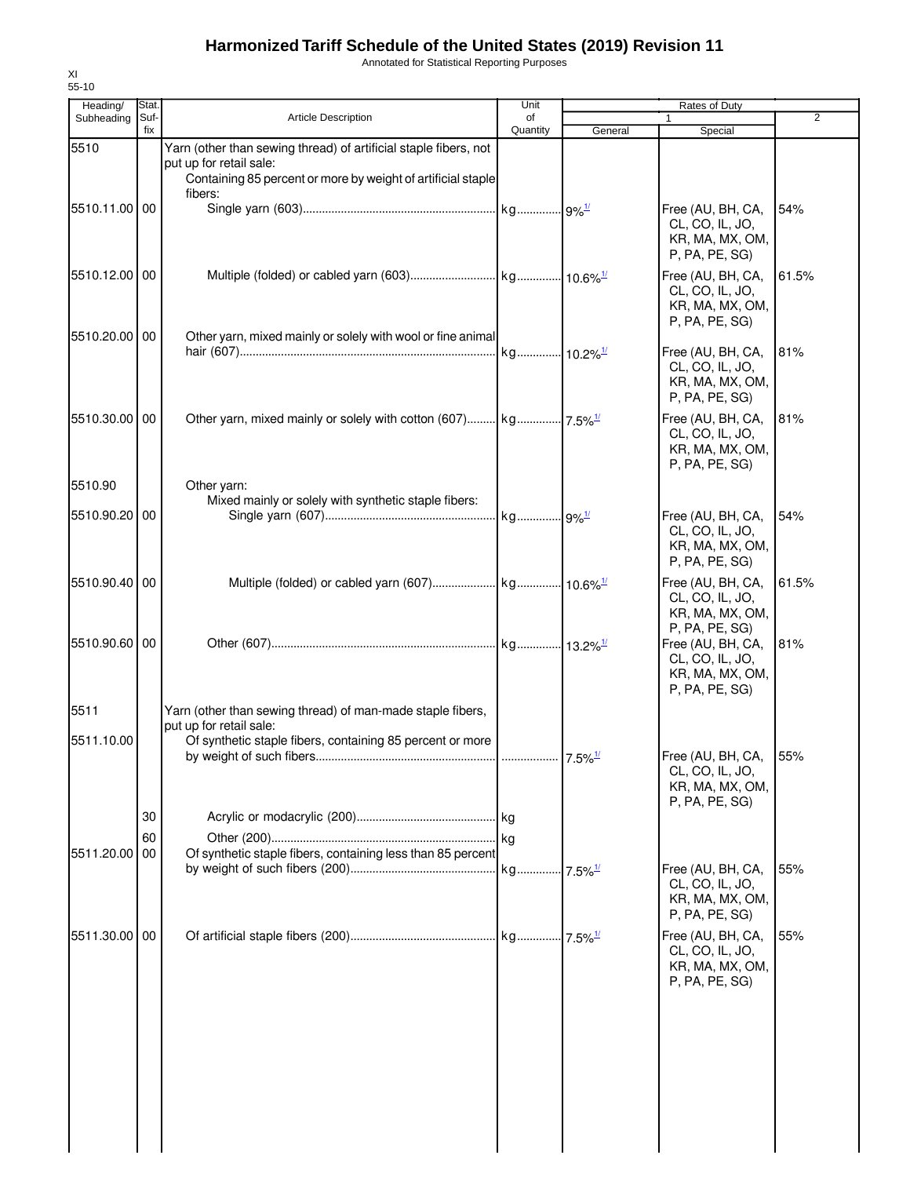Annotated for Statistical Reporting Purposes

| Heading/      | Stat.       |                                                                                                                                                             | Unit           | <b>Rates of Duty</b> |                                                                                             |                |
|---------------|-------------|-------------------------------------------------------------------------------------------------------------------------------------------------------------|----------------|----------------------|---------------------------------------------------------------------------------------------|----------------|
| Subheading    | Suf-<br>fix | <b>Article Description</b>                                                                                                                                  | of<br>Quantity | General              | 1<br>Special                                                                                | $\overline{2}$ |
| 5510          |             | Yarn (other than sewing thread) of artificial staple fibers, not<br>put up for retail sale:<br>Containing 85 percent or more by weight of artificial staple |                |                      |                                                                                             |                |
| 5510.11.00 00 |             | fibers:                                                                                                                                                     |                |                      | Free (AU, BH, CA,<br>CL, CO, IL, JO,<br>KR, MA, MX, OM,<br>P, PA, PE, SG)                   | 54%            |
| 5510.12.00 00 |             |                                                                                                                                                             |                |                      | Free (AU, BH, CA,<br>CL, CO, IL, JO,<br>KR, MA, MX, OM,<br>P, PA, PE, SG)                   | 61.5%          |
| 5510.20.00 00 |             | Other yarn, mixed mainly or solely with wool or fine animal                                                                                                 |                |                      | Free (AU, BH, CA,<br>CL, CO, IL, JO,<br>KR, MA, MX, OM,<br>P, PA, PE, SG)                   | 81%            |
| 5510.30.00 00 |             |                                                                                                                                                             |                |                      | Free (AU, BH, CA,<br>CL, CO, IL, JO,<br>KR, MA, MX, OM,<br>P, PA, PE, SG)                   | 81%            |
| 5510.90       |             | Other yarn:                                                                                                                                                 |                |                      |                                                                                             |                |
| 5510.90.20 00 |             | Mixed mainly or solely with synthetic staple fibers:                                                                                                        |                |                      | Free (AU, BH, CA,<br>CL, CO, IL, JO,<br>KR, MA, MX, OM,<br>P, PA, PE, SG)                   | 54%            |
| 5510.90.40 00 |             |                                                                                                                                                             |                |                      | Free (AU, BH, CA,<br>CL, CO, IL, JO,<br>KR, MA, MX, OM,                                     | 61.5%          |
| 5510.90.60 00 |             |                                                                                                                                                             |                |                      | P, PA, PE, SG)<br>Free (AU, BH, CA,<br>CL, CO, IL, JO,<br>KR, MA, MX, OM,<br>P, PA, PE, SG) | 81%            |
| 5511          |             | Yarn (other than sewing thread) of man-made staple fibers,<br>put up for retail sale:                                                                       |                |                      |                                                                                             |                |
| 5511.10.00    |             | Of synthetic staple fibers, containing 85 percent or more                                                                                                   |                |                      | Free (AU, BH, CA, 55%<br>CL, CO, IL, JO,<br>KR, MA, MX, OM,<br>P, PA, PE, SG)               |                |
|               | 30          |                                                                                                                                                             |                |                      |                                                                                             |                |
|               | 60          |                                                                                                                                                             |                |                      |                                                                                             |                |
| 5511.20.00    | 00          | Of synthetic staple fibers, containing less than 85 percent                                                                                                 |                |                      | Free (AU, BH, CA,<br>CL, CO, IL, JO,<br>KR, MA, MX, OM,<br>P, PA, PE, SG)                   | 55%            |
| 5511.30.00 00 |             |                                                                                                                                                             |                |                      | Free (AU, BH, CA,<br>CL, CO, IL, JO,<br>KR, MA, MX, OM,<br>P, PA, PE, SG)                   | 55%            |
|               |             |                                                                                                                                                             |                |                      |                                                                                             |                |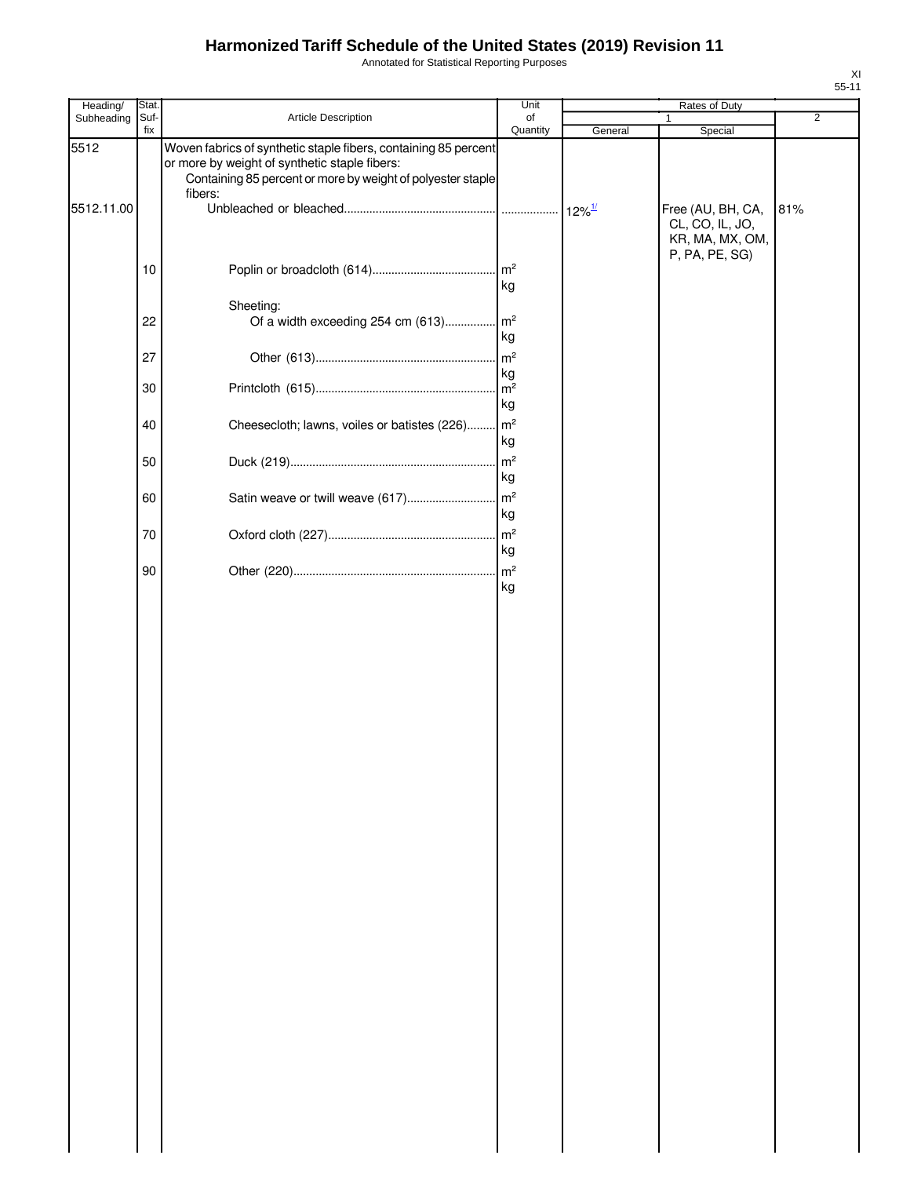Annotated for Statistical Reporting Purposes

| Heading/   | Stat. |                                                                                                                                                                                            | Unit                 |                      | Rates of Duty                                           |                |
|------------|-------|--------------------------------------------------------------------------------------------------------------------------------------------------------------------------------------------|----------------------|----------------------|---------------------------------------------------------|----------------|
| Subheading | Suf-  | Article Description                                                                                                                                                                        | of                   |                      |                                                         | $\overline{2}$ |
| 5512       | fix   | Woven fabrics of synthetic staple fibers, containing 85 percent<br>or more by weight of synthetic staple fibers:<br>Containing 85 percent or more by weight of polyester staple<br>fibers: | Quantity             | General              | Special                                                 |                |
| 5512.11.00 |       |                                                                                                                                                                                            |                      | $12\%$ <sup>1/</sup> | Free (AU, BH, CA,<br>CL, CO, IL, JO,<br>KR, MA, MX, OM, | 81%            |
|            | 10    |                                                                                                                                                                                            | kg                   |                      | P, PA, PE, SG)                                          |                |
|            | 22    | Sheeting:<br>Of a width exceeding 254 cm (613) m <sup>2</sup>                                                                                                                              | kg                   |                      |                                                         |                |
|            | 27    |                                                                                                                                                                                            | kg                   |                      |                                                         |                |
|            | 30    |                                                                                                                                                                                            | kg                   |                      |                                                         |                |
|            | 40    | Cheesecloth; lawns, voiles or batistes (226) m <sup>2</sup>                                                                                                                                | kg                   |                      |                                                         |                |
|            | 50    |                                                                                                                                                                                            | kg                   |                      |                                                         |                |
|            | 60    | Satin weave or twill weave (617)                                                                                                                                                           | m <sup>2</sup><br>kg |                      |                                                         |                |
|            | 70    |                                                                                                                                                                                            | kg                   |                      |                                                         |                |
|            | 90    |                                                                                                                                                                                            | kg                   |                      |                                                         |                |
|            |       |                                                                                                                                                                                            |                      |                      |                                                         |                |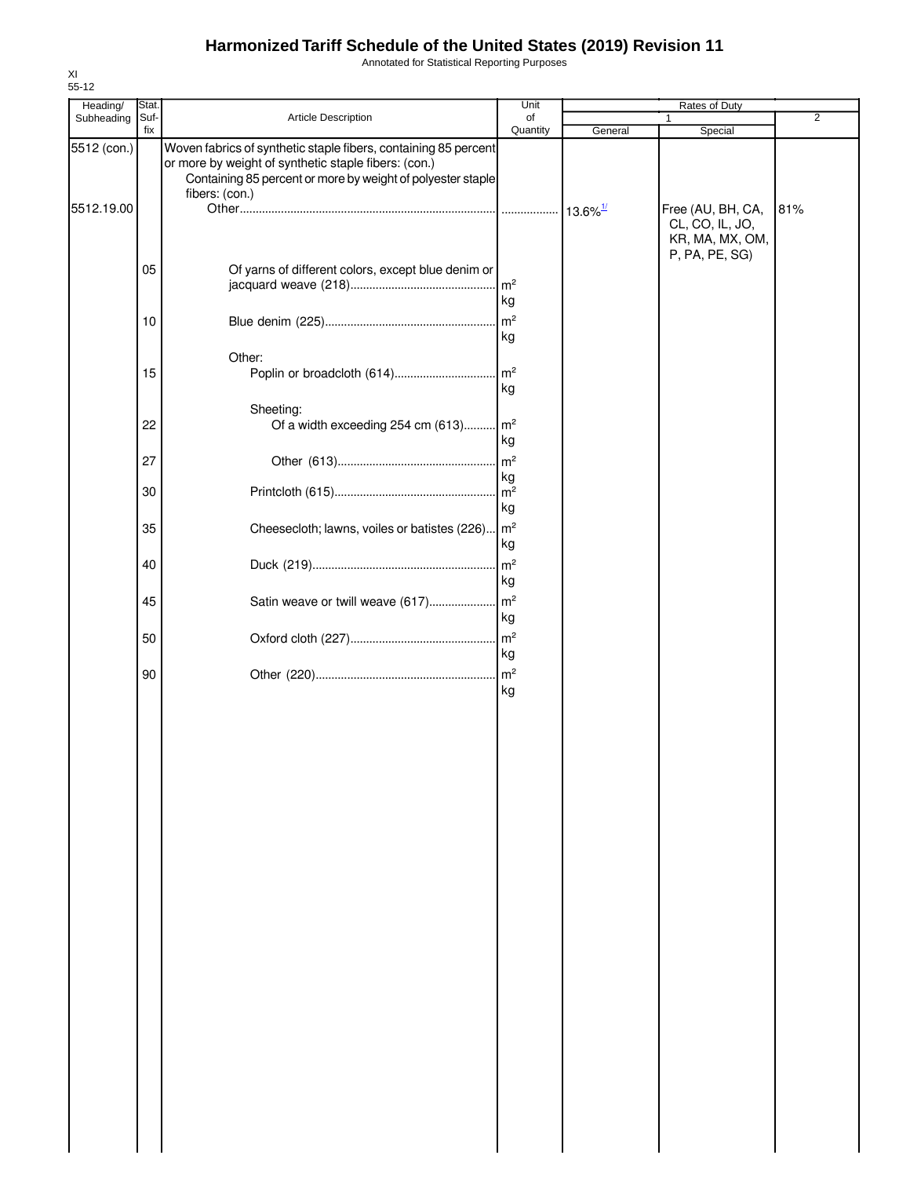Annotated for Statistical Reporting Purposes

| Heading/    | Stat.    |                                                                                                                                                                                                          | Unit     |         | Rates of Duty                                                             |                |
|-------------|----------|----------------------------------------------------------------------------------------------------------------------------------------------------------------------------------------------------------|----------|---------|---------------------------------------------------------------------------|----------------|
| Subheading  | Suf-     | Article Description                                                                                                                                                                                      | of       |         |                                                                           | $\overline{2}$ |
| 5512 (con.) | fix      | Woven fabrics of synthetic staple fibers, containing 85 percent<br>or more by weight of synthetic staple fibers: (con.)<br>Containing 85 percent or more by weight of polyester staple<br>fibers: (con.) | Quantity | General | Special                                                                   |                |
| 5512.19.00  |          |                                                                                                                                                                                                          |          |         | Free (AU, BH, CA,<br>CL, CO, IL, JO,<br>KR, MA, MX, OM,<br>P, PA, PE, SG) | 81%            |
|             | 05       | Of yarns of different colors, except blue denim or                                                                                                                                                       | kg       |         |                                                                           |                |
|             | 10       |                                                                                                                                                                                                          | kg       |         |                                                                           |                |
|             | 15       | Other:                                                                                                                                                                                                   | kg       |         |                                                                           |                |
|             | 22       | Sheeting:<br>Of a width exceeding 254 cm (613) m <sup>2</sup>                                                                                                                                            |          |         |                                                                           |                |
|             | 27       |                                                                                                                                                                                                          | kg<br>kg |         |                                                                           |                |
|             | 30       |                                                                                                                                                                                                          | kg       |         |                                                                           |                |
|             | 35<br>40 | Cheesecloth; lawns, voiles or batistes (226)   m <sup>2</sup>                                                                                                                                            | kg       |         |                                                                           |                |
|             | 45       |                                                                                                                                                                                                          | kg       |         |                                                                           |                |
|             | 50       |                                                                                                                                                                                                          | kg       |         |                                                                           |                |
|             | 90       |                                                                                                                                                                                                          | kg<br>kg |         |                                                                           |                |
|             |          |                                                                                                                                                                                                          |          |         |                                                                           |                |
|             |          |                                                                                                                                                                                                          |          |         |                                                                           |                |
|             |          |                                                                                                                                                                                                          |          |         |                                                                           |                |
|             |          |                                                                                                                                                                                                          |          |         |                                                                           |                |
|             |          |                                                                                                                                                                                                          |          |         |                                                                           |                |
|             |          |                                                                                                                                                                                                          |          |         |                                                                           |                |
|             |          |                                                                                                                                                                                                          |          |         |                                                                           |                |
|             |          |                                                                                                                                                                                                          |          |         |                                                                           |                |
|             |          |                                                                                                                                                                                                          |          |         |                                                                           |                |
|             |          |                                                                                                                                                                                                          |          |         |                                                                           |                |
|             |          |                                                                                                                                                                                                          |          |         |                                                                           |                |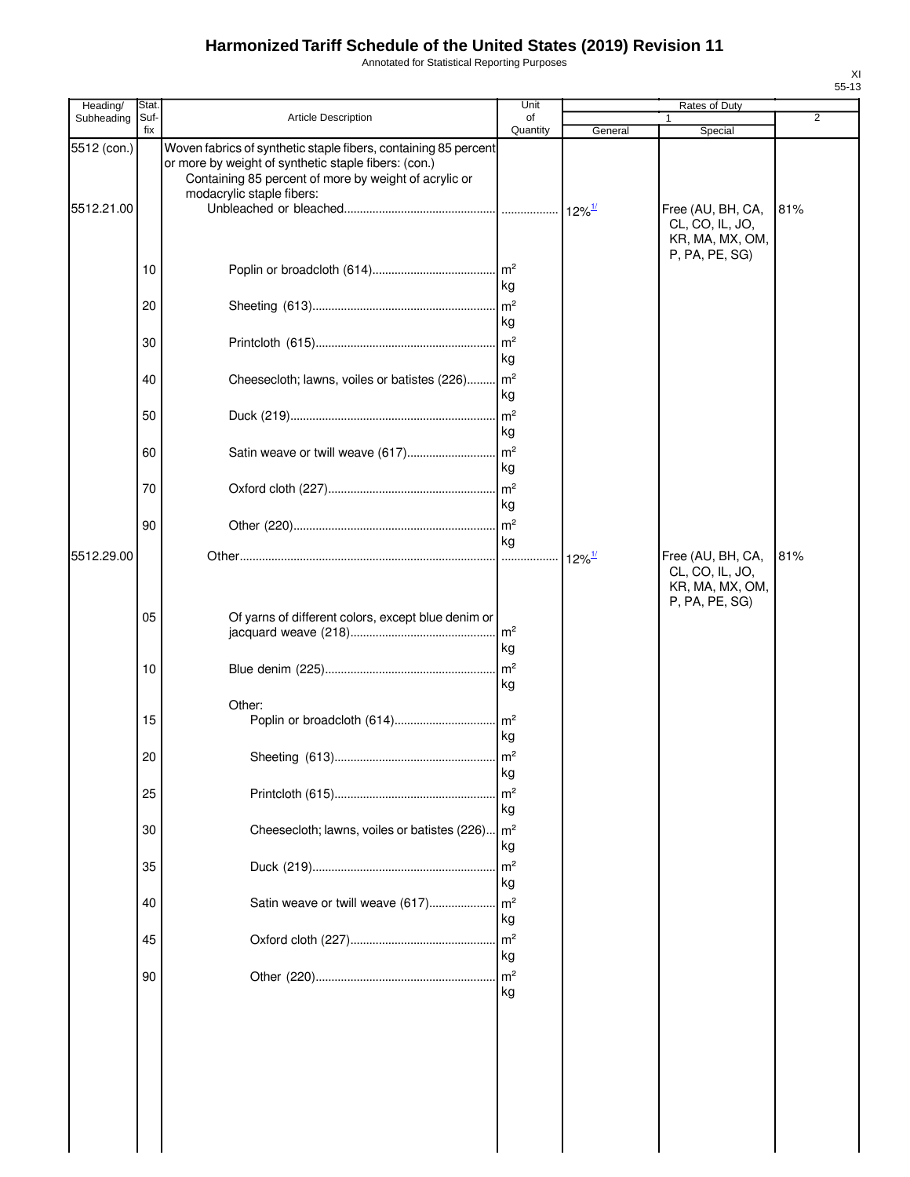Annotated for Statistical Reporting Purposes

| Heading/                  | <b>Stat</b>    |                                                                                                                                                                                                               | Unit                       |                      | Rates of Duty                                           |                |
|---------------------------|----------------|---------------------------------------------------------------------------------------------------------------------------------------------------------------------------------------------------------------|----------------------------|----------------------|---------------------------------------------------------|----------------|
| Subheading                | Suf-<br>fix    | <b>Article Description</b>                                                                                                                                                                                    | of<br>Quantity             | General              | Special                                                 | $\overline{2}$ |
| 5512 (con.)<br>5512.21.00 |                | Woven fabrics of synthetic staple fibers, containing 85 percent<br>or more by weight of synthetic staple fibers: (con.)<br>Containing 85 percent of more by weight of acrylic or<br>modacrylic staple fibers: |                            |                      | Free (AU, BH, CA,<br>CL, CO, IL, JO,<br>KR, MA, MX, OM, | 81%            |
|                           | 10             |                                                                                                                                                                                                               | $\mathsf{Im}^2$            |                      | P, PA, PE, SG)                                          |                |
|                           | 20             |                                                                                                                                                                                                               | kg<br>kg                   |                      |                                                         |                |
|                           | 30             |                                                                                                                                                                                                               | $\mathsf{Im}^2$<br>kg      |                      |                                                         |                |
|                           | 40             | Cheesecloth; lawns, voiles or batistes (226) m <sup>2</sup>                                                                                                                                                   | kg                         |                      |                                                         |                |
|                           | 50             |                                                                                                                                                                                                               | kg                         |                      |                                                         |                |
|                           | 60             | Satin weave or twill weave (617)                                                                                                                                                                              | m <sup>2</sup><br>kg       |                      |                                                         |                |
|                           | 70<br>90       |                                                                                                                                                                                                               | kg                         |                      |                                                         |                |
| 5512.29.00                |                |                                                                                                                                                                                                               | kg                         | $12\%$ <sup>1/</sup> | Free (AU, BH, CA,<br>CL, CO, IL, JO,                    | 81%            |
|                           | 05<br>10<br>15 | Of yarns of different colors, except blue denim or<br>Other:                                                                                                                                                  | kg<br>kg<br>kg             |                      | KR, MA, MX, OM,<br>P, PA, PE, SG)                       |                |
|                           | 20<br>25       |                                                                                                                                                                                                               | kg<br>m <sup>2</sup>       |                      |                                                         |                |
|                           | 30             | Cheesecloth; lawns, voiles or batistes (226) m <sup>2</sup>                                                                                                                                                   | kg                         |                      |                                                         |                |
|                           | 35             |                                                                                                                                                                                                               | kg<br>m <sup>2</sup>       |                      |                                                         |                |
|                           | 40             | Satin weave or twill weave (617)                                                                                                                                                                              | kg<br>m <sup>2</sup><br>kg |                      |                                                         |                |
|                           | 45             |                                                                                                                                                                                                               | m <sup>2</sup><br>kg       |                      |                                                         |                |
|                           | 90             |                                                                                                                                                                                                               | m <sup>2</sup><br>kg       |                      |                                                         |                |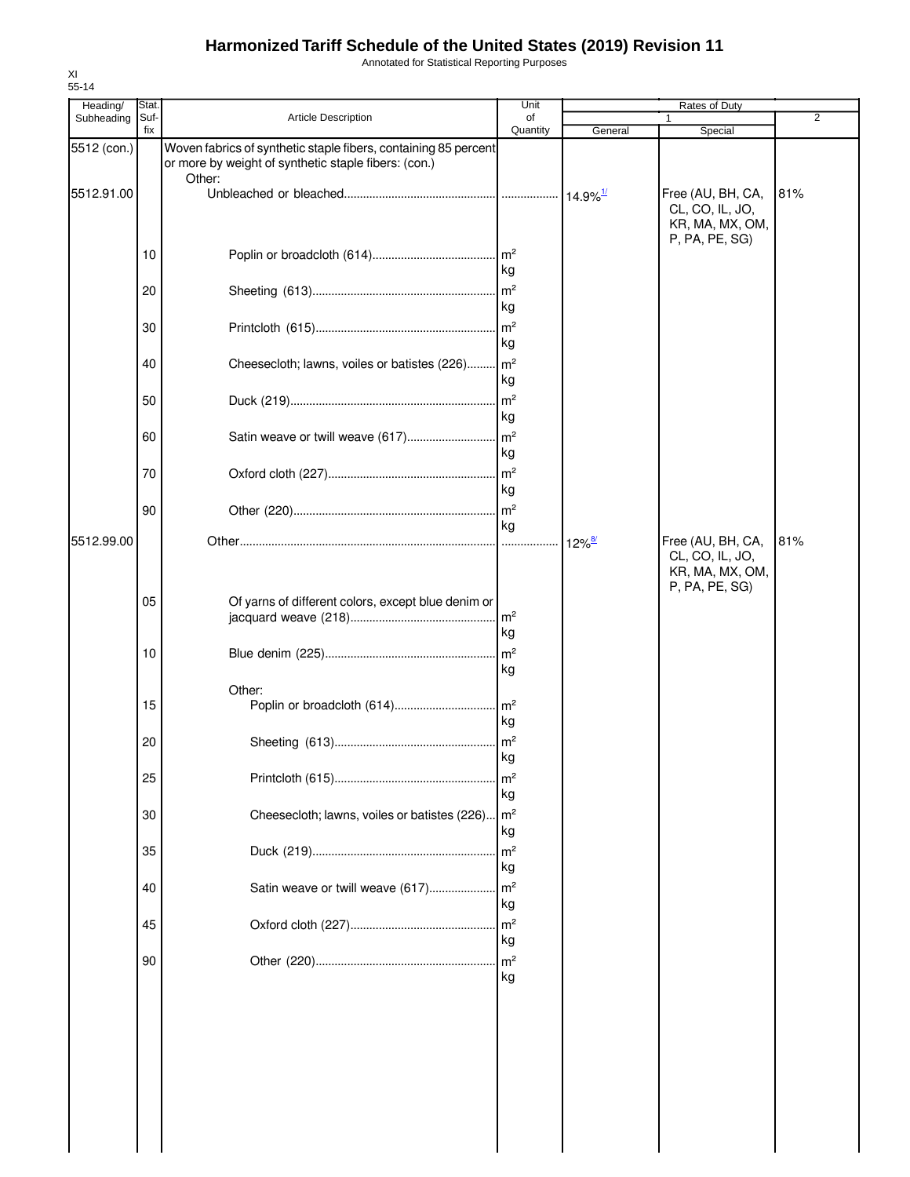Annotated for Statistical Reporting Purposes

| Heading/    | Stat.       |                                                                                                                                   | Unit                  |                      | <b>Rates of Duty</b>                                                      |     |
|-------------|-------------|-----------------------------------------------------------------------------------------------------------------------------------|-----------------------|----------------------|---------------------------------------------------------------------------|-----|
| Subheading  | Suf-<br>fix | Article Description                                                                                                               | of<br>Quantity        | General              | 1<br>Special                                                              | 2   |
| 5512 (con.) |             | Woven fabrics of synthetic staple fibers, containing 85 percent<br>or more by weight of synthetic staple fibers: (con.)<br>Other: |                       |                      |                                                                           |     |
| 5512.91.00  |             |                                                                                                                                   |                       |                      | Free (AU, BH, CA,<br>CL, CO, IL, JO,<br>KR, MA, MX, OM,<br>P, PA, PE, SG) | 81% |
|             | 10          |                                                                                                                                   | $\mathsf{Im}^2$<br>kg |                      |                                                                           |     |
|             | 20          |                                                                                                                                   | kg                    |                      |                                                                           |     |
|             | 30          |                                                                                                                                   | $\mathsf{m}^2$<br>kg  |                      |                                                                           |     |
|             | 40          | Cheesecloth; lawns, voiles or batistes (226)                                                                                      | m <sup>2</sup><br>kg  |                      |                                                                           |     |
|             | 50          |                                                                                                                                   | m <sup>2</sup><br>kg  |                      |                                                                           |     |
|             | 60          | Satin weave or twill weave (617)                                                                                                  | $\mathsf{Im}^2$<br>kg |                      |                                                                           |     |
|             | 70          |                                                                                                                                   | kg                    |                      |                                                                           |     |
|             | 90          |                                                                                                                                   | $\mathsf{Im}^2$<br>kg |                      |                                                                           |     |
| 5512.99.00  |             |                                                                                                                                   |                       | $12\%$ <sup>8/</sup> | Free (AU, BH, CA,<br>CL, CO, IL, JO,<br>KR, MA, MX, OM,<br>P, PA, PE, SG) | 81% |
|             | 05          | Of yarns of different colors, except blue denim or                                                                                | $\mathsf{Im}^2$<br>kg |                      |                                                                           |     |
|             | 10          |                                                                                                                                   | m <sup>2</sup><br>kg  |                      |                                                                           |     |
|             | 15          | Other:<br>Poplin or broadcloth (614)                                                                                              | $\mathsf{m}^2$<br>kg  |                      |                                                                           |     |
|             | 20          |                                                                                                                                   | $\mathsf{Im}^2$<br>kg |                      |                                                                           |     |
|             | 25          |                                                                                                                                   | m <sup>2</sup><br>kg  |                      |                                                                           |     |
|             | 30          | Cheesecloth; lawns, voiles or batistes (226)                                                                                      | $\mathsf{Im}^2$<br>kg |                      |                                                                           |     |
|             | 35          |                                                                                                                                   | m <sup>2</sup><br>kg  |                      |                                                                           |     |
|             | 40          | Satin weave or twill weave (617)                                                                                                  | m <sup>2</sup><br>kg  |                      |                                                                           |     |
|             | 45          |                                                                                                                                   | m <sup>2</sup><br>kg  |                      |                                                                           |     |
|             | 90          |                                                                                                                                   | m <sup>2</sup><br>kg  |                      |                                                                           |     |
|             |             |                                                                                                                                   |                       |                      |                                                                           |     |
|             |             |                                                                                                                                   |                       |                      |                                                                           |     |
|             |             |                                                                                                                                   |                       |                      |                                                                           |     |
|             |             |                                                                                                                                   |                       |                      |                                                                           |     |
|             |             |                                                                                                                                   |                       |                      |                                                                           |     |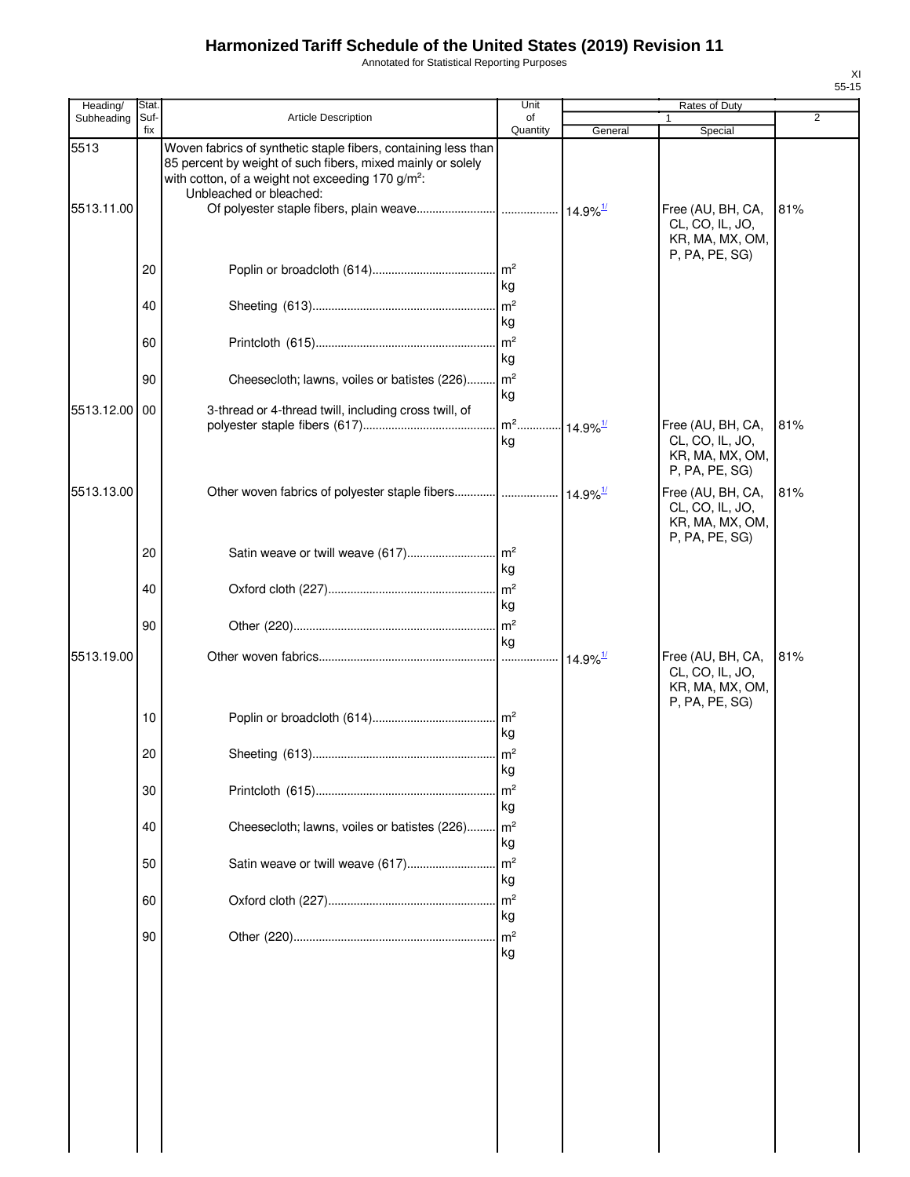Annotated for Statistical Reporting Purposes

| Heading/           | Stat.       |                                                                                                                                                                                                                           | Unit                 |                        | Rates of Duty                                                             |     |
|--------------------|-------------|---------------------------------------------------------------------------------------------------------------------------------------------------------------------------------------------------------------------------|----------------------|------------------------|---------------------------------------------------------------------------|-----|
| Subheading         | Suf-<br>fix | <b>Article Description</b>                                                                                                                                                                                                | of<br>Quantity       | General                | 1<br>Special                                                              | 2   |
| 5513<br>5513.11.00 |             | Woven fabrics of synthetic staple fibers, containing less than<br>85 percent by weight of such fibers, mixed mainly or solely<br>with cotton, of a weight not exceeding 170 g/m <sup>2</sup> :<br>Unbleached or bleached: |                      |                        | Free (AU, BH, CA,                                                         | 81% |
|                    |             |                                                                                                                                                                                                                           |                      |                        | CL, CO, IL, JO,<br>KR, MA, MX, OM,<br>P, PA, PE, SG)                      |     |
|                    | 20          |                                                                                                                                                                                                                           | kg                   |                        |                                                                           |     |
|                    | 40          |                                                                                                                                                                                                                           | kg                   |                        |                                                                           |     |
|                    | 60          |                                                                                                                                                                                                                           | kg                   |                        |                                                                           |     |
|                    | 90          | Cheesecloth; lawns, voiles or batistes (226) m <sup>2</sup>                                                                                                                                                               | kg                   |                        |                                                                           |     |
| 5513.12.00         | 00          | 3-thread or 4-thread twill, including cross twill, of                                                                                                                                                                     | kg                   |                        | Free (AU, BH, CA,<br>CL, CO, IL, JO,                                      | 81% |
|                    |             |                                                                                                                                                                                                                           |                      |                        | KR, MA, MX, OM,<br>P, PA, PE, SG)                                         |     |
| 5513.13.00         |             | Other woven fabrics of polyester staple fibers  14.9% <sup>1/</sup>                                                                                                                                                       |                      |                        | Free (AU, BH, CA,<br>CL, CO, IL, JO,<br>KR, MA, MX, OM,<br>P, PA, PE, SG) | 81% |
|                    | 20          |                                                                                                                                                                                                                           | kg                   |                        |                                                                           |     |
|                    | 40          |                                                                                                                                                                                                                           | kg                   |                        |                                                                           |     |
|                    | 90          |                                                                                                                                                                                                                           | kg                   |                        |                                                                           |     |
| 5513.19.00         |             |                                                                                                                                                                                                                           |                      | $14.9\%$ <sup>1/</sup> | Free (AU, BH, CA,<br>CL, CO, IL, JO,<br>KR, MA, MX, OM,<br>P, PA, PE, SG) | 81% |
|                    | 10          |                                                                                                                                                                                                                           | kg                   |                        |                                                                           |     |
|                    | 20          |                                                                                                                                                                                                                           | kg                   |                        |                                                                           |     |
|                    | 30          |                                                                                                                                                                                                                           | m <sup>2</sup><br>kg |                        |                                                                           |     |
|                    | 40          | Cheesecloth; lawns, voiles or batistes (226) m <sup>2</sup>                                                                                                                                                               | kg                   |                        |                                                                           |     |
|                    | 50          | Satin weave or twill weave (617)                                                                                                                                                                                          | m <sup>2</sup><br>kg |                        |                                                                           |     |
|                    | 60          |                                                                                                                                                                                                                           | m <sup>2</sup><br>kg |                        |                                                                           |     |
|                    | 90          |                                                                                                                                                                                                                           | kg                   |                        |                                                                           |     |
|                    |             |                                                                                                                                                                                                                           |                      |                        |                                                                           |     |
|                    |             |                                                                                                                                                                                                                           |                      |                        |                                                                           |     |
|                    |             |                                                                                                                                                                                                                           |                      |                        |                                                                           |     |
|                    |             |                                                                                                                                                                                                                           |                      |                        |                                                                           |     |
|                    |             |                                                                                                                                                                                                                           |                      |                        |                                                                           |     |
|                    |             |                                                                                                                                                                                                                           |                      |                        |                                                                           |     |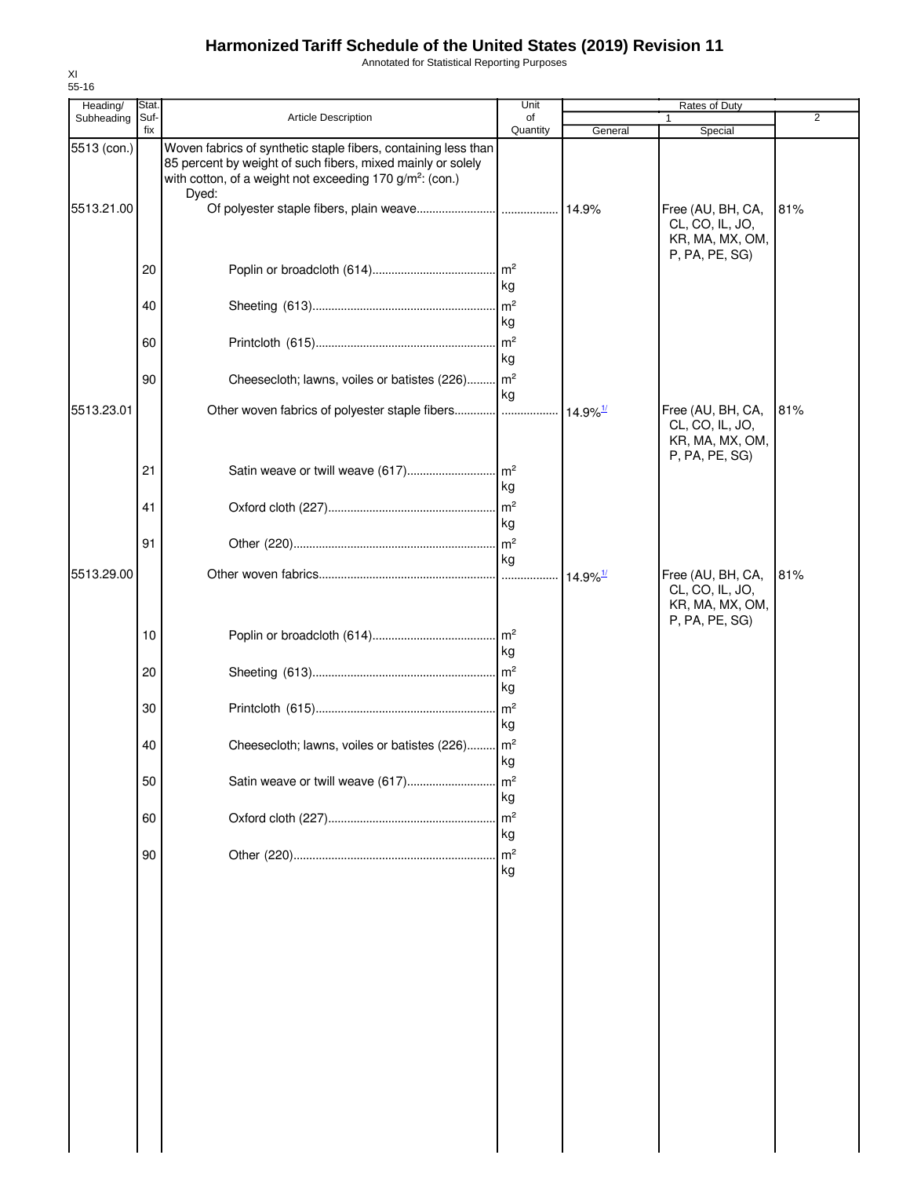Annotated for Statistical Reporting Purposes

| Heading/    | <b>Stat</b> |                                                                                                                                                                                                                | Unit                 |                        | Rates of Duty                                                             |                |
|-------------|-------------|----------------------------------------------------------------------------------------------------------------------------------------------------------------------------------------------------------------|----------------------|------------------------|---------------------------------------------------------------------------|----------------|
| Subheading  | Suf-<br>fix | <b>Article Description</b>                                                                                                                                                                                     | of<br>Quantity       | General                | Special                                                                   | $\overline{2}$ |
| 5513 (con.) |             | Woven fabrics of synthetic staple fibers, containing less than<br>85 percent by weight of such fibers, mixed mainly or solely<br>with cotton, of a weight not exceeding 170 g/m <sup>2</sup> : (con.)<br>Dyed: |                      |                        |                                                                           |                |
| 5513.21.00  |             |                                                                                                                                                                                                                |                      |                        | Free (AU, BH, CA,<br>CL, CO, IL, JO,<br>KR, MA, MX, OM,<br>P, PA, PE, SG) | 81%            |
|             | 20          |                                                                                                                                                                                                                | kg                   |                        |                                                                           |                |
|             | 40          |                                                                                                                                                                                                                | kg                   |                        |                                                                           |                |
|             | 60          |                                                                                                                                                                                                                | kg                   |                        |                                                                           |                |
| 5513.23.01  | 90          | Cheesecloth; lawns, voiles or batistes (226)                                                                                                                                                                   | m <sup>2</sup><br>kg |                        | Free (AU, BH, CA,                                                         | 81%            |
|             |             |                                                                                                                                                                                                                |                      | $14.9\%$ <sup>1/</sup> | CL, CO, IL, JO,<br>KR, MA, MX, OM,<br>P, PA, PE, SG)                      |                |
|             | 21          |                                                                                                                                                                                                                | kg                   |                        |                                                                           |                |
|             | 41          |                                                                                                                                                                                                                | kg                   |                        |                                                                           |                |
| 5513.29.00  | 91          |                                                                                                                                                                                                                | ka                   | $14.9\%$ <sup>1/</sup> | Free (AU, BH, CA,                                                         | 81%            |
|             |             |                                                                                                                                                                                                                |                      |                        | CL, CO, IL, JO,<br>KR, MA, MX, OM,<br>P, PA, PE, SG)                      |                |
|             | 10          |                                                                                                                                                                                                                | kg                   |                        |                                                                           |                |
|             | 20          |                                                                                                                                                                                                                | kg                   |                        |                                                                           |                |
|             | 30          |                                                                                                                                                                                                                | m <sup>2</sup><br>kg |                        |                                                                           |                |
|             | 40<br>50    | Cheesecloth; lawns, voiles or batistes (226) m <sup>2</sup>                                                                                                                                                    | kg<br>m <sup>2</sup> |                        |                                                                           |                |
|             | 60          | Satin weave or twill weave (617)                                                                                                                                                                               | kg<br>m <sup>2</sup> |                        |                                                                           |                |
|             | 90          |                                                                                                                                                                                                                | kg<br>m <sup>2</sup> |                        |                                                                           |                |
|             |             |                                                                                                                                                                                                                | kg                   |                        |                                                                           |                |
|             |             |                                                                                                                                                                                                                |                      |                        |                                                                           |                |
|             |             |                                                                                                                                                                                                                |                      |                        |                                                                           |                |
|             |             |                                                                                                                                                                                                                |                      |                        |                                                                           |                |
|             |             |                                                                                                                                                                                                                |                      |                        |                                                                           |                |
|             |             |                                                                                                                                                                                                                |                      |                        |                                                                           |                |
|             |             |                                                                                                                                                                                                                |                      |                        |                                                                           |                |
|             |             |                                                                                                                                                                                                                |                      |                        |                                                                           |                |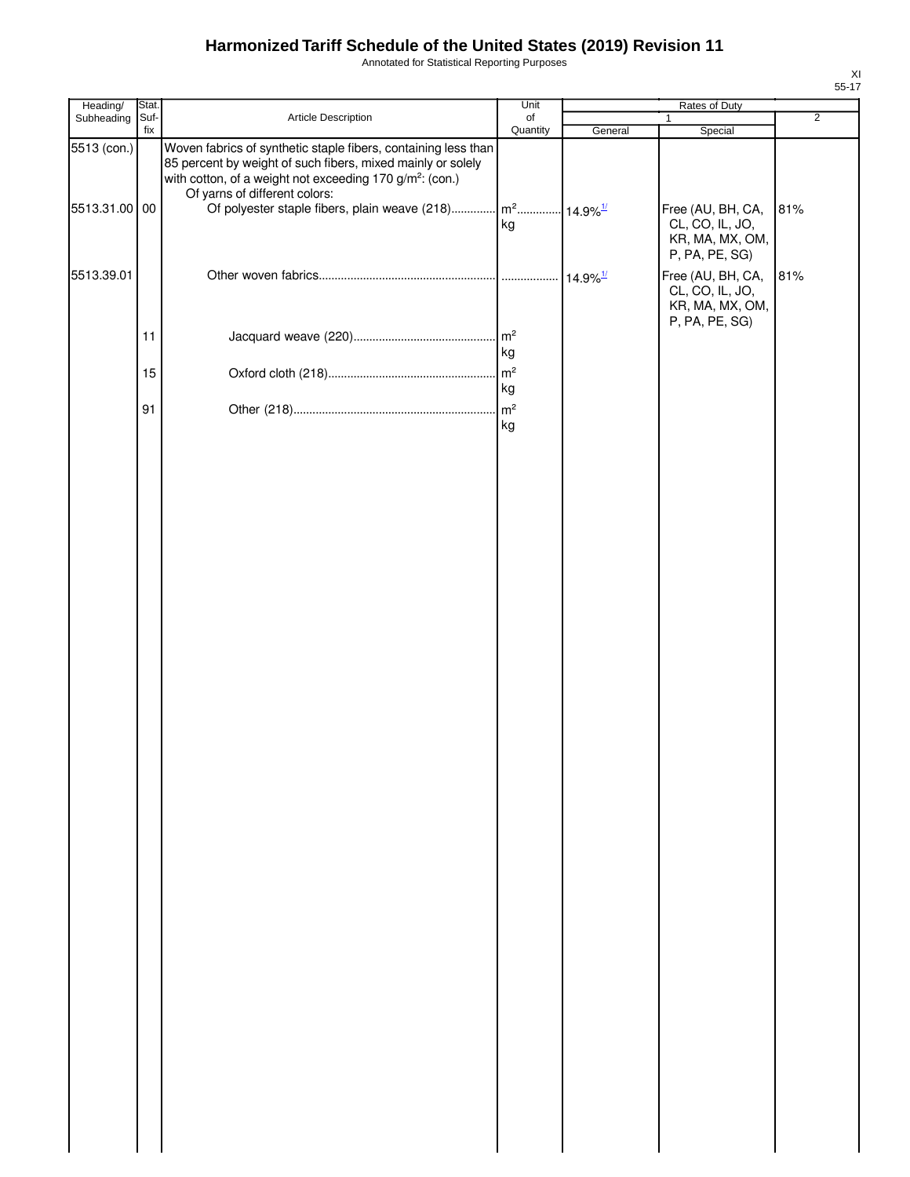Annotated for Statistical Reporting Purposes

| Heading/                     | Stat.       |                                                                                                                                                                                                                                                                                                                             | Unit                 |                        |                                                                           |                |
|------------------------------|-------------|-----------------------------------------------------------------------------------------------------------------------------------------------------------------------------------------------------------------------------------------------------------------------------------------------------------------------------|----------------------|------------------------|---------------------------------------------------------------------------|----------------|
| Subheading                   | Suf-<br>fix | Article Description                                                                                                                                                                                                                                                                                                         | of<br>Quantity       | General                | 1<br>Special                                                              | $\overline{2}$ |
| 5513 (con.)<br>5513.31.00 00 |             | Woven fabrics of synthetic staple fibers, containing less than<br>85 percent by weight of such fibers, mixed mainly or solely<br>with cotton, of a weight not exceeding 170 g/m <sup>2</sup> : (con.)<br>Of yarns of different colors:<br>Of polyester staple fibers, plain weave (218) $\left  m^2$ $14.9\%$ <sup>1/</sup> |                      |                        | Free (AU, BH, CA,                                                         | 81%            |
|                              |             |                                                                                                                                                                                                                                                                                                                             | kg                   |                        | CL, CO, IL, JO,<br>KR, MA, MX, OM,<br>P, PA, PE, SG)                      |                |
| 5513.39.01                   |             |                                                                                                                                                                                                                                                                                                                             |                      | $14.9\%$ <sup>1/</sup> | Free (AU, BH, CA,<br>CL, CO, IL, JO,<br>KR, MA, MX, OM,<br>P, PA, PE, SG) | 81%            |
|                              | 11          |                                                                                                                                                                                                                                                                                                                             | $\mathsf{m}^2$<br>kg |                        |                                                                           |                |
|                              | 15          |                                                                                                                                                                                                                                                                                                                             | $\mathsf{m}^2$<br>kg |                        |                                                                           |                |
|                              | 91          |                                                                                                                                                                                                                                                                                                                             | kg                   |                        |                                                                           |                |
|                              |             |                                                                                                                                                                                                                                                                                                                             |                      |                        |                                                                           |                |
|                              |             |                                                                                                                                                                                                                                                                                                                             |                      |                        |                                                                           |                |
|                              |             |                                                                                                                                                                                                                                                                                                                             |                      |                        |                                                                           |                |
|                              |             |                                                                                                                                                                                                                                                                                                                             |                      |                        |                                                                           |                |
|                              |             |                                                                                                                                                                                                                                                                                                                             |                      |                        |                                                                           |                |
|                              |             |                                                                                                                                                                                                                                                                                                                             |                      |                        |                                                                           |                |
|                              |             |                                                                                                                                                                                                                                                                                                                             |                      |                        |                                                                           |                |
|                              |             |                                                                                                                                                                                                                                                                                                                             |                      |                        |                                                                           |                |
|                              |             |                                                                                                                                                                                                                                                                                                                             |                      |                        |                                                                           |                |
|                              |             |                                                                                                                                                                                                                                                                                                                             |                      |                        |                                                                           |                |
|                              |             |                                                                                                                                                                                                                                                                                                                             |                      |                        |                                                                           |                |
|                              |             |                                                                                                                                                                                                                                                                                                                             |                      |                        |                                                                           |                |
|                              |             |                                                                                                                                                                                                                                                                                                                             |                      |                        |                                                                           |                |
|                              |             |                                                                                                                                                                                                                                                                                                                             |                      |                        |                                                                           |                |
|                              |             |                                                                                                                                                                                                                                                                                                                             |                      |                        |                                                                           |                |
|                              |             |                                                                                                                                                                                                                                                                                                                             |                      |                        |                                                                           |                |
|                              |             |                                                                                                                                                                                                                                                                                                                             |                      |                        |                                                                           |                |
|                              |             |                                                                                                                                                                                                                                                                                                                             |                      |                        |                                                                           |                |
|                              |             |                                                                                                                                                                                                                                                                                                                             |                      |                        |                                                                           |                |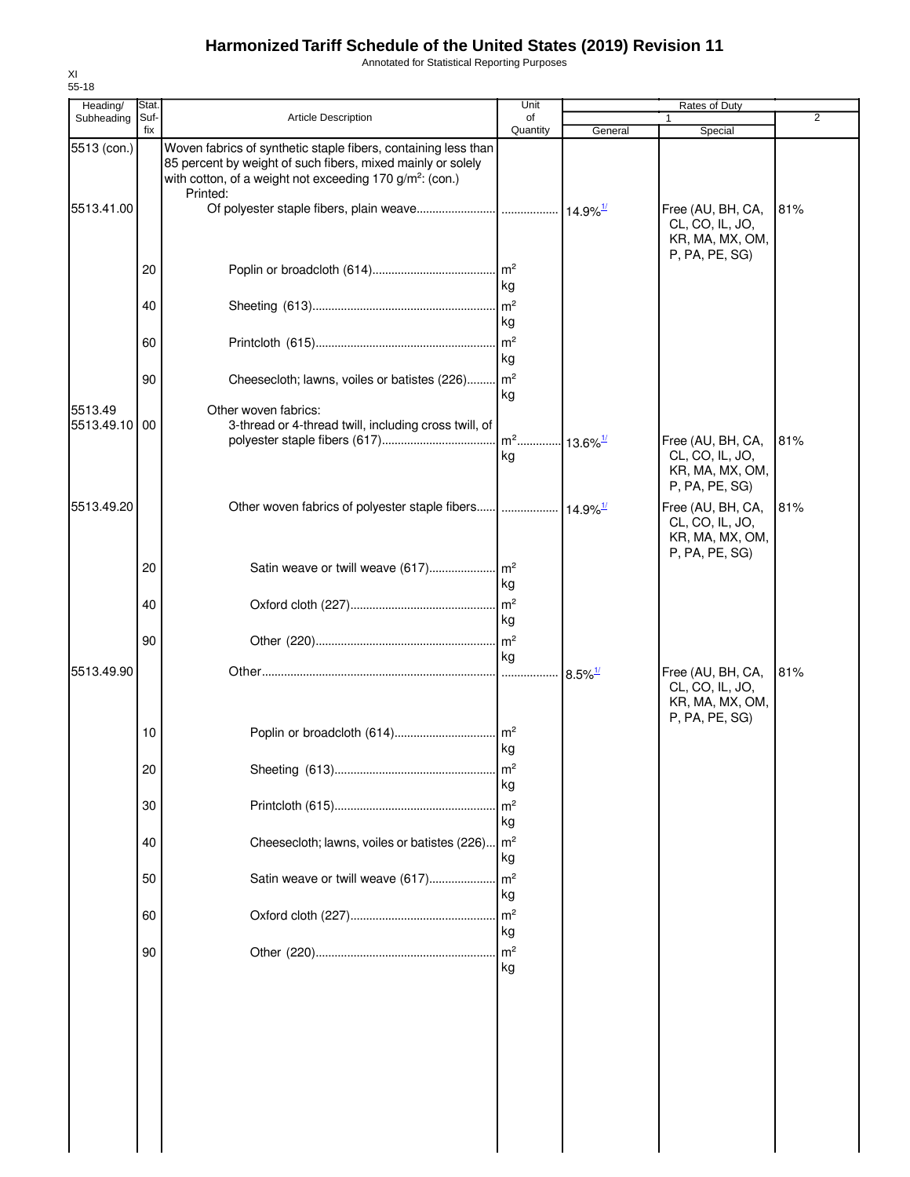Annotated for Statistical Reporting Purposes

| Heading/<br>Subheading   | Stat.<br>Suf- | <b>Article Description</b>                                                                                                                                                                                        | Unit<br>of           |                       | Rates of Duty<br>1                                                        | 2   |
|--------------------------|---------------|-------------------------------------------------------------------------------------------------------------------------------------------------------------------------------------------------------------------|----------------------|-----------------------|---------------------------------------------------------------------------|-----|
|                          | fix           |                                                                                                                                                                                                                   | Quantity             | General               | Special                                                                   |     |
| 5513 (con.)              |               | Woven fabrics of synthetic staple fibers, containing less than<br>85 percent by weight of such fibers, mixed mainly or solely<br>with cotton, of a weight not exceeding 170 g/m <sup>2</sup> : (con.)<br>Printed: |                      |                       |                                                                           |     |
| 5513.41.00               |               |                                                                                                                                                                                                                   |                      |                       | Free (AU, BH, CA,<br>CL, CO, IL, JO,<br>KR, MA, MX, OM,<br>P, PA, PE, SG) | 81% |
|                          | 20            |                                                                                                                                                                                                                   | kg                   |                       |                                                                           |     |
|                          | 40            |                                                                                                                                                                                                                   | kg                   |                       |                                                                           |     |
|                          | 60            |                                                                                                                                                                                                                   | kg                   |                       |                                                                           |     |
|                          | 90            | Cheesecloth; lawns, voiles or batistes (226) m <sup>2</sup>                                                                                                                                                       | kg                   |                       |                                                                           |     |
| 5513.49<br>5513.49.10 00 |               | Other woven fabrics:<br>3-thread or 4-thread twill, including cross twill, of                                                                                                                                     | kg                   |                       | Free (AU, BH, CA,<br>CL, CO, IL, JO,<br>KR, MA, MX, OM,                   | 81% |
| 5513.49.20               |               |                                                                                                                                                                                                                   |                      |                       | P, PA, PE, SG)<br>Free (AU, BH, CA,<br>CL, CO, IL, JO,<br>KR, MA, MX, OM, | 81% |
|                          | 20            |                                                                                                                                                                                                                   | kg                   |                       | P, PA, PE, SG)                                                            |     |
|                          | 40            |                                                                                                                                                                                                                   | kg                   |                       |                                                                           |     |
|                          | 90            |                                                                                                                                                                                                                   | kg                   |                       |                                                                           |     |
| 5513.49.90               |               |                                                                                                                                                                                                                   |                      | $8.5\%$ <sup>1/</sup> | Free (AU, BH, CA,<br>CL, CO, IL, JO,<br>KR, MA, MX, OM,<br>P, PA, PE, SG) | 81% |
|                          | 10            |                                                                                                                                                                                                                   | kg                   |                       |                                                                           |     |
|                          | 20            |                                                                                                                                                                                                                   | m <sup>2</sup><br>kg |                       |                                                                           |     |
|                          | 30            |                                                                                                                                                                                                                   | m <sup>2</sup><br>kg |                       |                                                                           |     |
|                          | 40            | Cheesecloth; lawns, voiles or batistes (226)                                                                                                                                                                      | m <sup>2</sup><br>kg |                       |                                                                           |     |
|                          | 50            | Satin weave or twill weave (617)                                                                                                                                                                                  | m <sup>2</sup><br>kg |                       |                                                                           |     |
|                          | 60            |                                                                                                                                                                                                                   | m <sup>2</sup><br>kg |                       |                                                                           |     |
|                          | 90            |                                                                                                                                                                                                                   | m <sup>2</sup><br>kg |                       |                                                                           |     |
|                          |               |                                                                                                                                                                                                                   |                      |                       |                                                                           |     |
|                          |               |                                                                                                                                                                                                                   |                      |                       |                                                                           |     |
|                          |               |                                                                                                                                                                                                                   |                      |                       |                                                                           |     |
|                          |               |                                                                                                                                                                                                                   |                      |                       |                                                                           |     |

XI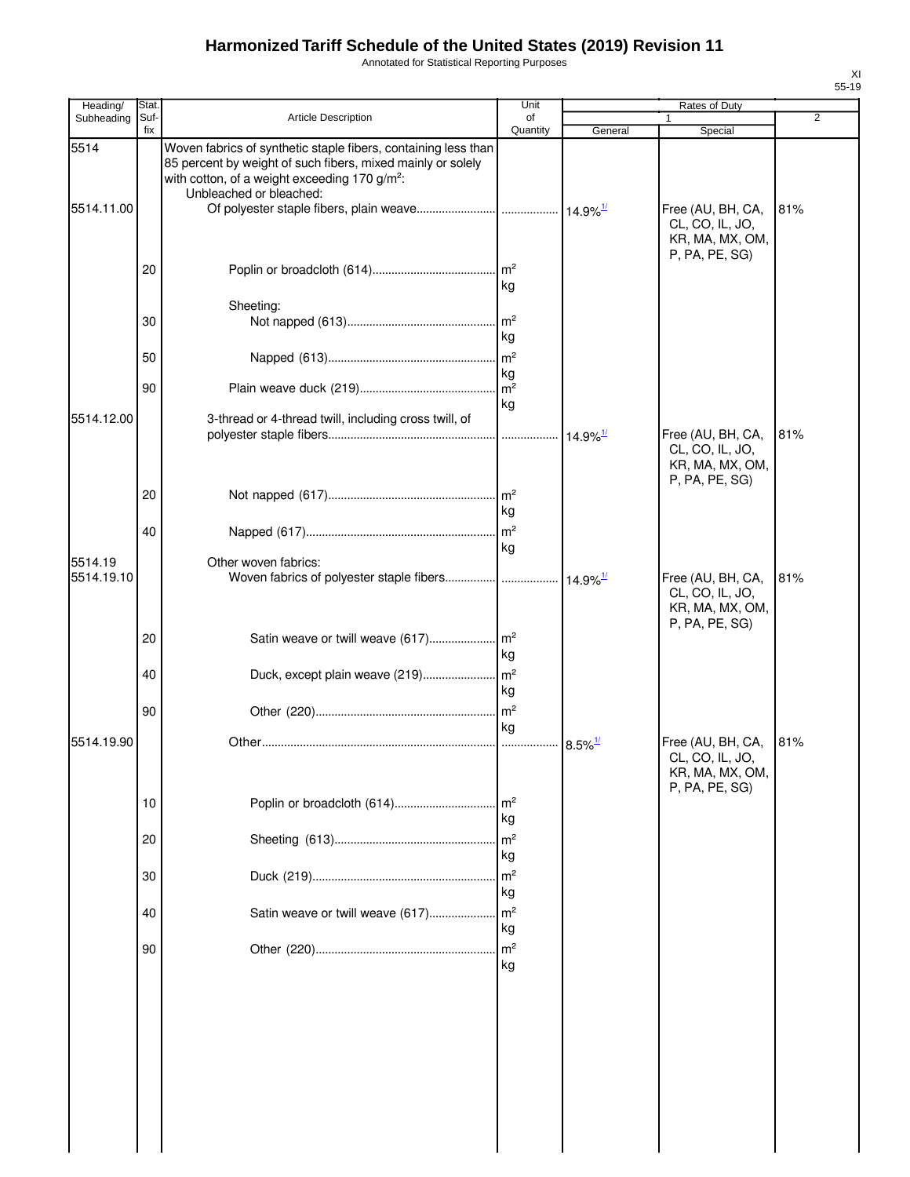Annotated for Statistical Reporting Purposes

| Heading/              | Stat.       |                                                                                                                                                                                                                       | Unit                  |                        | Rates of Duty                                                             |     |
|-----------------------|-------------|-----------------------------------------------------------------------------------------------------------------------------------------------------------------------------------------------------------------------|-----------------------|------------------------|---------------------------------------------------------------------------|-----|
| Subheading            | Suf-<br>fix | Article Description                                                                                                                                                                                                   | of<br>Quantity        | General                | 1<br>Special                                                              | 2   |
| 5514<br>5514.11.00    |             | Woven fabrics of synthetic staple fibers, containing less than<br>85 percent by weight of such fibers, mixed mainly or solely<br>with cotton, of a weight exceeding 170 g/m <sup>2</sup> :<br>Unbleached or bleached: |                       |                        | Free (AU, BH, CA,<br>CL, CO, IL, JO,<br>KR, MA, MX, OM,                   | 81% |
|                       | 20          |                                                                                                                                                                                                                       | kg                    |                        | P, PA, PE, SG)                                                            |     |
|                       |             | Sheeting:                                                                                                                                                                                                             |                       |                        |                                                                           |     |
|                       | 30          |                                                                                                                                                                                                                       | kg                    |                        |                                                                           |     |
|                       | 50          |                                                                                                                                                                                                                       | kg                    |                        |                                                                           |     |
|                       | 90          |                                                                                                                                                                                                                       | kg                    |                        |                                                                           |     |
| 5514.12.00            |             | 3-thread or 4-thread twill, including cross twill, of                                                                                                                                                                 |                       | $14.9\%$ <sup>1/</sup> | Free (AU, BH, CA,<br>CL, CO, IL, JO,<br>KR, MA, MX, OM,                   | 81% |
|                       | 20          |                                                                                                                                                                                                                       | kg                    |                        | P, PA, PE, SG)                                                            |     |
|                       | 40          |                                                                                                                                                                                                                       | kg                    |                        |                                                                           |     |
| 5514.19<br>5514.19.10 |             | Other woven fabrics:<br>Woven fabrics of polyester staple fibers  14.9% <sup>1/</sup>                                                                                                                                 |                       |                        | Free (AU, BH, CA,<br>CL, CO, IL, JO,<br>KR, MA, MX, OM,                   | 81% |
|                       | 20          |                                                                                                                                                                                                                       | kg                    |                        | P, PA, PE, SG)                                                            |     |
|                       | 40          | Duck, except plain weave (219)                                                                                                                                                                                        | m <sup>2</sup><br>kg  |                        |                                                                           |     |
|                       | 90          |                                                                                                                                                                                                                       | m <sup>2</sup><br>kg  |                        |                                                                           |     |
| 5514.19.90            |             |                                                                                                                                                                                                                       |                       | $8.5\%$ <sup>1/</sup>  | Free (AU, BH, CA,<br>CL, CO, IL, JO,<br>KR, MA, MX, OM,<br>P, PA, PE, SG) | 81% |
|                       | 10          |                                                                                                                                                                                                                       | kg                    |                        |                                                                           |     |
|                       | 20          |                                                                                                                                                                                                                       | m <sup>2</sup><br>kg  |                        |                                                                           |     |
|                       | 30          |                                                                                                                                                                                                                       | m <sup>2</sup><br>kg  |                        |                                                                           |     |
|                       | 40          | Satin weave or twill weave (617)                                                                                                                                                                                      | $\mathsf{Im}^2$<br>kg |                        |                                                                           |     |
|                       | 90          |                                                                                                                                                                                                                       | m <sup>2</sup><br>kg  |                        |                                                                           |     |
|                       |             |                                                                                                                                                                                                                       |                       |                        |                                                                           |     |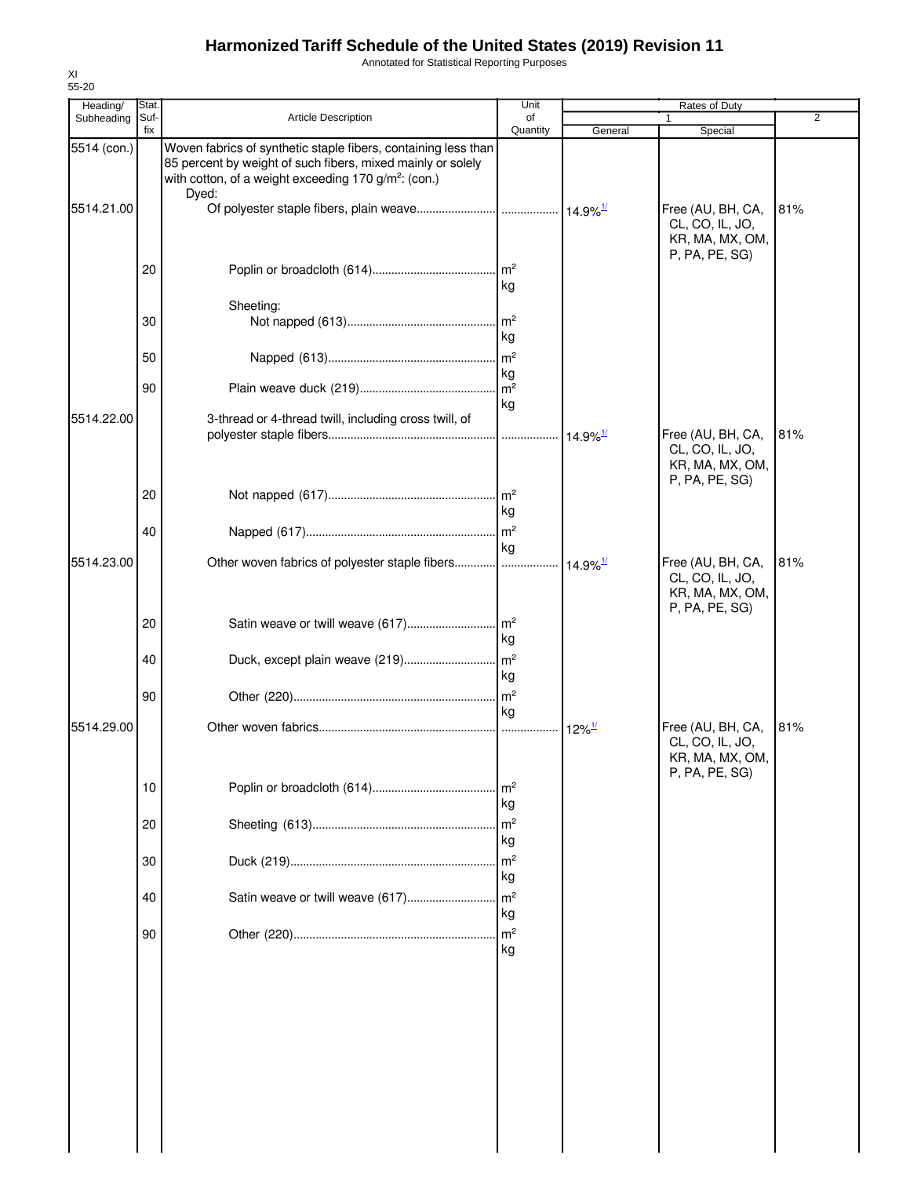Annotated for Statistical Reporting Purposes

| Heading/                  | Stat.       |                                                                                                                                                                                                            | Unit                       | Rates of Duty          |                                                                           |                |  |
|---------------------------|-------------|------------------------------------------------------------------------------------------------------------------------------------------------------------------------------------------------------------|----------------------------|------------------------|---------------------------------------------------------------------------|----------------|--|
| Subheading                | Suf-<br>fix | Article Description                                                                                                                                                                                        | of<br>Quantity             | General                | 1<br>Special                                                              | $\overline{2}$ |  |
| 5514 (con.)<br>5514.21.00 |             | Woven fabrics of synthetic staple fibers, containing less than<br>85 percent by weight of such fibers, mixed mainly or solely<br>with cotton, of a weight exceeding 170 g/m <sup>2</sup> : (con.)<br>Dyed: |                            |                        | Free (AU, BH, CA,                                                         | 81%            |  |
|                           |             |                                                                                                                                                                                                            |                            |                        | CL, CO, IL, JO,<br>KR, MA, MX, OM,<br>P, PA, PE, SG)                      |                |  |
|                           | 20          |                                                                                                                                                                                                            | $\mathsf{Im}^2$<br>kg      |                        |                                                                           |                |  |
|                           | 30          | Sheeting:                                                                                                                                                                                                  | m <sup>2</sup><br>kg       |                        |                                                                           |                |  |
|                           | 50          |                                                                                                                                                                                                            | m <sup>2</sup>             |                        |                                                                           |                |  |
|                           | 90          |                                                                                                                                                                                                            | kg<br>m <sup>2</sup><br>kg |                        |                                                                           |                |  |
| 5514.22.00                |             | 3-thread or 4-thread twill, including cross twill, of                                                                                                                                                      |                            | $14.9\%$ <sup>1/</sup> | Free (AU, BH, CA,<br>CL, CO, IL, JO,<br>KR, MA, MX, OM,                   | 81%            |  |
|                           | 20          |                                                                                                                                                                                                            | $\mathsf{Im}^2$<br>kg      |                        | P, PA, PE, SG)                                                            |                |  |
| 5514.23.00                | 40          | Other woven fabrics of polyester staple fibers                                                                                                                                                             | $\mathsf{Im}^2$<br>kg      | $14.9\%$ <sup>1/</sup> | Free (AU, BH, CA,                                                         | 81%            |  |
|                           |             |                                                                                                                                                                                                            |                            |                        | CL, CO, IL, JO,<br>KR, MA, MX, OM,<br>P, PA, PE, SG)                      |                |  |
|                           | 20          | Satin weave or twill weave (617)                                                                                                                                                                           | m <sup>2</sup><br>kg       |                        |                                                                           |                |  |
|                           | 40          | Duck, except plain weave (219)                                                                                                                                                                             | m <sup>2</sup><br>kg       |                        |                                                                           |                |  |
|                           | 90          |                                                                                                                                                                                                            | $\mathsf{m}^2$<br>kg       |                        |                                                                           |                |  |
| 5514.29.00                |             |                                                                                                                                                                                                            | .                          | $12\%$ <sup>1/</sup>   | Free (AU, BH, CA,<br>CL, CO, IL, JO,<br>KR, MA, MX, OM,<br>P, PA, PE, SG) | 81%            |  |
|                           | 10          |                                                                                                                                                                                                            | m <sup>2</sup><br>kg       |                        |                                                                           |                |  |
|                           | 20          |                                                                                                                                                                                                            | m <sup>2</sup><br>kg       |                        |                                                                           |                |  |
|                           | 30          |                                                                                                                                                                                                            | m <sup>2</sup><br>kg       |                        |                                                                           |                |  |
|                           | 40          | Satin weave or twill weave (617)                                                                                                                                                                           | m <sup>2</sup><br>kg       |                        |                                                                           |                |  |
|                           | 90          |                                                                                                                                                                                                            | m <sup>2</sup><br>kg       |                        |                                                                           |                |  |
|                           |             |                                                                                                                                                                                                            |                            |                        |                                                                           |                |  |
|                           |             |                                                                                                                                                                                                            |                            |                        |                                                                           |                |  |
|                           |             |                                                                                                                                                                                                            |                            |                        |                                                                           |                |  |
|                           |             |                                                                                                                                                                                                            |                            |                        |                                                                           |                |  |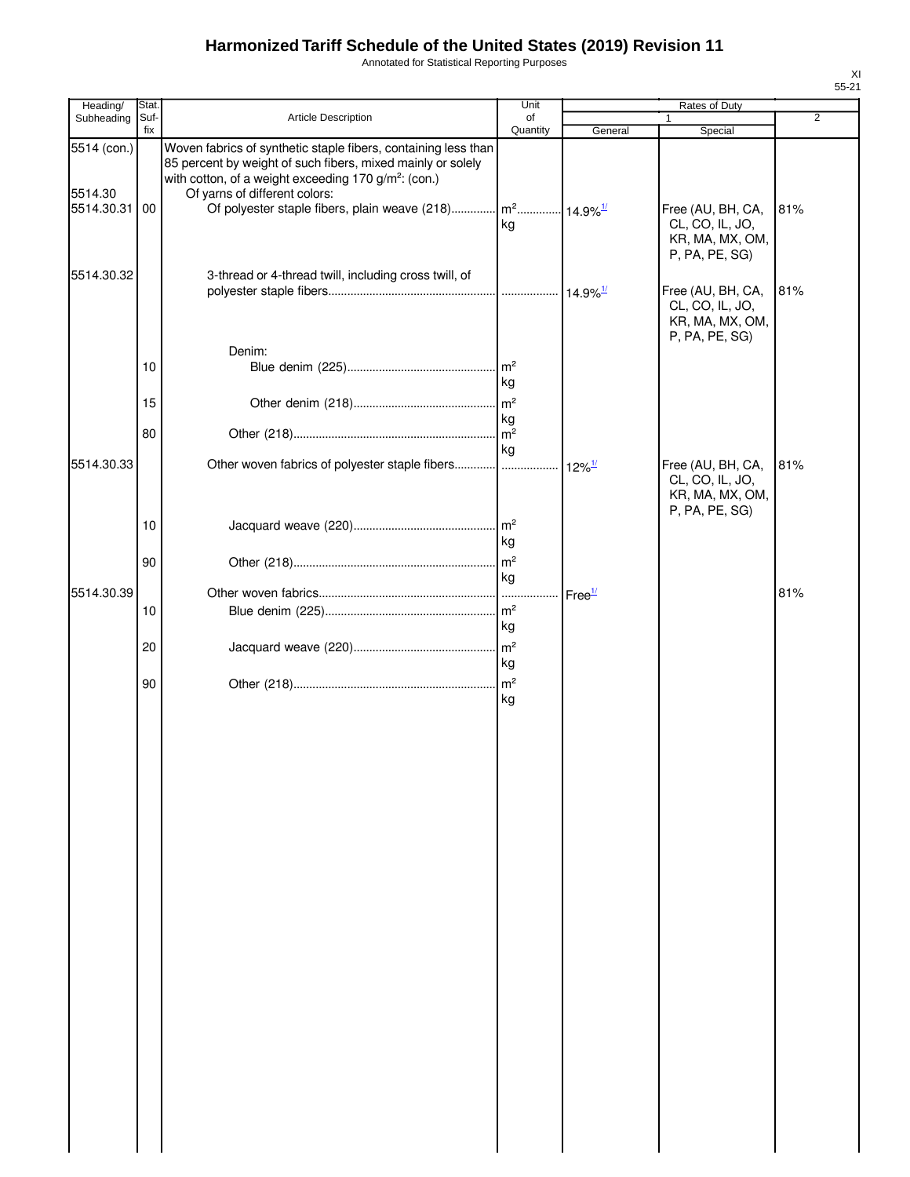Annotated for Statistical Reporting Purposes

| Heading/                             | Stat.       |                                                                                                                                                                                                                                                                                                                 | Unit                       |                                            | Rates of Duty                                                             |                |
|--------------------------------------|-------------|-----------------------------------------------------------------------------------------------------------------------------------------------------------------------------------------------------------------------------------------------------------------------------------------------------------------|----------------------------|--------------------------------------------|---------------------------------------------------------------------------|----------------|
| Subheading                           | Suf-<br>fix | Article Description                                                                                                                                                                                                                                                                                             | of<br>Quantity             | General                                    | Special                                                                   | $\overline{2}$ |
| 5514 (con.)<br>5514.30<br>5514.30.31 | 00          | Woven fabrics of synthetic staple fibers, containing less than<br>85 percent by weight of such fibers, mixed mainly or solely<br>with cotton, of a weight exceeding 170 g/m <sup>2</sup> : (con.)<br>Of yarns of different colors:<br>Of polyester staple fibers, plain weave (218) $\left  m^2 \right  14.9\%$ | kg                         |                                            | Free (AU, BH, CA,<br>CL, CO, IL, JO,<br>KR, MA, MX, OM,<br>P, PA, PE, SG) | 81%            |
| 5514.30.32                           | 10          | 3-thread or 4-thread twill, including cross twill, of<br>Denim:                                                                                                                                                                                                                                                 | $\mathsf{Im}^2$            |                                            | Free (AU, BH, CA,<br>CL, CO, IL, JO,<br>KR, MA, MX, OM,<br>P, PA, PE, SG) | 81%            |
|                                      | 15          |                                                                                                                                                                                                                                                                                                                 | kg<br>m <sup>2</sup>       |                                            |                                                                           |                |
|                                      | 80          |                                                                                                                                                                                                                                                                                                                 | kg<br>m <sup>2</sup><br>kg |                                            |                                                                           |                |
| 5514.30.33                           |             | Other woven fabrics of polyester staple fibers                                                                                                                                                                                                                                                                  |                            | $12\%$ <sup><math>\frac{1}{2}</math></sup> | Free (AU, BH, CA,<br>CL, CO, IL, JO,<br>KR, MA, MX, OM,<br>P, PA, PE, SG) | 81%            |
|                                      | 10          |                                                                                                                                                                                                                                                                                                                 | kg                         |                                            |                                                                           |                |
| 5514.30.39                           | 90          |                                                                                                                                                                                                                                                                                                                 | kg                         | Free <sup>1/</sup>                         |                                                                           | 81%            |
|                                      | 10          |                                                                                                                                                                                                                                                                                                                 | kg                         |                                            |                                                                           |                |
|                                      | 20          |                                                                                                                                                                                                                                                                                                                 | kg                         |                                            |                                                                           |                |
|                                      | 90          |                                                                                                                                                                                                                                                                                                                 | kg                         |                                            |                                                                           |                |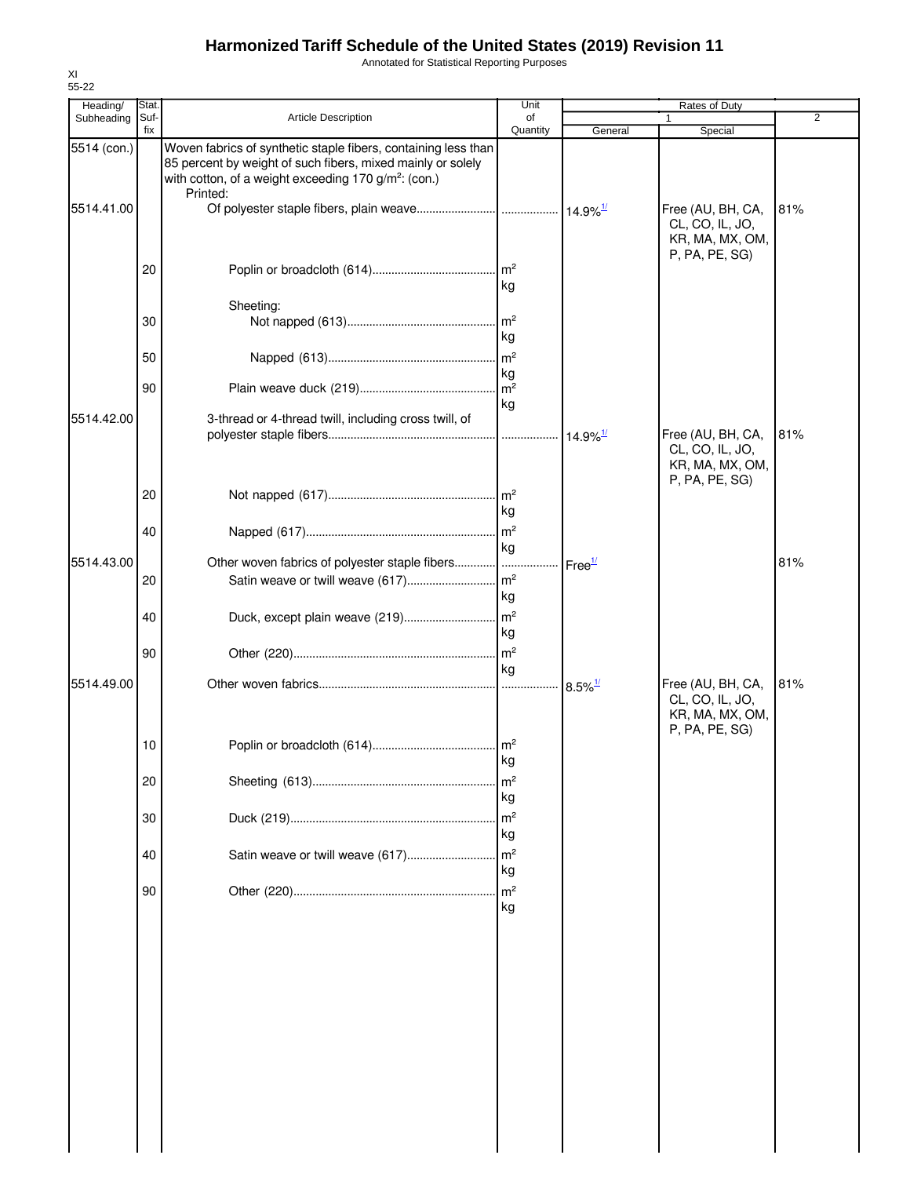Annotated for Statistical Reporting Purposes

| Heading/    | Stat.       |                                                                                                                                                                                                               | Unit                        |                        | Rates of Duty                                                             |                |
|-------------|-------------|---------------------------------------------------------------------------------------------------------------------------------------------------------------------------------------------------------------|-----------------------------|------------------------|---------------------------------------------------------------------------|----------------|
| Subheading  | Suf-<br>fix | <b>Article Description</b>                                                                                                                                                                                    | of<br>Quantity              | General                | 1<br>Special                                                              | $\overline{2}$ |
| 5514 (con.) |             | Woven fabrics of synthetic staple fibers, containing less than<br>85 percent by weight of such fibers, mixed mainly or solely<br>with cotton, of a weight exceeding 170 g/m <sup>2</sup> : (con.)<br>Printed: |                             |                        |                                                                           |                |
| 5514.41.00  |             |                                                                                                                                                                                                               |                             |                        | Free (AU, BH, CA,<br>CL, CO, IL, JO,<br>KR, MA, MX, OM,<br>P, PA, PE, SG) | 81%            |
|             | 20          |                                                                                                                                                                                                               | m <sup>2</sup><br>kg        |                        |                                                                           |                |
|             | 30          | Sheeting:                                                                                                                                                                                                     | $\mathsf{Im}^2$             |                        |                                                                           |                |
|             | 50          |                                                                                                                                                                                                               | kg<br>$\mathsf{Im}^2$       |                        |                                                                           |                |
|             | 90          |                                                                                                                                                                                                               | kg<br>$\mathsf{Im}^2$<br>kg |                        |                                                                           |                |
| 5514.42.00  |             | 3-thread or 4-thread twill, including cross twill, of                                                                                                                                                         |                             | $14.9\%$ <sup>1/</sup> | Free (AU, BH, CA,<br>CL, CO, IL, JO,<br>KR, MA, MX, OM,                   | 81%            |
|             | 20<br>40    |                                                                                                                                                                                                               | . $\mathsf{Im}^2$<br>kg     |                        | P, PA, PE, SG)                                                            |                |
| 5514.43.00  |             | Other woven fabrics of polyester staple fibers                                                                                                                                                                | kg                          | Free <sup>1/</sup>     |                                                                           | 81%            |
|             | 20          |                                                                                                                                                                                                               | kg                          |                        |                                                                           |                |
|             | 40          | Duck, except plain weave (219)                                                                                                                                                                                | $\mathsf{Im}^2$<br>kg       |                        |                                                                           |                |
|             | 90          |                                                                                                                                                                                                               | m <sup>2</sup><br>kg        |                        |                                                                           |                |
| 5514.49.00  |             |                                                                                                                                                                                                               |                             | $8.5\%$ <sup>1/</sup>  | Free (AU, BH, CA,<br>CL, CO, IL, JO,<br>KR, MA, MX, OM,<br>P, PA, PE, SG) | 81%            |
|             | 10          |                                                                                                                                                                                                               | ny                          |                        |                                                                           |                |
|             | 20          |                                                                                                                                                                                                               | m <sup>2</sup><br>kg        |                        |                                                                           |                |
|             | 30          |                                                                                                                                                                                                               | m <sup>2</sup><br>kg        |                        |                                                                           |                |
|             | 40          | Satin weave or twill weave (617)                                                                                                                                                                              | m <sup>2</sup><br>kg        |                        |                                                                           |                |
|             | 90          |                                                                                                                                                                                                               | m <sup>2</sup><br>kg        |                        |                                                                           |                |
|             |             |                                                                                                                                                                                                               |                             |                        |                                                                           |                |
|             |             |                                                                                                                                                                                                               |                             |                        |                                                                           |                |
|             |             |                                                                                                                                                                                                               |                             |                        |                                                                           |                |
|             |             |                                                                                                                                                                                                               |                             |                        |                                                                           |                |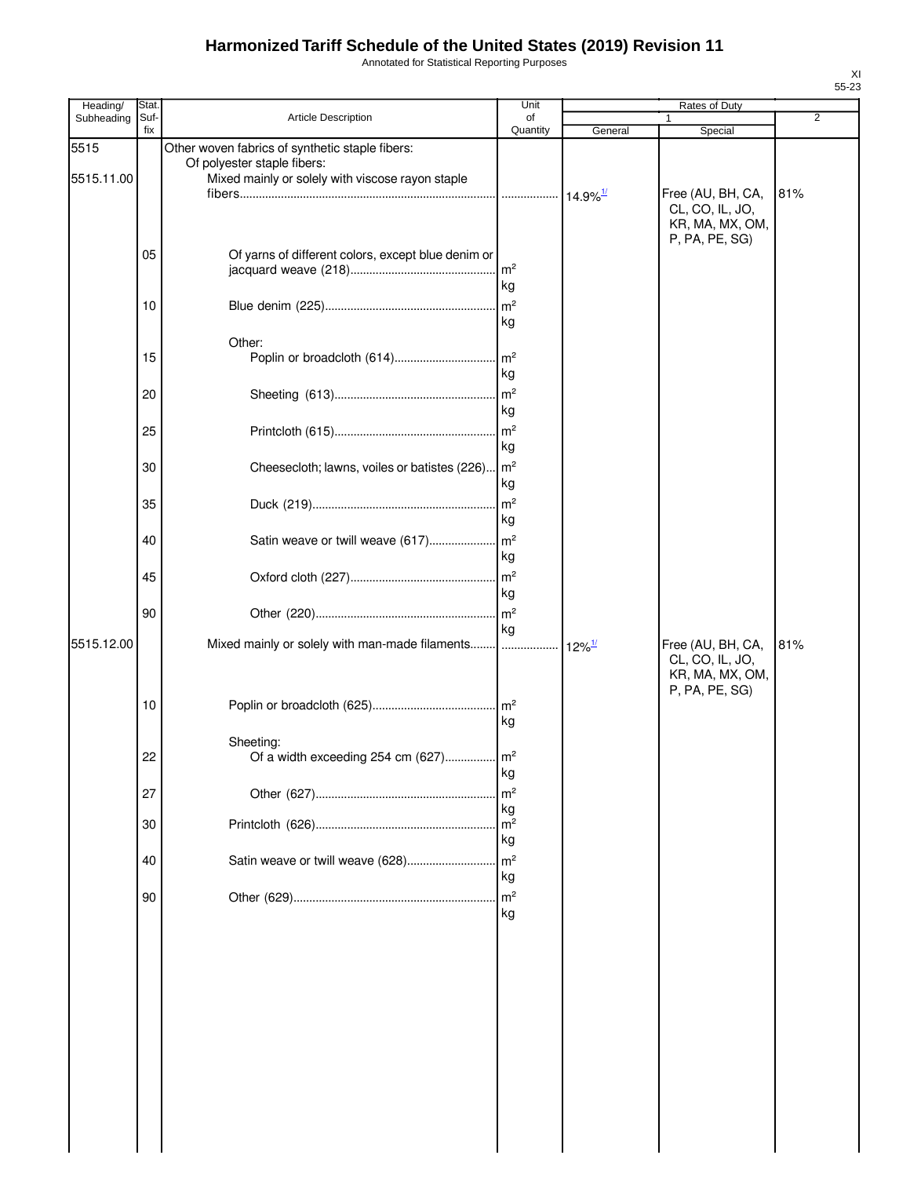Annotated for Statistical Reporting Purposes

| Heading/   | Stat        |                                                             | Unit                  |                        | Rates of Duty                        |                |
|------------|-------------|-------------------------------------------------------------|-----------------------|------------------------|--------------------------------------|----------------|
| Subheading | Suf-<br>fix | Article Description                                         | of<br>Quantity        | General                | Special                              | $\overline{2}$ |
| 5515       |             | Other woven fabrics of synthetic staple fibers:             |                       |                        |                                      |                |
|            |             | Of polyester staple fibers:                                 |                       |                        |                                      |                |
| 5515.11.00 |             | Mixed mainly or solely with viscose rayon staple            |                       |                        |                                      |                |
|            |             |                                                             |                       | $14.9\%$ <sup>1/</sup> | Free (AU, BH, CA,<br>CL, CO, IL, JO, | 81%            |
|            |             |                                                             |                       |                        | KR, MA, MX, OM,                      |                |
|            |             |                                                             |                       |                        | P, PA, PE, SG)                       |                |
|            | 05          | Of yarns of different colors, except blue denim or          |                       |                        |                                      |                |
|            |             |                                                             | $\mathsf{Im}^2$       |                        |                                      |                |
|            |             |                                                             | kg                    |                        |                                      |                |
|            | 10          |                                                             | $\mathsf{Im}^2$<br>kg |                        |                                      |                |
|            |             |                                                             |                       |                        |                                      |                |
|            | 15          | Other:                                                      |                       |                        |                                      |                |
|            |             |                                                             | kg                    |                        |                                      |                |
|            | 20          |                                                             | m <sup>2</sup>        |                        |                                      |                |
|            |             |                                                             | kg                    |                        |                                      |                |
|            | 25          |                                                             | m <sup>2</sup>        |                        |                                      |                |
|            |             |                                                             | kg                    |                        |                                      |                |
|            | 30          | Cheesecloth; lawns, voiles or batistes (226) m <sup>2</sup> |                       |                        |                                      |                |
|            |             |                                                             | kg                    |                        |                                      |                |
|            | 35          |                                                             | $\mathsf{m}^2$        |                        |                                      |                |
|            |             |                                                             | kg                    |                        |                                      |                |
|            | 40          | Satin weave or twill weave (617)                            | $\mathsf{Im}^2$       |                        |                                      |                |
|            |             |                                                             | kg                    |                        |                                      |                |
|            | 45          |                                                             | m <sup>2</sup>        |                        |                                      |                |
|            |             |                                                             | kg                    |                        |                                      |                |
|            | 90          |                                                             | m <sup>2</sup>        |                        |                                      |                |
|            |             |                                                             | kg                    |                        |                                      |                |
| 5515.12.00 |             | Mixed mainly or solely with man-made filaments              |                       | $12\%$ <sup>1/</sup>   | Free (AU, BH, CA,                    | 81%            |
|            |             |                                                             |                       |                        | CL, CO, IL, JO,                      |                |
|            |             |                                                             |                       |                        | KR, MA, MX, OM,                      |                |
|            | 10          |                                                             |                       |                        | P, PA, PE, SG)                       |                |
|            |             |                                                             | kg                    |                        |                                      |                |
|            |             | Sheeting:                                                   |                       |                        |                                      |                |
|            | 22          | Of a width exceeding 254 cm (627)                           | m <sup>2</sup>        |                        |                                      |                |
|            |             |                                                             | kg                    |                        |                                      |                |
|            | 27          |                                                             | m <sup>2</sup>        |                        |                                      |                |
|            |             |                                                             | kg                    |                        |                                      |                |
|            | 30          |                                                             | m <sup>2</sup>        |                        |                                      |                |
|            |             |                                                             | kg                    |                        |                                      |                |
|            | 40          | Satin weave or twill weave (628)                            | m <sup>2</sup>        |                        |                                      |                |
|            |             |                                                             | kg                    |                        |                                      |                |
|            | 90          |                                                             | m <sup>2</sup><br>kg  |                        |                                      |                |
|            |             |                                                             |                       |                        |                                      |                |
|            |             |                                                             |                       |                        |                                      |                |
|            |             |                                                             |                       |                        |                                      |                |
|            |             |                                                             |                       |                        |                                      |                |
|            |             |                                                             |                       |                        |                                      |                |
|            |             |                                                             |                       |                        |                                      |                |
|            |             |                                                             |                       |                        |                                      |                |
|            |             |                                                             |                       |                        |                                      |                |
|            |             |                                                             |                       |                        |                                      |                |
|            |             |                                                             |                       |                        |                                      |                |
|            |             |                                                             |                       |                        |                                      |                |
|            |             |                                                             |                       |                        |                                      |                |
|            |             |                                                             |                       |                        |                                      |                |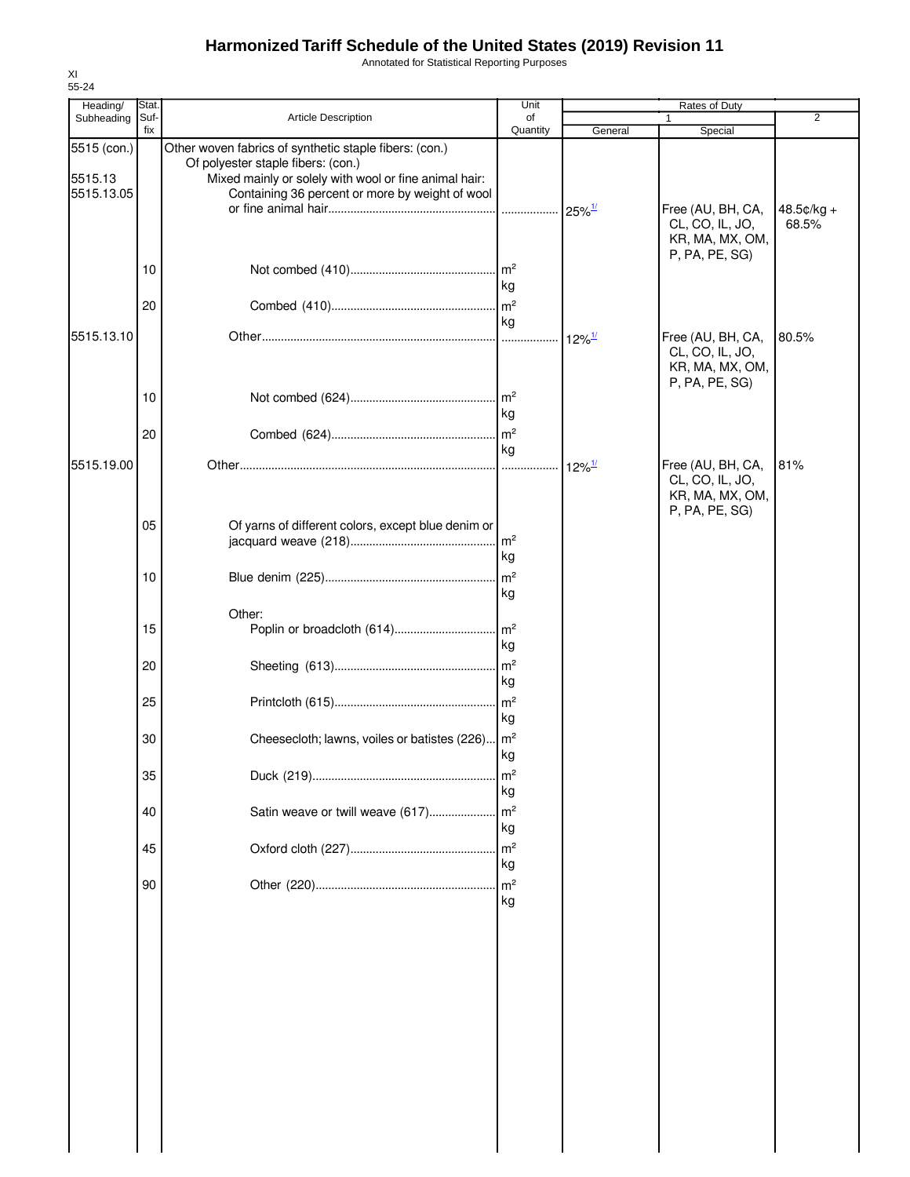Annotated for Statistical Reporting Purposes

| Heading/<br>Subheading               | Stat.<br>Suf- | <b>Article Description</b>                                                                                                                                                                               | Unit<br>of           |                      | Rates of Duty<br>$\mathbf{1}$                                             | $\overline{2}$        |
|--------------------------------------|---------------|----------------------------------------------------------------------------------------------------------------------------------------------------------------------------------------------------------|----------------------|----------------------|---------------------------------------------------------------------------|-----------------------|
|                                      | fix           |                                                                                                                                                                                                          | Quantity             | General              | Special                                                                   |                       |
| 5515 (con.)<br>5515.13<br>5515.13.05 |               | Other woven fabrics of synthetic staple fibers: (con.)<br>Of polyester staple fibers: (con.)<br>Mixed mainly or solely with wool or fine animal hair:<br>Containing 36 percent or more by weight of wool |                      |                      |                                                                           |                       |
|                                      |               |                                                                                                                                                                                                          |                      | $25\%$ <sup>1/</sup> | Free (AU, BH, CA,<br>CL, CO, IL, JO,<br>KR, MA, MX, OM,<br>P, PA, PE, SG) | $48.5¢/kg +$<br>68.5% |
|                                      | 10            |                                                                                                                                                                                                          | kg                   |                      |                                                                           |                       |
| 5515.13.10                           | 20            |                                                                                                                                                                                                          | kg                   |                      |                                                                           | 80.5%                 |
|                                      |               |                                                                                                                                                                                                          |                      | $12\%$ <sup>1/</sup> | Free (AU, BH, CA,<br>CL, CO, IL, JO,<br>KR, MA, MX, OM,<br>P, PA, PE, SG) |                       |
|                                      | 10            |                                                                                                                                                                                                          | m <sup>2</sup><br>kg |                      |                                                                           |                       |
|                                      | 20            |                                                                                                                                                                                                          | m <sup>2</sup><br>kg |                      |                                                                           |                       |
| 5515.19.00                           |               |                                                                                                                                                                                                          | .                    | $12\%$ <sup>1/</sup> | Free (AU, BH, CA,<br>CL, CO, IL, JO,<br>KR, MA, MX, OM,<br>P, PA, PE, SG) | 81%                   |
|                                      | 05            | Of yarns of different colors, except blue denim or                                                                                                                                                       | m <sup>2</sup><br>kg |                      |                                                                           |                       |
|                                      | 10            |                                                                                                                                                                                                          | m <sup>2</sup><br>kg |                      |                                                                           |                       |
|                                      | 15            | Other:                                                                                                                                                                                                   | m <sup>2</sup><br>kg |                      |                                                                           |                       |
|                                      | 20            |                                                                                                                                                                                                          | m <sup>2</sup><br>kg |                      |                                                                           |                       |
|                                      | 25            |                                                                                                                                                                                                          | m <sup>2</sup><br>kg |                      |                                                                           |                       |
|                                      | 30            | Cheesecloth; lawns, voiles or batistes (226)   m <sup>2</sup>                                                                                                                                            | kg                   |                      |                                                                           |                       |
|                                      | 35            |                                                                                                                                                                                                          | m <sup>2</sup><br>kg |                      |                                                                           |                       |
|                                      | 40            | Satin weave or twill weave (617)                                                                                                                                                                         | m <sup>2</sup><br>kg |                      |                                                                           |                       |
|                                      | 45            |                                                                                                                                                                                                          | m <sup>2</sup><br>kg |                      |                                                                           |                       |
|                                      | 90            |                                                                                                                                                                                                          | m <sup>2</sup><br>kg |                      |                                                                           |                       |
|                                      |               |                                                                                                                                                                                                          |                      |                      |                                                                           |                       |
|                                      |               |                                                                                                                                                                                                          |                      |                      |                                                                           |                       |
|                                      |               |                                                                                                                                                                                                          |                      |                      |                                                                           |                       |
|                                      |               |                                                                                                                                                                                                          |                      |                      |                                                                           |                       |
|                                      |               |                                                                                                                                                                                                          |                      |                      |                                                                           |                       |
|                                      |               |                                                                                                                                                                                                          |                      |                      |                                                                           |                       |

XI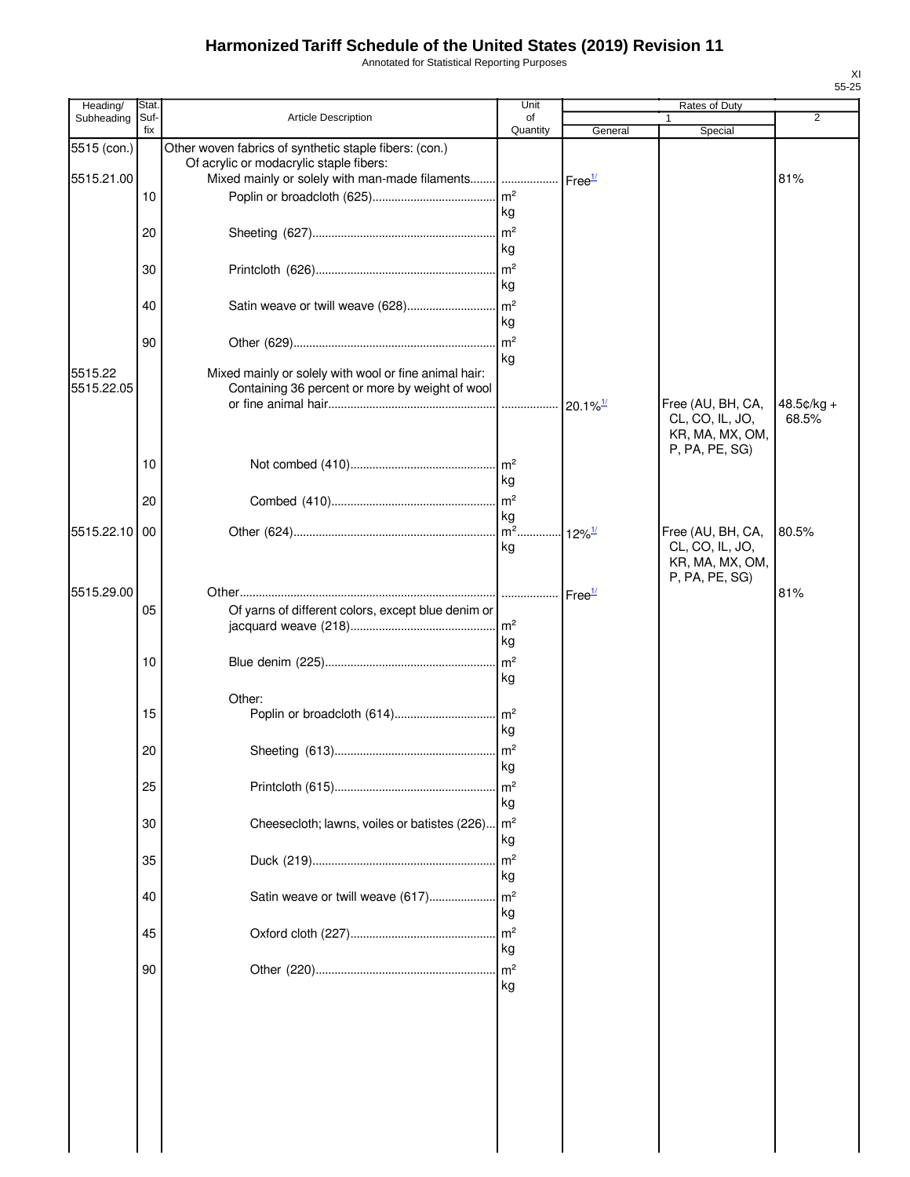Annotated for Statistical Reporting Purposes

| Heading/    | Stat.       |                                                        | Unit                 |                        | Rates of Duty                        |                     |
|-------------|-------------|--------------------------------------------------------|----------------------|------------------------|--------------------------------------|---------------------|
| Subheading  | Suf-<br>fix | Article Description                                    | of<br>Quantity       | General                | 1<br>Special                         | 2                   |
| 5515 (con.) |             | Other woven fabrics of synthetic staple fibers: (con.) |                      |                        |                                      |                     |
|             |             | Of acrylic or modacrylic staple fibers:                |                      |                        |                                      |                     |
| 5515.21.00  |             | Mixed mainly or solely with man-made filaments         |                      | Free <sup>1/</sup>     |                                      | 81%                 |
|             | 10          |                                                        |                      |                        |                                      |                     |
|             |             |                                                        | kg                   |                        |                                      |                     |
|             | 20          |                                                        | kg                   |                        |                                      |                     |
|             |             |                                                        | m <sup>2</sup>       |                        |                                      |                     |
|             | 30          |                                                        | kg                   |                        |                                      |                     |
|             | 40          |                                                        |                      |                        |                                      |                     |
|             |             |                                                        | kg                   |                        |                                      |                     |
|             | 90          |                                                        | m <sup>2</sup>       |                        |                                      |                     |
|             |             |                                                        | kg                   |                        |                                      |                     |
| 5515.22     |             | Mixed mainly or solely with wool or fine animal hair:  |                      |                        |                                      |                     |
| 5515.22.05  |             | Containing 36 percent or more by weight of wool        |                      |                        |                                      |                     |
|             |             |                                                        | .                    | $20.1\%$ <sup>1/</sup> | Free (AU, BH, CA,<br>CL, CO, IL, JO, | 48.5¢/kg +<br>68.5% |
|             |             |                                                        |                      |                        | KR, MA, MX, OM,                      |                     |
|             |             |                                                        |                      |                        | P, PA, PE, SG)                       |                     |
|             | 10          |                                                        |                      |                        |                                      |                     |
|             |             |                                                        | kg                   |                        |                                      |                     |
|             | 20          |                                                        |                      |                        |                                      |                     |
| 5515.22.10  | 00          |                                                        | kg                   | $12\%$ <sup>1/</sup>   | Free (AU, BH, CA,                    | 80.5%               |
|             |             |                                                        | kg                   |                        | CL, CO, IL, JO,                      |                     |
|             |             |                                                        |                      |                        | KR, MA, MX, OM,                      |                     |
| 5515.29.00  |             |                                                        |                      |                        | P, PA, PE, SG)                       | 81%                 |
|             | 05          | Of yarns of different colors, except blue denim or     |                      | Free <sup>1/</sup>     |                                      |                     |
|             |             |                                                        |                      |                        |                                      |                     |
|             |             |                                                        | kg                   |                        |                                      |                     |
|             | 10          |                                                        |                      |                        |                                      |                     |
|             |             |                                                        | kg                   |                        |                                      |                     |
|             |             | Other:                                                 |                      |                        |                                      |                     |
|             | 15          |                                                        |                      |                        |                                      |                     |
|             |             |                                                        | kg                   |                        |                                      |                     |
|             | 20          |                                                        |                      |                        |                                      |                     |
|             |             |                                                        | kg                   |                        |                                      |                     |
|             | 25          |                                                        | m <sup>2</sup><br>kg |                        |                                      |                     |
|             | 30          | Cheesecloth; lawns, voiles or batistes (226)           | m <sup>2</sup>       |                        |                                      |                     |
|             |             |                                                        | kg                   |                        |                                      |                     |
|             | 35          |                                                        | m <sup>2</sup>       |                        |                                      |                     |
|             |             |                                                        | kg                   |                        |                                      |                     |
|             | 40          | Satin weave or twill weave (617)                       | m <sup>2</sup>       |                        |                                      |                     |
|             |             |                                                        | kg                   |                        |                                      |                     |
|             | 45          |                                                        | m <sup>2</sup>       |                        |                                      |                     |
|             |             |                                                        | kg                   |                        |                                      |                     |
|             | 90          |                                                        | m <sup>2</sup>       |                        |                                      |                     |
|             |             |                                                        | kg                   |                        |                                      |                     |
|             |             |                                                        |                      |                        |                                      |                     |
|             |             |                                                        |                      |                        |                                      |                     |
|             |             |                                                        |                      |                        |                                      |                     |
|             |             |                                                        |                      |                        |                                      |                     |
|             |             |                                                        |                      |                        |                                      |                     |
|             |             |                                                        |                      |                        |                                      |                     |
|             |             |                                                        |                      |                        |                                      |                     |
|             |             |                                                        |                      |                        |                                      |                     |
|             |             |                                                        |                      |                        |                                      |                     |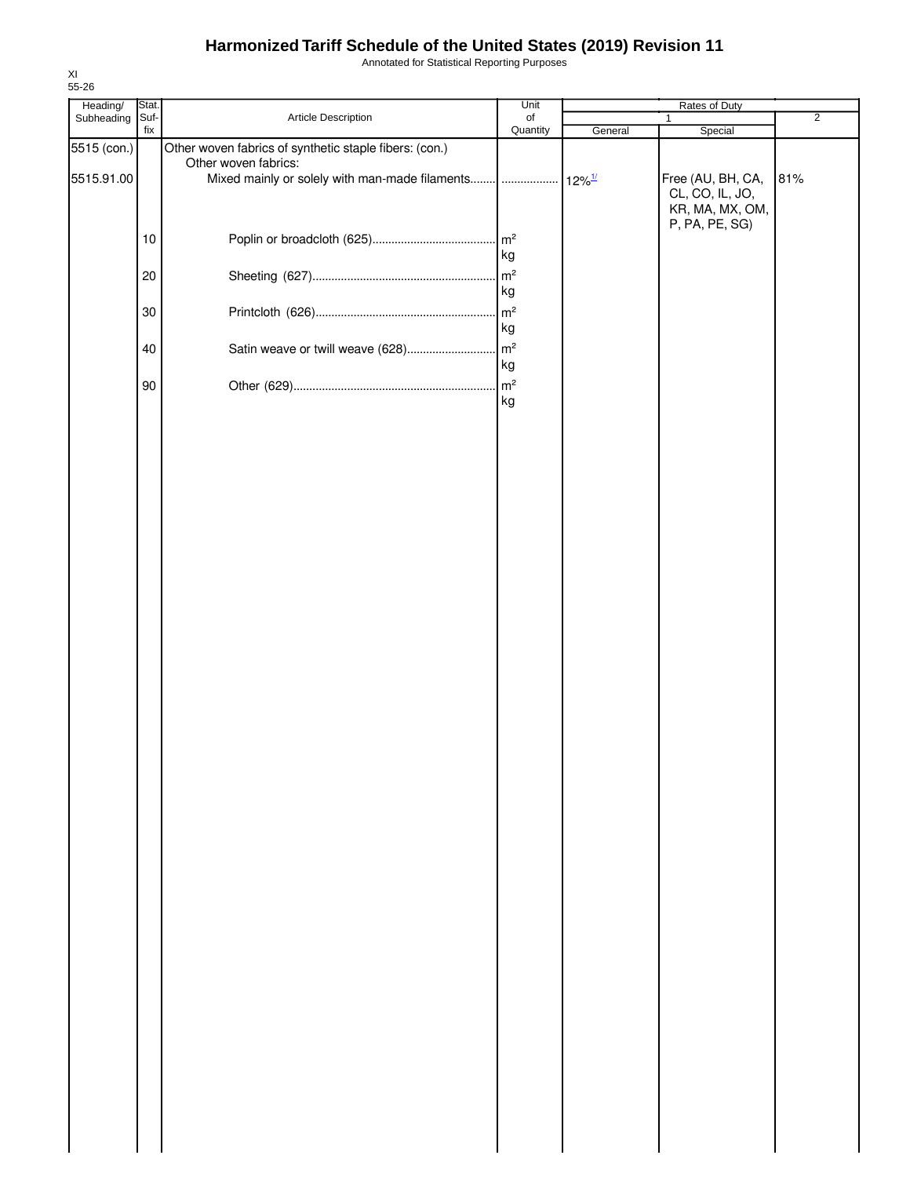Annotated for Statistical Reporting Purposes

| Heading/    | Stat.  |                                                        | Unit     |         | Rates of Duty     |                |
|-------------|--------|--------------------------------------------------------|----------|---------|-------------------|----------------|
| Subheading  | Suf-   | Article Description                                    | of       |         | $\mathbf{1}$      | $\overline{2}$ |
|             | fix    |                                                        | Quantity | General | Special           |                |
| 5515 (con.) |        | Other woven fabrics of synthetic staple fibers: (con.) |          |         |                   |                |
| 5515.91.00  |        | Other woven fabrics:                                   |          |         | Free (AU, BH, CA, | 81%            |
|             |        |                                                        |          |         | CL, CO, IL, JO,   |                |
|             |        |                                                        |          |         | KR, MA, MX, OM,   |                |
|             |        |                                                        |          |         | P, PA, PE, SG)    |                |
|             | $10$   |                                                        |          |         |                   |                |
|             |        |                                                        | kg       |         |                   |                |
|             | $20\,$ |                                                        |          |         |                   |                |
|             |        |                                                        | kg       |         |                   |                |
|             |        |                                                        |          |         |                   |                |
|             | 30     |                                                        | kg       |         |                   |                |
|             |        |                                                        |          |         |                   |                |
|             | 40     |                                                        |          |         |                   |                |
|             |        |                                                        | kg       |         |                   |                |
|             | $90\,$ |                                                        |          |         |                   |                |
|             |        |                                                        | kg       |         |                   |                |
|             |        |                                                        |          |         |                   |                |
|             |        |                                                        |          |         |                   |                |
|             |        |                                                        |          |         |                   |                |
|             |        |                                                        |          |         |                   |                |
|             |        |                                                        |          |         |                   |                |
|             |        |                                                        |          |         |                   |                |
|             |        |                                                        |          |         |                   |                |
|             |        |                                                        |          |         |                   |                |
|             |        |                                                        |          |         |                   |                |
|             |        |                                                        |          |         |                   |                |
|             |        |                                                        |          |         |                   |                |
|             |        |                                                        |          |         |                   |                |
|             |        |                                                        |          |         |                   |                |
|             |        |                                                        |          |         |                   |                |
|             |        |                                                        |          |         |                   |                |
|             |        |                                                        |          |         |                   |                |
|             |        |                                                        |          |         |                   |                |
|             |        |                                                        |          |         |                   |                |
|             |        |                                                        |          |         |                   |                |
|             |        |                                                        |          |         |                   |                |
|             |        |                                                        |          |         |                   |                |
|             |        |                                                        |          |         |                   |                |
|             |        |                                                        |          |         |                   |                |
|             |        |                                                        |          |         |                   |                |
|             |        |                                                        |          |         |                   |                |
|             |        |                                                        |          |         |                   |                |
|             |        |                                                        |          |         |                   |                |
|             |        |                                                        |          |         |                   |                |
|             |        |                                                        |          |         |                   |                |
|             |        |                                                        |          |         |                   |                |
|             |        |                                                        |          |         |                   |                |
|             |        |                                                        |          |         |                   |                |
|             |        |                                                        |          |         |                   |                |
|             |        |                                                        |          |         |                   |                |
|             |        |                                                        |          |         |                   |                |
|             |        |                                                        |          |         |                   |                |
|             |        |                                                        |          |         |                   |                |
|             |        |                                                        |          |         |                   |                |
|             |        |                                                        |          |         |                   |                |
|             |        |                                                        |          |         |                   |                |
|             |        |                                                        |          |         |                   |                |
|             |        |                                                        |          |         |                   |                |
|             |        |                                                        |          |         |                   |                |
|             |        |                                                        |          |         |                   |                |
|             |        |                                                        |          |         |                   |                |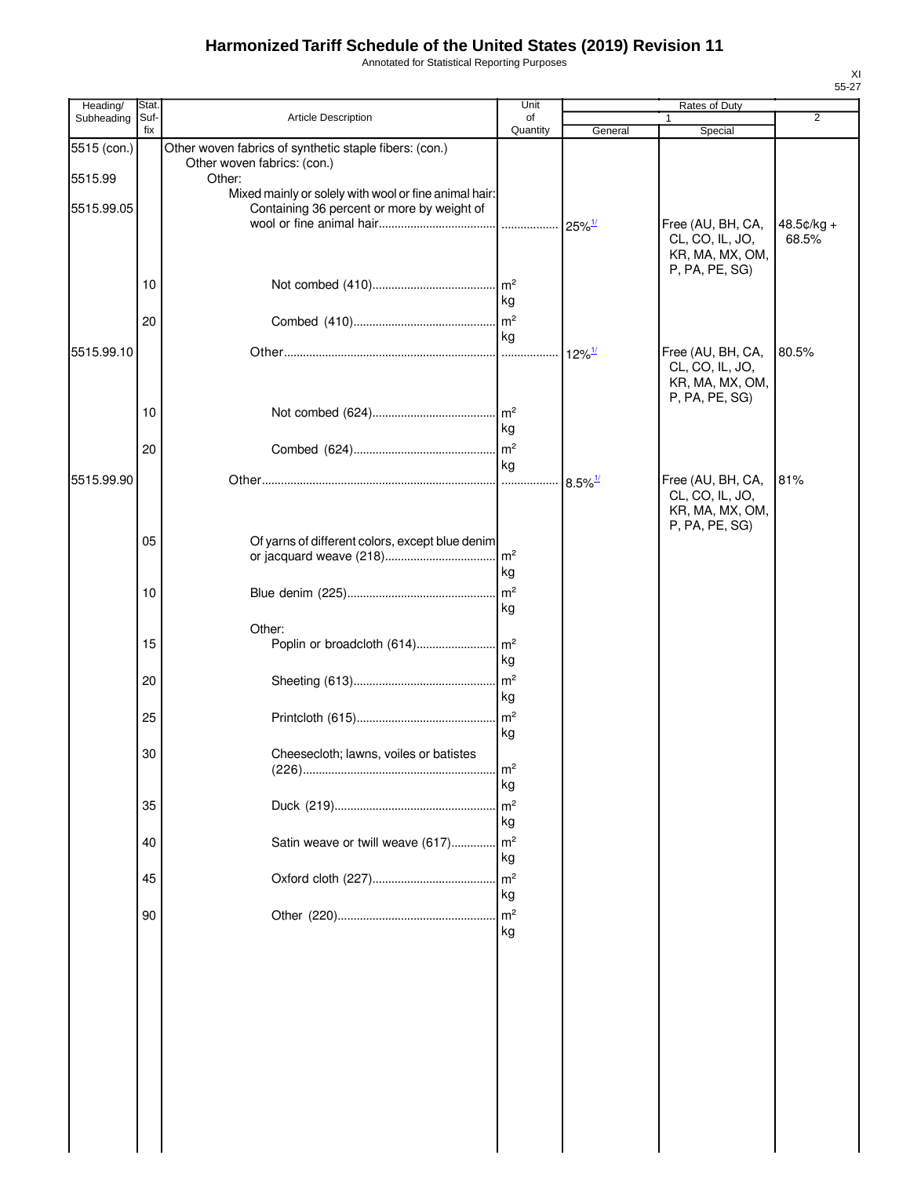Annotated for Statistical Reporting Purposes

| Heading/    | Stat.       |                                                                                                     | Unit                    |                      | Rates of Duty                                                             |                     |
|-------------|-------------|-----------------------------------------------------------------------------------------------------|-------------------------|----------------------|---------------------------------------------------------------------------|---------------------|
| Subheading  | Suf-<br>fix | <b>Article Description</b>                                                                          | of                      |                      |                                                                           | $\overline{2}$      |
| 5515 (con.) |             | Other woven fabrics of synthetic staple fibers: (con.)                                              | Quantity                | General              | Special                                                                   |                     |
| 5515.99     |             | Other woven fabrics: (con.)<br>Other:                                                               |                         |                      |                                                                           |                     |
| 5515.99.05  |             | Mixed mainly or solely with wool or fine animal hair:<br>Containing 36 percent or more by weight of |                         |                      |                                                                           |                     |
|             |             |                                                                                                     |                         |                      | Free (AU, BH, CA,<br>CL, CO, IL, JO,<br>KR, MA, MX, OM,<br>P, PA, PE, SG) | 48.5¢/kg +<br>68.5% |
|             | 10          |                                                                                                     | kg                      |                      |                                                                           |                     |
|             | 20          |                                                                                                     | kg                      |                      |                                                                           |                     |
| 5515.99.10  |             |                                                                                                     |                         | $12\%$ <sup>1/</sup> | Free (AU, BH, CA,<br>CL, CO, IL, JO,<br>KR, MA, MX, OM,<br>P, PA, PE, SG) | 80.5%               |
|             | 10          |                                                                                                     | kg                      |                      |                                                                           |                     |
|             | 20          |                                                                                                     | kg                      |                      |                                                                           |                     |
| 5515.99.90  |             |                                                                                                     |                         |                      | Free (AU, BH, CA,<br>CL, CO, IL, JO,<br>KR, MA, MX, OM,<br>P, PA, PE, SG) | 81%                 |
|             | 05          | Of yarns of different colors, except blue denim                                                     | kg                      |                      |                                                                           |                     |
|             | 10          |                                                                                                     | m <sup>2</sup><br>kg    |                      |                                                                           |                     |
|             | 15          | Other:                                                                                              | l kg                    |                      |                                                                           |                     |
|             | 20          |                                                                                                     | kg                      |                      |                                                                           |                     |
|             | 25          |                                                                                                     | m <sup>2</sup><br>kg    |                      |                                                                           |                     |
|             | 30          | Cheesecloth; lawns, voiles or batistes                                                              | $\mathsf{Im}^2$<br>  kg |                      |                                                                           |                     |
|             | 35          |                                                                                                     | kg                      |                      |                                                                           |                     |
|             | 40          | Satin weave or twill weave (617)                                                                    | $\mathsf{Im}^2$<br>kg   |                      |                                                                           |                     |
|             | 45          |                                                                                                     | m <sup>2</sup><br>kg    |                      |                                                                           |                     |
|             | 90          |                                                                                                     | kg                      |                      |                                                                           |                     |
|             |             |                                                                                                     |                         |                      |                                                                           |                     |
|             |             |                                                                                                     |                         |                      |                                                                           |                     |
|             |             |                                                                                                     |                         |                      |                                                                           |                     |
|             |             |                                                                                                     |                         |                      |                                                                           |                     |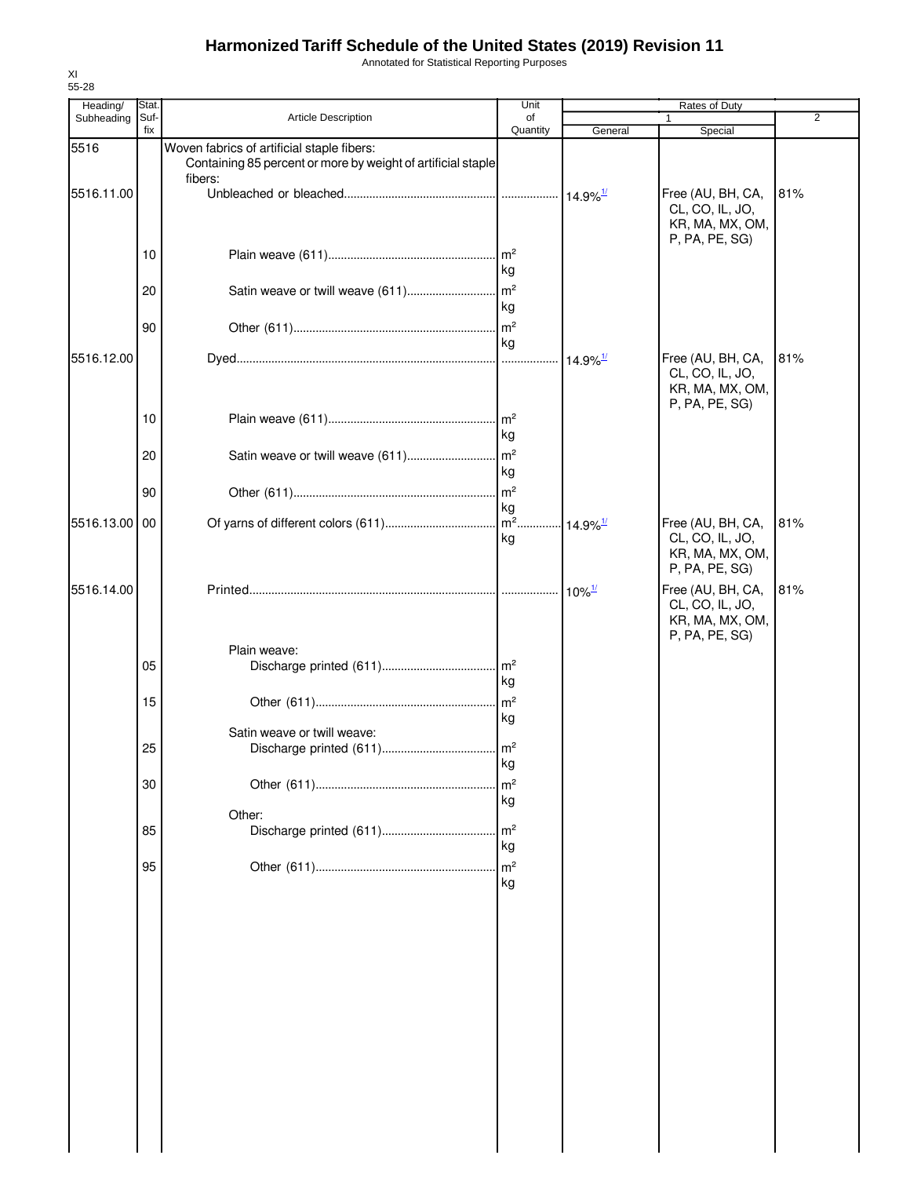Annotated for Statistical Reporting Purposes

| Heading/   | Stat.       |                                                                                                                       | Unit                       |                           |                                                                           |                |
|------------|-------------|-----------------------------------------------------------------------------------------------------------------------|----------------------------|---------------------------|---------------------------------------------------------------------------|----------------|
| Subheading | Suf-<br>fix | Article Description                                                                                                   | of<br>Quantity             | General                   | 1<br>Special                                                              | $\overline{2}$ |
| 5516       |             | Woven fabrics of artificial staple fibers:<br>Containing 85 percent or more by weight of artificial staple<br>fibers: |                            |                           |                                                                           |                |
| 5516.11.00 |             |                                                                                                                       |                            |                           | Free (AU, BH, CA,<br>CL, CO, IL, JO,<br>KR, MA, MX, OM,<br>P, PA, PE, SG) | 81%            |
|            | 10          |                                                                                                                       | kg                         |                           |                                                                           |                |
|            | 20          |                                                                                                                       | kg                         |                           |                                                                           |                |
|            | 90          |                                                                                                                       | kg                         |                           |                                                                           |                |
| 5516.12.00 |             |                                                                                                                       |                            |                           | Free (AU, BH, CA,<br>CL, CO, IL, JO,<br>KR, MA, MX, OM,<br>P, PA, PE, SG) | 81%            |
|            | 10          |                                                                                                                       | kg                         |                           |                                                                           |                |
|            | 20          |                                                                                                                       | kg                         |                           |                                                                           |                |
|            | 90          |                                                                                                                       | kg                         |                           |                                                                           |                |
| 5516.13.00 | 00          |                                                                                                                       | kg                         |                           | Free (AU, BH, CA,<br>CL, CO, IL, JO,<br>KR, MA, MX, OM,<br>P, PA, PE, SG) | 81%            |
| 5516.14.00 |             |                                                                                                                       |                            | ⊶ 10% <sup><u>™</u></sup> | Free (AU, BH, CA,<br>CL, CO, IL, JO,<br>KR, MA, MX, OM,<br>P, PA, PE, SG) | 81%            |
|            | 05          | Plain weave:                                                                                                          | kg                         |                           |                                                                           |                |
|            | 15          |                                                                                                                       | kg                         |                           |                                                                           |                |
|            | 25          | Satin weave or twill weave:                                                                                           |                            |                           |                                                                           |                |
|            | 30          |                                                                                                                       | ĸy<br>m <sup>2</sup><br>kg |                           |                                                                           |                |
|            | 85          | Other:                                                                                                                | m <sup>2</sup>             |                           |                                                                           |                |
|            | 95          |                                                                                                                       | kg<br>kg                   |                           |                                                                           |                |
|            |             |                                                                                                                       |                            |                           |                                                                           |                |
|            |             |                                                                                                                       |                            |                           |                                                                           |                |
|            |             |                                                                                                                       |                            |                           |                                                                           |                |
|            |             |                                                                                                                       |                            |                           |                                                                           |                |
|            |             |                                                                                                                       |                            |                           |                                                                           |                |
|            |             |                                                                                                                       |                            |                           |                                                                           |                |
|            |             |                                                                                                                       |                            |                           |                                                                           |                |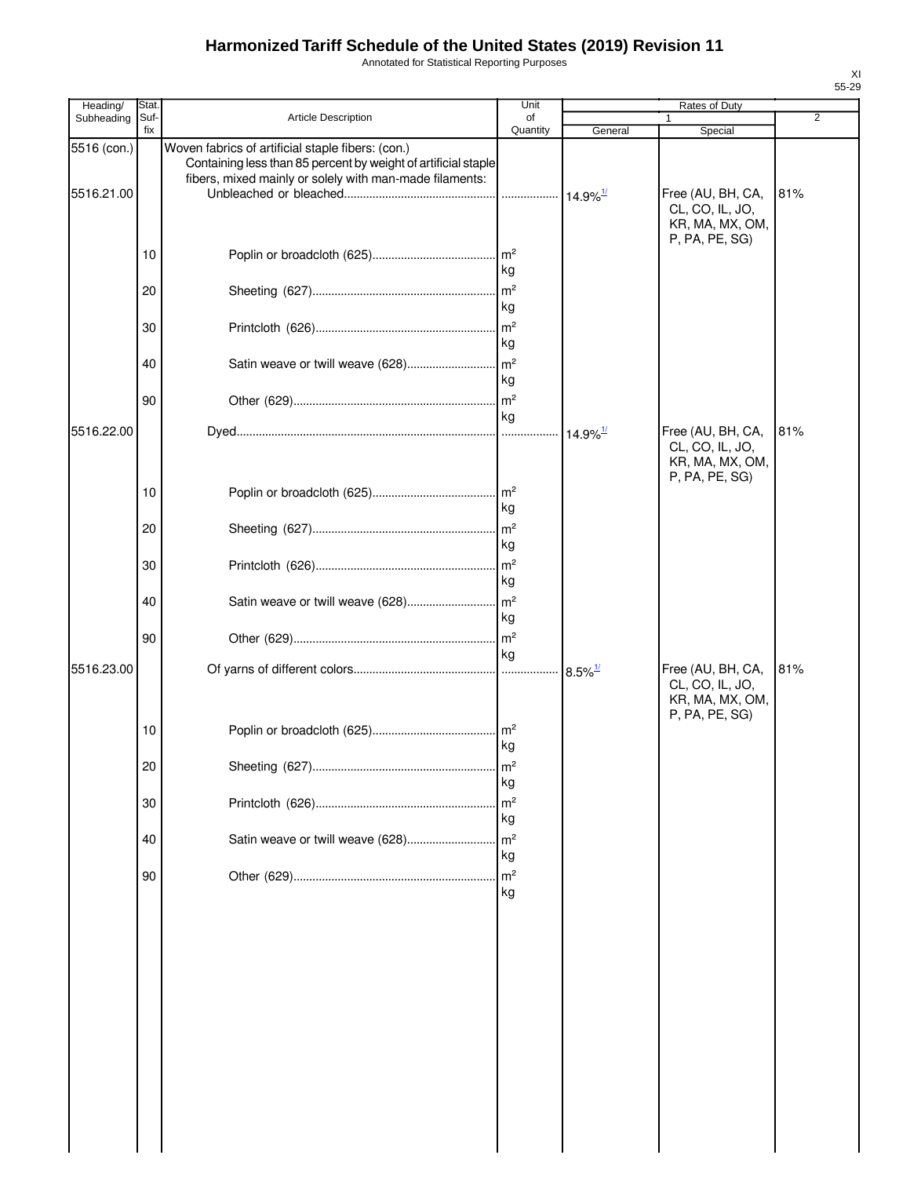Annotated for Statistical Reporting Purposes

| Heading/                  | Stat        |                                                                                                                                                                                | Unit                                     |                        | Rates of Duty                                                             |                |
|---------------------------|-------------|--------------------------------------------------------------------------------------------------------------------------------------------------------------------------------|------------------------------------------|------------------------|---------------------------------------------------------------------------|----------------|
| Subheading                | Suf-<br>fix | Article Description                                                                                                                                                            | of<br>Quantity                           | General                | Special                                                                   | $\overline{2}$ |
| 5516 (con.)<br>5516.21.00 |             | Woven fabrics of artificial staple fibers: (con.)<br>Containing less than 85 percent by weight of artificial staple<br>fibers, mixed mainly or solely with man-made filaments: |                                          |                        | Free (AU, BH, CA,                                                         | 81%            |
|                           | 10          |                                                                                                                                                                                |                                          |                        | CL, CO, IL, JO,<br>KR, MA, MX, OM,<br>P, PA, PE, SG)                      |                |
|                           | 20          |                                                                                                                                                                                | kg<br>$\mathsf{Im}^2$<br>kg              |                        |                                                                           |                |
|                           | 30          |                                                                                                                                                                                | $\mathsf{m}^2$<br>kg                     |                        |                                                                           |                |
|                           | 40          |                                                                                                                                                                                | kg                                       |                        |                                                                           |                |
| 5516.22.00                | 90          |                                                                                                                                                                                | kg                                       | $14.9\%$ <sup>1/</sup> | Free (AU, BH, CA,                                                         | 81%            |
|                           |             |                                                                                                                                                                                |                                          |                        | CL, CO, IL, JO,<br>KR, MA, MX, OM,<br>P, PA, PE, SG)                      |                |
|                           | 10          |                                                                                                                                                                                | kg                                       |                        |                                                                           |                |
|                           | 20<br>30    |                                                                                                                                                                                | $\mathsf{Im}^2$<br>kg<br>$\mathsf{Im}^2$ |                        |                                                                           |                |
|                           | 40          |                                                                                                                                                                                | kg                                       |                        |                                                                           |                |
|                           | 90          |                                                                                                                                                                                | kg<br>$\mathsf{Im}^2$                    |                        |                                                                           |                |
| 5516.23.00                |             |                                                                                                                                                                                | kg                                       |                        | Free (AU, BH, CA,<br>CL, CO, IL, JO,<br>KR, MA, MX, OM,<br>P, PA, PE, SG) | 81%            |
|                           | 10          |                                                                                                                                                                                | kg                                       |                        |                                                                           |                |
|                           | 20          |                                                                                                                                                                                | $\mathsf{Im}^2$<br>kg                    |                        |                                                                           |                |
|                           | 30<br>40    | Satin weave or twill weave (628)                                                                                                                                               | m <sup>2</sup><br>kg<br>m <sup>2</sup>   |                        |                                                                           |                |
|                           | 90          |                                                                                                                                                                                | kg<br>m <sup>2</sup>                     |                        |                                                                           |                |
|                           |             |                                                                                                                                                                                | kg                                       |                        |                                                                           |                |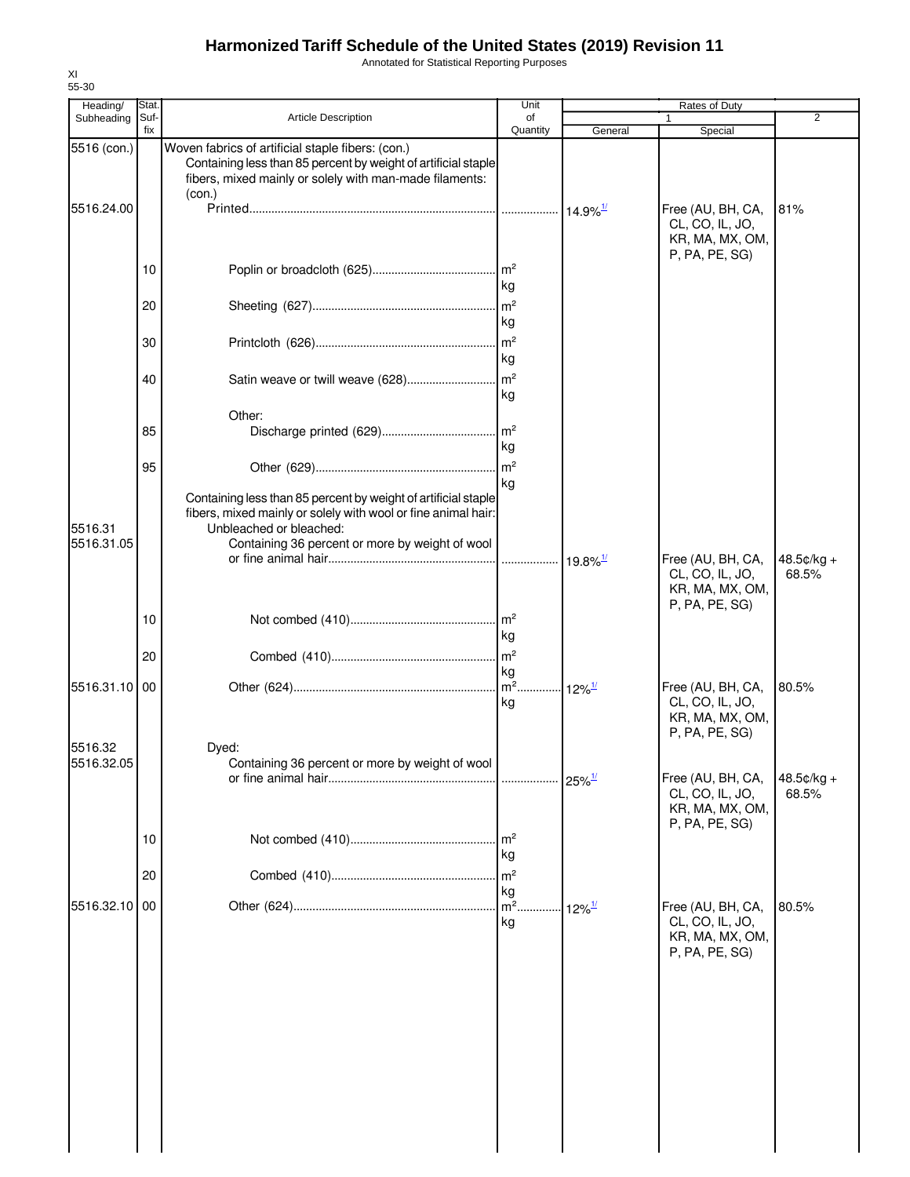Annotated for Statistical Reporting Purposes

| 55-30                  |              |                                                                                                                                                                                          |                                         |                        |                                                                           |                       |
|------------------------|--------------|------------------------------------------------------------------------------------------------------------------------------------------------------------------------------------------|-----------------------------------------|------------------------|---------------------------------------------------------------------------|-----------------------|
| Heading/<br>Subheading | Stat<br>Suf- | <b>Article Description</b>                                                                                                                                                               | Unit<br>of                              |                        | Rates of Duty                                                             | $\overline{2}$        |
|                        | fix          |                                                                                                                                                                                          | Quantity                                | General                | Special                                                                   |                       |
| 5516 (con.)            |              | Woven fabrics of artificial staple fibers: (con.)<br>Containing less than 85 percent by weight of artificial staple<br>fibers, mixed mainly or solely with man-made filaments:<br>(con.) |                                         |                        |                                                                           |                       |
| 5516.24.00             |              |                                                                                                                                                                                          |                                         | $14.9\%$ <sup>1/</sup> | Free (AU, BH, CA,<br>CL, CO, IL, JO,<br>KR, MA, MX, OM,<br>P, PA, PE, SG) | 81%                   |
|                        | 10           |                                                                                                                                                                                          | kg                                      |                        |                                                                           |                       |
|                        | 20           |                                                                                                                                                                                          | kg                                      |                        |                                                                           |                       |
|                        | 30           |                                                                                                                                                                                          | kg                                      |                        |                                                                           |                       |
|                        | 40           | Satin weave or twill weave (628)                                                                                                                                                         | m <sup>2</sup><br>kg                    |                        |                                                                           |                       |
|                        | 85           | Other:                                                                                                                                                                                   | $\mathsf{Im}^2$                         |                        |                                                                           |                       |
|                        | 95           |                                                                                                                                                                                          | kg<br>kg                                |                        |                                                                           |                       |
| 5516.31                |              | Containing less than 85 percent by weight of artificial staple<br>fibers, mixed mainly or solely with wool or fine animal hair:<br>Unbleached or bleached:                               |                                         |                        |                                                                           |                       |
| 5516.31.05             |              | Containing 36 percent or more by weight of wool                                                                                                                                          |                                         | $19.8\%$ <sup>1/</sup> | Free (AU, BH, CA,<br>CL, CO, IL, JO,<br>KR, MA, MX, OM,<br>P, PA, PE, SG) | $48.5¢/kg +$<br>68.5% |
|                        | 10           |                                                                                                                                                                                          | kg                                      |                        |                                                                           |                       |
| 5516.31.10             | 20<br>00     |                                                                                                                                                                                          | m <sup>2</sup><br>kg<br>$\mathsf{Im}^2$ | $12\%$ <sup>1/</sup>   | Free (AU, BH, CA,                                                         | 80.5%                 |
|                        |              |                                                                                                                                                                                          | kg                                      |                        | CL, CO, IL, JO,<br>KR, MA, MX, OM,<br>P, PA, PE, SG)                      |                       |
| 5516.32<br>5516.32.05  |              | Dved:<br>Containing 36 percent or more by weight of wool                                                                                                                                 | .                                       | $25\%$ <sup>1/</sup>   | Free (AU, BH, CA,<br>CL, CO, IL, JO,                                      | 48.5¢/kg +<br>68.5%   |
|                        | 10           |                                                                                                                                                                                          | m <sup>2</sup>                          |                        | KR, MA, MX, OM,<br>P, PA, PE, SG)                                         |                       |
|                        | 20           |                                                                                                                                                                                          | kg<br>m <sup>2</sup>                    |                        |                                                                           |                       |
| 5516.32.10             | 00           |                                                                                                                                                                                          | kg<br>$m2$ .<br>kg                      | $12\%$ <sup>1/</sup>   | Free (AU, BH, CA,<br>CL, CO, IL, JO,<br>KR, MA, MX, OM,<br>P, PA, PE, SG) | 80.5%                 |
|                        |              |                                                                                                                                                                                          |                                         |                        |                                                                           |                       |
|                        |              |                                                                                                                                                                                          |                                         |                        |                                                                           |                       |
|                        |              |                                                                                                                                                                                          |                                         |                        |                                                                           |                       |
|                        |              |                                                                                                                                                                                          |                                         |                        |                                                                           |                       |

XI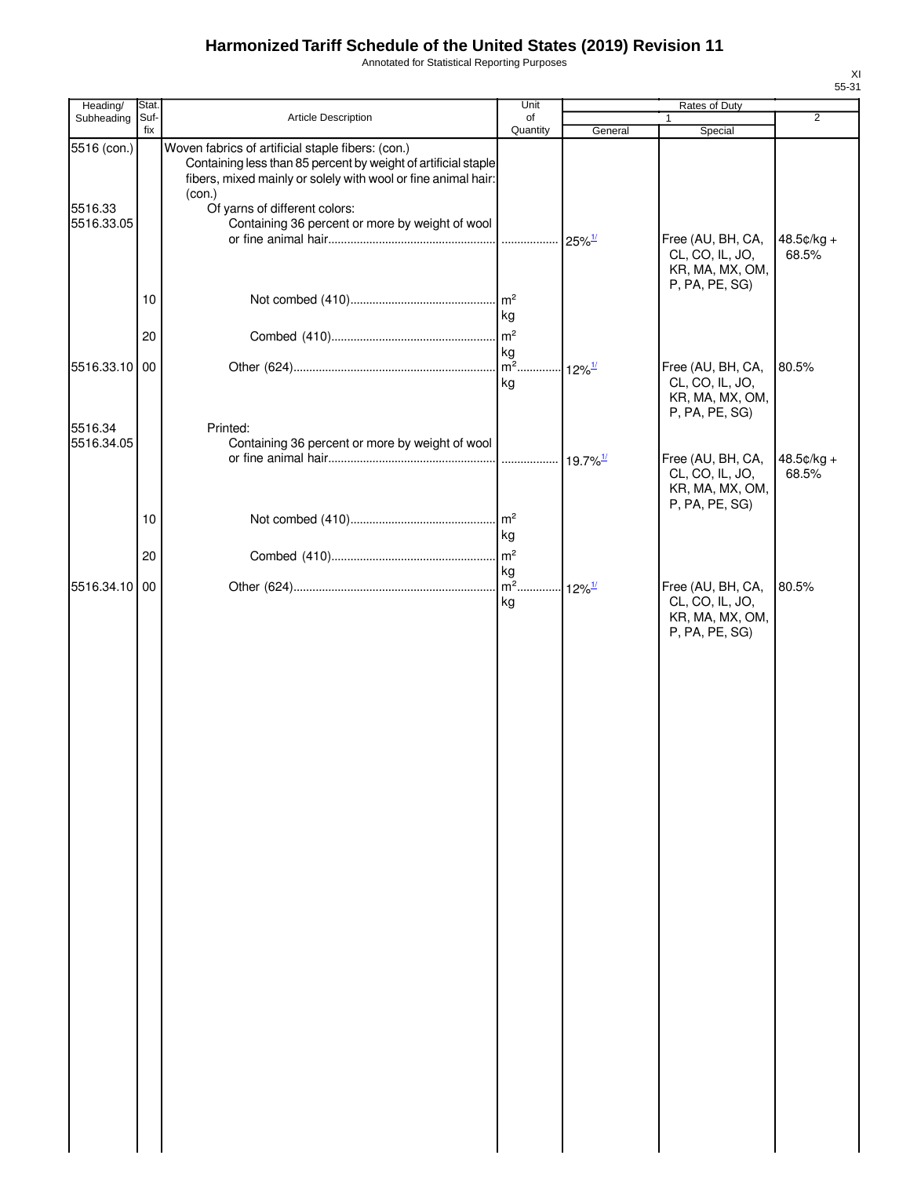Annotated for Statistical Reporting Purposes

| Heading/                             | Stat.       |                                                                                                                                                                                                                                                                                    | Unit                                         | Rates of Duty        |                                                                           |                |
|--------------------------------------|-------------|------------------------------------------------------------------------------------------------------------------------------------------------------------------------------------------------------------------------------------------------------------------------------------|----------------------------------------------|----------------------|---------------------------------------------------------------------------|----------------|
| Subheading                           | Suf-<br>fix | Article Description                                                                                                                                                                                                                                                                | of<br>Quantity                               | General              | 1<br>Special                                                              | $\overline{2}$ |
| 5516 (con.)<br>5516.33<br>5516.33.05 |             | Woven fabrics of artificial staple fibers: (con.)<br>Containing less than 85 percent by weight of artificial staple<br>fibers, mixed mainly or solely with wool or fine animal hair:<br>(con.)<br>Of yarns of different colors:<br>Containing 36 percent or more by weight of wool |                                              | $25\%$ <sup>1/</sup> | Free (AU, BH, CA,                                                         | 48.5¢/kg +     |
|                                      | 10          |                                                                                                                                                                                                                                                                                    | kg                                           |                      | CL, CO, IL, JO,<br>KR, MA, MX, OM,<br>P, PA, PE, SG)                      | 68.5%          |
|                                      | 20          |                                                                                                                                                                                                                                                                                    | m <sup>2</sup><br>kg<br>$\overline{m^2}$ .   |                      |                                                                           |                |
| 5516.33.10 00                        |             |                                                                                                                                                                                                                                                                                    | kg                                           | $12\%$ <sup>1/</sup> | Free (AU, BH, CA,<br>CL, CO, IL, JO,<br>KR, MA, MX, OM,<br>P, PA, PE, SG) | 80.5%          |
| 5516.34<br>5516.34.05                |             | Printed:<br>Containing 36 percent or more by weight of wool                                                                                                                                                                                                                        |                                              |                      | Free (AU, BH, CA,                                                         | 48.5¢/kg +     |
|                                      |             |                                                                                                                                                                                                                                                                                    |                                              |                      | CL, CO, IL, JO,<br>KR, MA, MX, OM,<br>P, PA, PE, SG)                      | 68.5%          |
|                                      | 10<br>20    |                                                                                                                                                                                                                                                                                    | m <sup>2</sup><br>kg<br>m <sup>2</sup>       |                      |                                                                           |                |
| 5516.34.10 00                        |             |                                                                                                                                                                                                                                                                                    | kg<br>m <sup>2</sup> 12% <sup>1/</sup><br>kg |                      | Free (AU, BH, CA,<br>CL, CO, IL, JO,<br>KR, MA, MX, OM,<br>P, PA, PE, SG) | 80.5%          |
|                                      |             |                                                                                                                                                                                                                                                                                    |                                              |                      |                                                                           |                |
|                                      |             |                                                                                                                                                                                                                                                                                    |                                              |                      |                                                                           |                |
|                                      |             |                                                                                                                                                                                                                                                                                    |                                              |                      |                                                                           |                |
|                                      |             |                                                                                                                                                                                                                                                                                    |                                              |                      |                                                                           |                |
|                                      |             |                                                                                                                                                                                                                                                                                    |                                              |                      |                                                                           |                |
|                                      |             |                                                                                                                                                                                                                                                                                    |                                              |                      |                                                                           |                |
|                                      |             |                                                                                                                                                                                                                                                                                    |                                              |                      |                                                                           |                |
|                                      |             |                                                                                                                                                                                                                                                                                    |                                              |                      |                                                                           |                |
|                                      |             |                                                                                                                                                                                                                                                                                    |                                              |                      |                                                                           |                |
|                                      |             |                                                                                                                                                                                                                                                                                    |                                              |                      |                                                                           |                |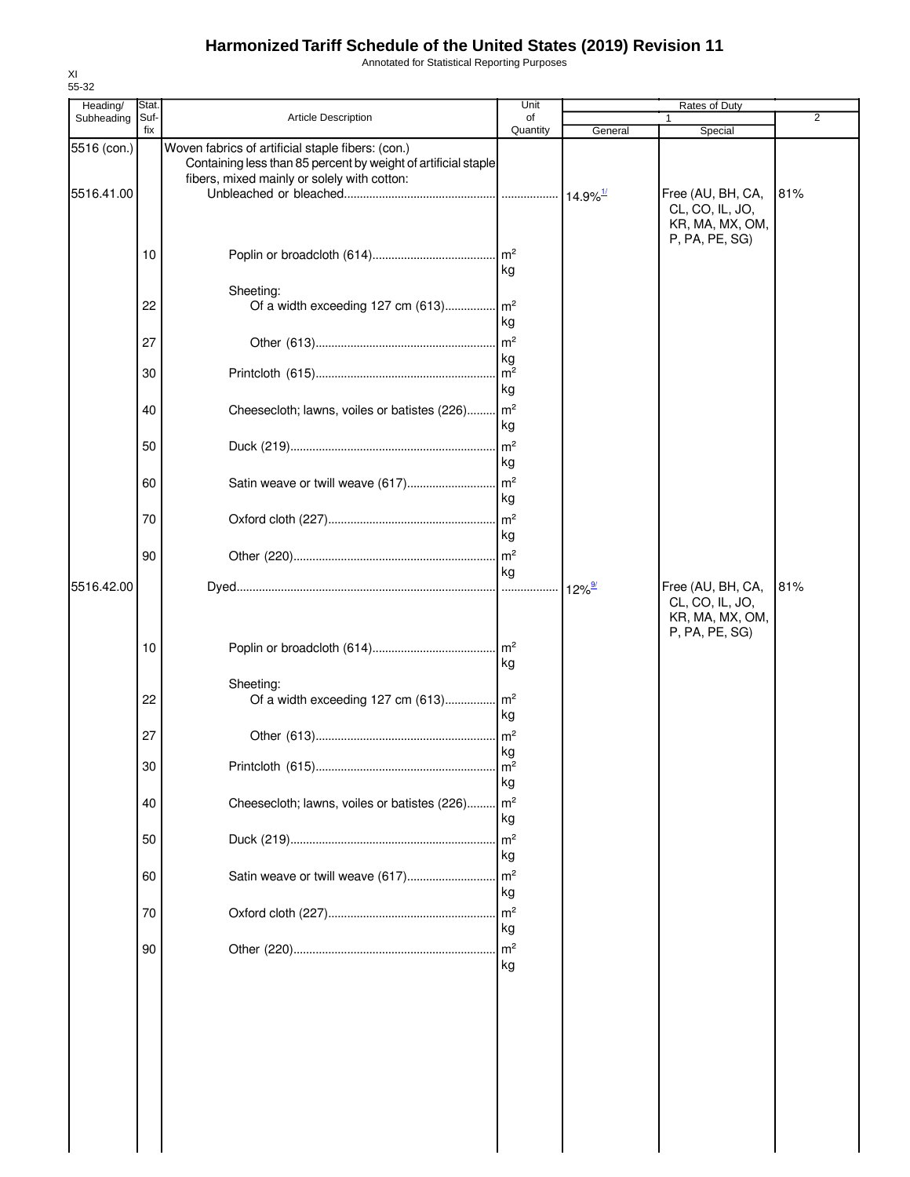Annotated for Statistical Reporting Purposes

| Heading/    | Stat        |                                                                                                                     | Unit                  |                        | Rates of Duty                                                             |     |
|-------------|-------------|---------------------------------------------------------------------------------------------------------------------|-----------------------|------------------------|---------------------------------------------------------------------------|-----|
| Subheading  | Suf-<br>fix | Article Description                                                                                                 | of<br>Quantity        | General                | 1<br>Special                                                              | 2   |
| 5516 (con.) |             | Woven fabrics of artificial staple fibers: (con.)<br>Containing less than 85 percent by weight of artificial staple |                       |                        |                                                                           |     |
| 5516.41.00  |             | fibers, mixed mainly or solely with cotton:                                                                         |                       | $14.9\%$ <sup>1/</sup> | Free (AU, BH, CA,<br>CL, CO, IL, JO,<br>KR, MA, MX, OM,<br>P, PA, PE, SG) | 81% |
|             | 10          |                                                                                                                     | kg                    |                        |                                                                           |     |
|             | 22          | Sheeting:<br>Of a width exceeding 127 cm (613) m <sup>2</sup>                                                       | kg                    |                        |                                                                           |     |
|             | 27          |                                                                                                                     | kg                    |                        |                                                                           |     |
|             | 30          |                                                                                                                     | m <sup>2</sup><br>kg  |                        |                                                                           |     |
|             | 40          | Cheesecloth; lawns, voiles or batistes (226) m <sup>2</sup>                                                         | kg                    |                        |                                                                           |     |
|             | 50          |                                                                                                                     | kg                    |                        |                                                                           |     |
|             | 60          |                                                                                                                     | kg                    |                        |                                                                           |     |
|             | 70          |                                                                                                                     | kg                    |                        |                                                                           |     |
|             | 90          |                                                                                                                     | kg                    |                        |                                                                           |     |
| 5516.42.00  |             |                                                                                                                     |                       | $12\%$ <sup>9/</sup>   | Free (AU, BH, CA,<br>CL, CO, IL, JO,<br>KR, MA, MX, OM,<br>P, PA, PE, SG) | 81% |
|             | 10          |                                                                                                                     | kg                    |                        |                                                                           |     |
|             | 22          | Sheeting:<br>Of a width exceeding 127 cm (613) m <sup>2</sup>                                                       | kg                    |                        |                                                                           |     |
|             | 27          |                                                                                                                     | kg                    |                        |                                                                           |     |
|             | 30          |                                                                                                                     | m <sup>2</sup><br>kg  |                        |                                                                           |     |
|             | 40          | Cheesecloth; lawns, voiles or batistes (226) m <sup>2</sup>                                                         | kg                    |                        |                                                                           |     |
|             | 50          |                                                                                                                     | kg                    |                        |                                                                           |     |
|             | 60          | Satin weave or twill weave (617)                                                                                    | $\mathsf{Im}^2$<br>kg |                        |                                                                           |     |
|             | 70          |                                                                                                                     | kg                    |                        |                                                                           |     |
|             | 90          |                                                                                                                     | kg                    |                        |                                                                           |     |
|             |             |                                                                                                                     |                       |                        |                                                                           |     |
|             |             |                                                                                                                     |                       |                        |                                                                           |     |
|             |             |                                                                                                                     |                       |                        |                                                                           |     |
|             |             |                                                                                                                     |                       |                        |                                                                           |     |
|             |             |                                                                                                                     |                       |                        |                                                                           |     |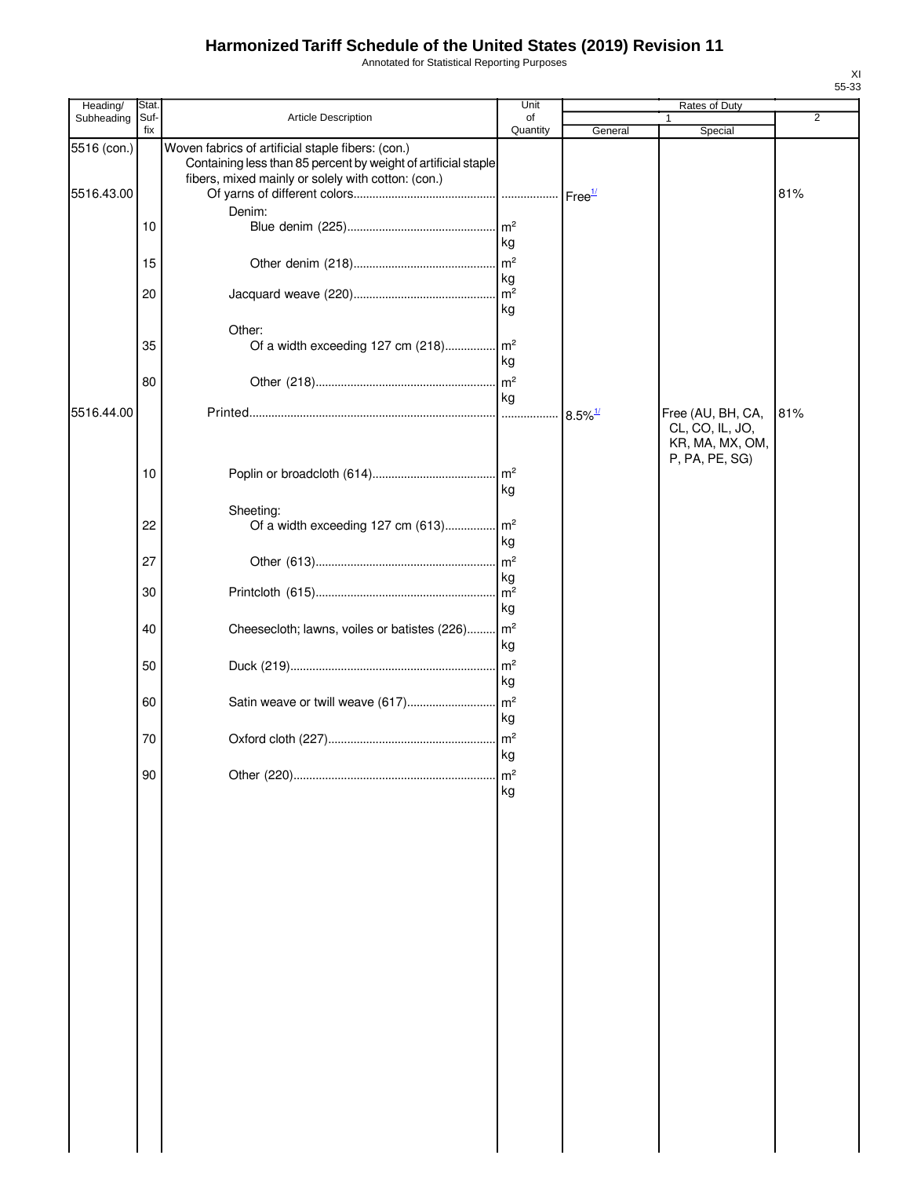Annotated for Statistical Reporting Purposes

| Heading/    | Stat.       |                                                                                                                                                                           | Unit            |                       | Rates of Duty                                                             |     |
|-------------|-------------|---------------------------------------------------------------------------------------------------------------------------------------------------------------------------|-----------------|-----------------------|---------------------------------------------------------------------------|-----|
| Subheading  | Suf-<br>fix | Article Description                                                                                                                                                       | of<br>Quantity  | General               | 1<br>Special                                                              | 2   |
| 5516 (con.) |             | Woven fabrics of artificial staple fibers: (con.)<br>Containing less than 85 percent by weight of artificial staple<br>fibers, mixed mainly or solely with cotton: (con.) |                 |                       |                                                                           |     |
| 5516.43.00  |             |                                                                                                                                                                           |                 |                       |                                                                           | 81% |
|             |             | Denim:                                                                                                                                                                    |                 |                       |                                                                           |     |
|             | 10          |                                                                                                                                                                           |                 |                       |                                                                           |     |
|             |             |                                                                                                                                                                           | kg              |                       |                                                                           |     |
|             | 15          |                                                                                                                                                                           |                 |                       |                                                                           |     |
|             | 20          |                                                                                                                                                                           | kg              |                       |                                                                           |     |
|             |             |                                                                                                                                                                           | kg              |                       |                                                                           |     |
|             |             | Other:                                                                                                                                                                    |                 |                       |                                                                           |     |
|             | 35          |                                                                                                                                                                           |                 |                       |                                                                           |     |
|             |             |                                                                                                                                                                           | kg              |                       |                                                                           |     |
|             | 80          |                                                                                                                                                                           |                 |                       |                                                                           |     |
|             |             |                                                                                                                                                                           | kg              |                       |                                                                           |     |
| 5516.44.00  |             |                                                                                                                                                                           |                 | $8.5\%$ <sup>1/</sup> | Free (AU, BH, CA,<br>CL, CO, IL, JO,<br>KR, MA, MX, OM,<br>P, PA, PE, SG) | 81% |
|             | 10          |                                                                                                                                                                           |                 |                       |                                                                           |     |
|             |             |                                                                                                                                                                           | kg              |                       |                                                                           |     |
|             |             | Sheeting:                                                                                                                                                                 |                 |                       |                                                                           |     |
|             | 22          | Of a width exceeding 127 cm (613) m <sup>2</sup>                                                                                                                          |                 |                       |                                                                           |     |
|             |             |                                                                                                                                                                           | kg              |                       |                                                                           |     |
|             | 27          |                                                                                                                                                                           |                 |                       |                                                                           |     |
|             | 30          |                                                                                                                                                                           | kg              |                       |                                                                           |     |
|             |             |                                                                                                                                                                           | kg              |                       |                                                                           |     |
|             | 40          | Cheesecloth; lawns, voiles or batistes (226) m <sup>2</sup>                                                                                                               |                 |                       |                                                                           |     |
|             |             |                                                                                                                                                                           | kg              |                       |                                                                           |     |
|             | 50          |                                                                                                                                                                           | m <sup>2</sup>  |                       |                                                                           |     |
|             |             |                                                                                                                                                                           | kg              |                       |                                                                           |     |
|             | 60          | Satin weave or twill weave (617)                                                                                                                                          | $\mathsf{Im}^2$ |                       |                                                                           |     |
|             |             |                                                                                                                                                                           | kg              |                       |                                                                           |     |
|             | 70          |                                                                                                                                                                           | $\mathsf{m}^2$  |                       |                                                                           |     |
|             |             |                                                                                                                                                                           | kg              |                       |                                                                           |     |
|             | 90          |                                                                                                                                                                           | m <sup>2</sup>  |                       |                                                                           |     |
|             |             |                                                                                                                                                                           | kg              |                       |                                                                           |     |
|             |             |                                                                                                                                                                           |                 |                       |                                                                           |     |
|             |             |                                                                                                                                                                           |                 |                       |                                                                           |     |
|             |             |                                                                                                                                                                           |                 |                       |                                                                           |     |
|             |             |                                                                                                                                                                           |                 |                       |                                                                           |     |
|             |             |                                                                                                                                                                           |                 |                       |                                                                           |     |
|             |             |                                                                                                                                                                           |                 |                       |                                                                           |     |
|             |             |                                                                                                                                                                           |                 |                       |                                                                           |     |
|             |             |                                                                                                                                                                           |                 |                       |                                                                           |     |
|             |             |                                                                                                                                                                           |                 |                       |                                                                           |     |
|             |             |                                                                                                                                                                           |                 |                       |                                                                           |     |
|             |             |                                                                                                                                                                           |                 |                       |                                                                           |     |
|             |             |                                                                                                                                                                           |                 |                       |                                                                           |     |
|             |             |                                                                                                                                                                           |                 |                       |                                                                           |     |
|             |             |                                                                                                                                                                           |                 |                       |                                                                           |     |
|             |             |                                                                                                                                                                           |                 |                       |                                                                           |     |
|             |             |                                                                                                                                                                           |                 |                       |                                                                           |     |
|             |             |                                                                                                                                                                           |                 |                       |                                                                           |     |
|             |             |                                                                                                                                                                           |                 |                       |                                                                           |     |
|             |             |                                                                                                                                                                           |                 |                       |                                                                           |     |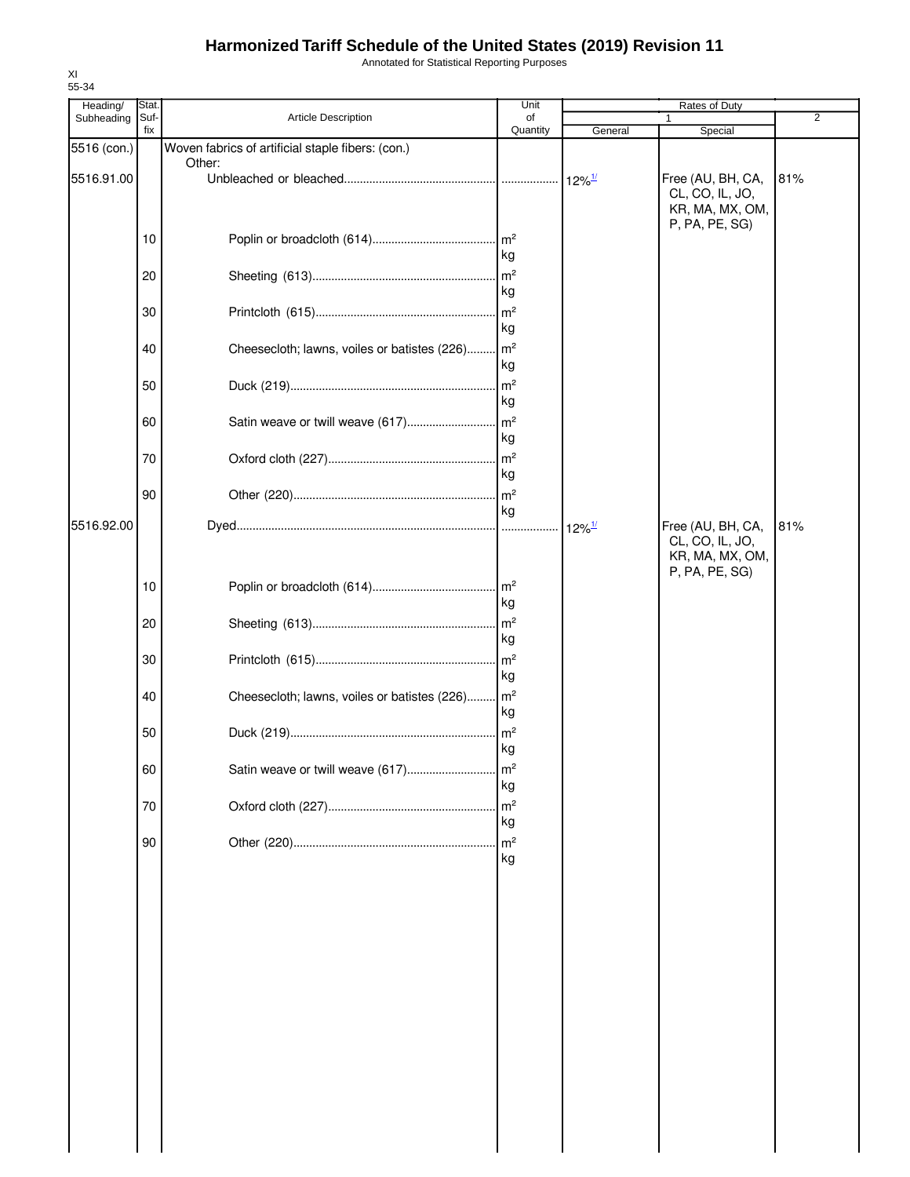Annotated for Statistical Reporting Purposes

| 55-34<br>Heading/ | Stat.       |                                                             | Unit                  |                      | Rates of Duty                                                             |     |
|-------------------|-------------|-------------------------------------------------------------|-----------------------|----------------------|---------------------------------------------------------------------------|-----|
| Subheading        | Suf-<br>fix | <b>Article Description</b>                                  | of<br>Quantity        | General              | Special                                                                   | 2   |
| 5516 (con.)       |             | Woven fabrics of artificial staple fibers: (con.)<br>Other: |                       |                      |                                                                           |     |
| 5516.91.00        |             |                                                             |                       |                      | Free (AU, BH, CA,<br>CL, CO, IL, JO,<br>KR, MA, MX, OM,<br>P, PA, PE, SG) | 81% |
|                   | 10          |                                                             | kg                    |                      |                                                                           |     |
|                   | 20          |                                                             | kg                    |                      |                                                                           |     |
|                   | 30          |                                                             | m <sup>2</sup><br>kg  |                      |                                                                           |     |
|                   | 40          | Cheesecloth; lawns, voiles or batistes (226)                | m <sup>2</sup><br>kg  |                      |                                                                           |     |
|                   | 50          |                                                             | $\mathsf{Im}^2$<br>kg |                      |                                                                           |     |
|                   | 60          |                                                             | kg                    |                      |                                                                           |     |
|                   | 70          |                                                             | kg                    |                      |                                                                           |     |
|                   | 90          |                                                             | m <sup>2</sup><br>kg  |                      |                                                                           |     |
| 5516.92.00        |             |                                                             |                       | $12\%$ <sup>1/</sup> | Free (AU, BH, CA,<br>CL, CO, IL, JO,<br>KR, MA, MX, OM,<br>P, PA, PE, SG) | 81% |
|                   | 10          |                                                             | kg                    |                      |                                                                           |     |
|                   | 20          |                                                             | kg                    |                      |                                                                           |     |
|                   | 30          |                                                             | kg                    |                      |                                                                           |     |
|                   | 40          | Cheesecloth; lawns, voiles or batistes (226)                | m <sup>2</sup><br>kg  |                      |                                                                           |     |
|                   | 50          |                                                             | kg                    |                      |                                                                           |     |
|                   | 60          | Satin weave or twill weave (617)                            | m <sup>2</sup><br>kg  |                      |                                                                           |     |
|                   | 70          |                                                             | m <sup>2</sup><br>kg  |                      |                                                                           |     |
|                   | 90          |                                                             | m <sup>2</sup><br>kg  |                      |                                                                           |     |
|                   |             |                                                             |                       |                      |                                                                           |     |
|                   |             |                                                             |                       |                      |                                                                           |     |
|                   |             |                                                             |                       |                      |                                                                           |     |
|                   |             |                                                             |                       |                      |                                                                           |     |
|                   |             |                                                             |                       |                      |                                                                           |     |
|                   |             |                                                             |                       |                      |                                                                           |     |
|                   |             |                                                             |                       |                      |                                                                           |     |
|                   |             |                                                             |                       |                      |                                                                           |     |

XI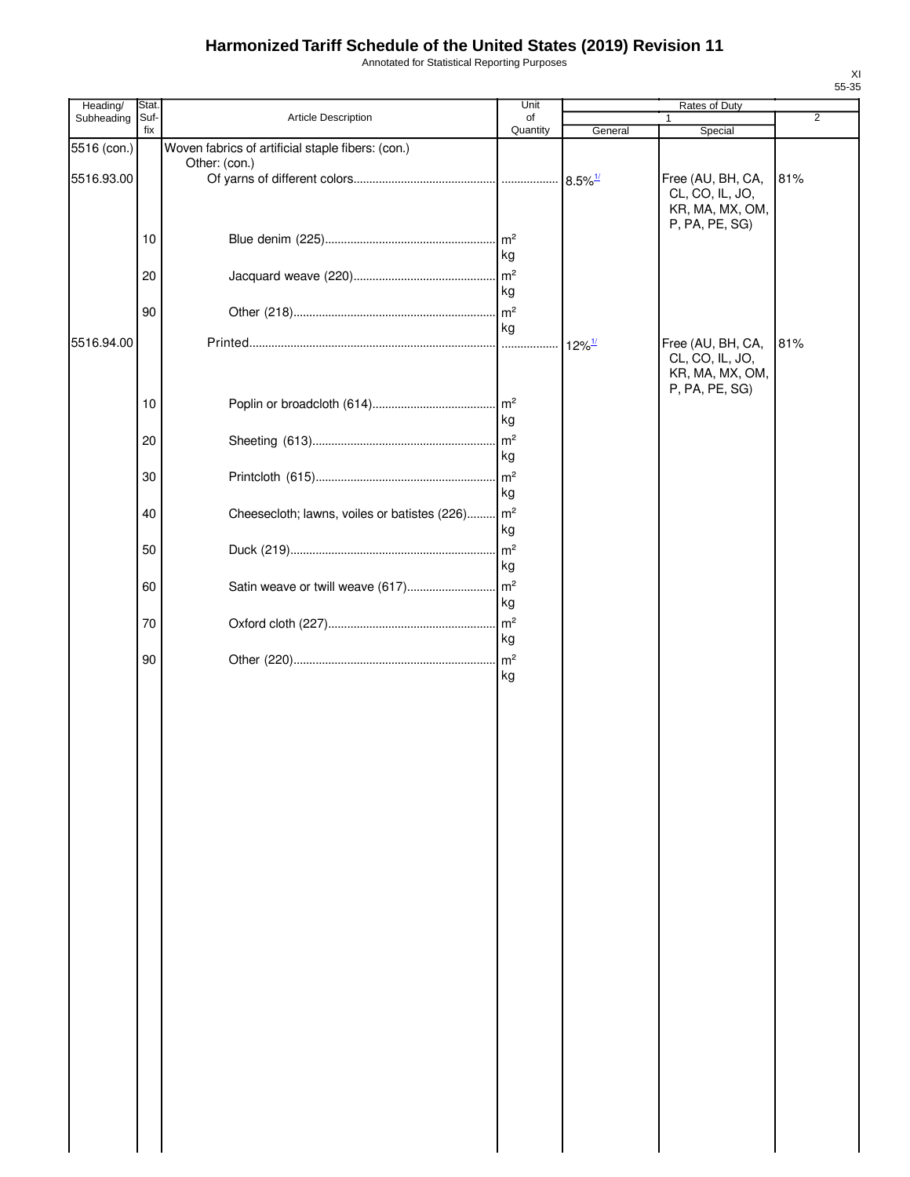Annotated for Statistical Reporting Purposes

| Heading/    | Stat. |                                                   | Unit            |                       | Rates of Duty     |                |
|-------------|-------|---------------------------------------------------|-----------------|-----------------------|-------------------|----------------|
| Subheading  | Suf-  | Article Description                               | of              |                       | $\mathbf{1}$      | $\overline{2}$ |
|             | fix   |                                                   | Quantity        | General               | Special           |                |
| 5516 (con.) |       | Woven fabrics of artificial staple fibers: (con.) |                 |                       |                   |                |
|             |       | Other: (con.)                                     |                 |                       |                   |                |
| 5516.93.00  |       |                                                   |                 | $8.5\%$ <sup>1/</sup> | Free (AU, BH, CA, | 81%            |
|             |       |                                                   |                 |                       | CL, CO, IL, JO,   |                |
|             |       |                                                   |                 |                       | KR, MA, MX, OM,   |                |
|             |       |                                                   |                 |                       | P, PA, PE, SG)    |                |
|             | 10    |                                                   | $\mathsf{Im}^2$ |                       |                   |                |
|             |       |                                                   | kg              |                       |                   |                |
|             | 20    |                                                   | m <sup>2</sup>  |                       |                   |                |
|             |       |                                                   | kg              |                       |                   |                |
|             | 90    |                                                   | m <sup>2</sup>  |                       |                   |                |
|             |       |                                                   | kg              |                       |                   |                |
| 5516.94.00  |       |                                                   |                 |                       | Free (AU, BH, CA, | 81%            |
|             |       |                                                   |                 | $12\%$ <sup>1/</sup>  | CL, CO, IL, JO,   |                |
|             |       |                                                   |                 |                       | KR, MA, MX, OM,   |                |
|             |       |                                                   |                 |                       | P, PA, PE, SG)    |                |
|             | 10    |                                                   |                 |                       |                   |                |
|             |       |                                                   | kg              |                       |                   |                |
|             |       |                                                   |                 |                       |                   |                |
|             | 20    |                                                   | $\mathsf{Im}^2$ |                       |                   |                |
|             |       |                                                   | kg              |                       |                   |                |
|             | 30    |                                                   | m <sup>2</sup>  |                       |                   |                |
|             |       |                                                   | kg              |                       |                   |                |
|             |       |                                                   |                 |                       |                   |                |
|             | 40    | Cheesecloth; lawns, voiles or batistes (226)      | m <sup>2</sup>  |                       |                   |                |
|             |       |                                                   | kg              |                       |                   |                |
|             | 50    |                                                   | m <sup>2</sup>  |                       |                   |                |
|             |       |                                                   | kg              |                       |                   |                |
|             | 60    | Satin weave or twill weave (617)                  | m <sup>2</sup>  |                       |                   |                |
|             |       |                                                   | kg              |                       |                   |                |
|             |       |                                                   |                 |                       |                   |                |
|             | 70    |                                                   | m <sup>2</sup>  |                       |                   |                |
|             |       |                                                   | kg              |                       |                   |                |
|             | 90    |                                                   | m <sup>2</sup>  |                       |                   |                |
|             |       |                                                   | kg              |                       |                   |                |
|             |       |                                                   |                 |                       |                   |                |
|             |       |                                                   |                 |                       |                   |                |
|             |       |                                                   |                 |                       |                   |                |
|             |       |                                                   |                 |                       |                   |                |
|             |       |                                                   |                 |                       |                   |                |
|             |       |                                                   |                 |                       |                   |                |
|             |       |                                                   |                 |                       |                   |                |
|             |       |                                                   |                 |                       |                   |                |
|             |       |                                                   |                 |                       |                   |                |
|             |       |                                                   |                 |                       |                   |                |
|             |       |                                                   |                 |                       |                   |                |
|             |       |                                                   |                 |                       |                   |                |
|             |       |                                                   |                 |                       |                   |                |
|             |       |                                                   |                 |                       |                   |                |
|             |       |                                                   |                 |                       |                   |                |
|             |       |                                                   |                 |                       |                   |                |
|             |       |                                                   |                 |                       |                   |                |
|             |       |                                                   |                 |                       |                   |                |
|             |       |                                                   |                 |                       |                   |                |
|             |       |                                                   |                 |                       |                   |                |
|             |       |                                                   |                 |                       |                   |                |
|             |       |                                                   |                 |                       |                   |                |
|             |       |                                                   |                 |                       |                   |                |
|             |       |                                                   |                 |                       |                   |                |
|             |       |                                                   |                 |                       |                   |                |
|             |       |                                                   |                 |                       |                   |                |
|             |       |                                                   |                 |                       |                   |                |
|             |       |                                                   |                 |                       |                   |                |
|             |       |                                                   |                 |                       |                   |                |
|             |       |                                                   |                 |                       |                   |                |
|             |       |                                                   |                 |                       |                   |                |